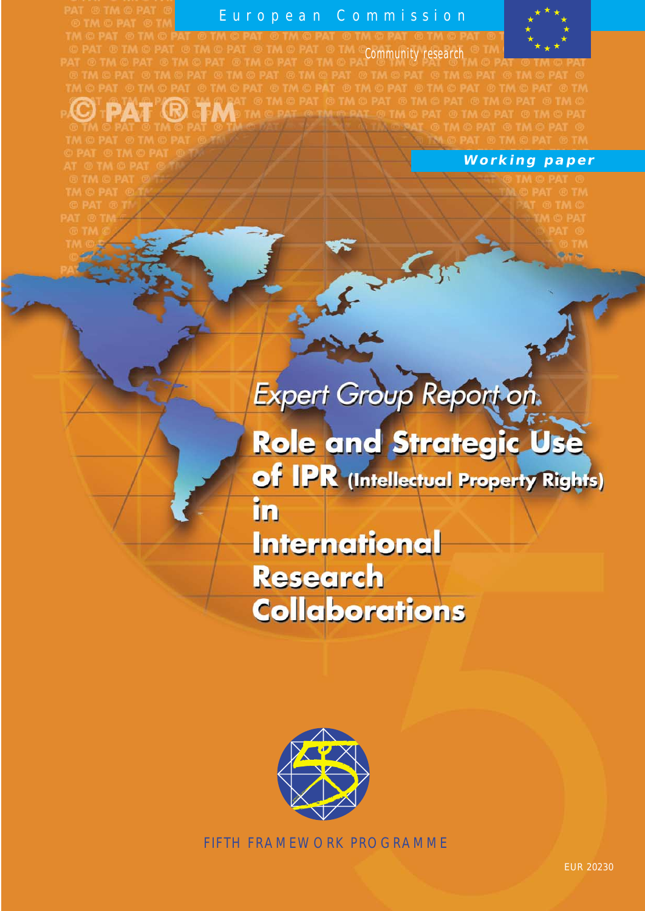# European Commission



European Commission<br>
Thera ethera ethera ethera ethera ethera ethera ethera ethera ethera ethera ethera ethera ethera ethera ethera ethera ethera ethera ethera ethera ethera ethera ethera ethera ethera ethera ethera ethera **OPAT ® TM** 

# **Working paper**

# Expert Group Report on.

Role and Strategic Use of IPR (Intellectual Property Rights)

ìn

**International Research Collaborations** 



FIFTH FRAMEWORK PROGRAMME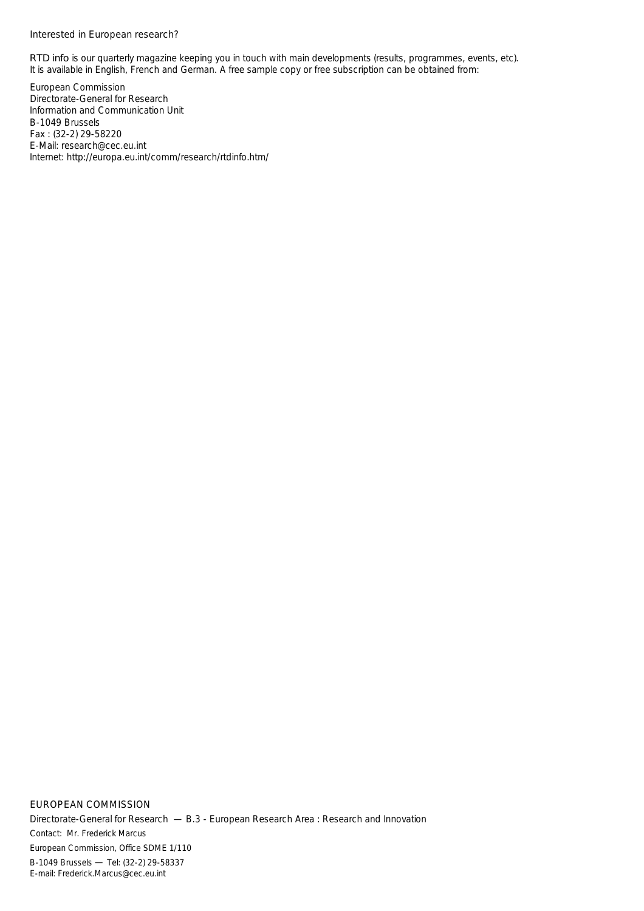#### Interested in European research?

*RTD info* is our quarterly magazine keeping you in touch with main developments (results, programmes, events, etc). It is available in English, French and German. A free sample copy or free subscription can be obtained from:

European Commission Directorate-General for Research Information and Communication Unit B-1049 Brussels Fax : (32-2) 29-58220 E-Mail: research@cec.eu.int Internet: http://europa.eu.int/comm/research/rtdinfo.htm/

EUROPEAN COMMISSION Directorate-General for Research — B.3 - European Research Area : Research and Innovation *Contact: Mr. Frederick Marcus European Commission, Office SDME 1/110 B-1049 Brussels* — *Tel: (32-2) 29-58337 E-mail: Frederick.Marcus@cec.eu.int*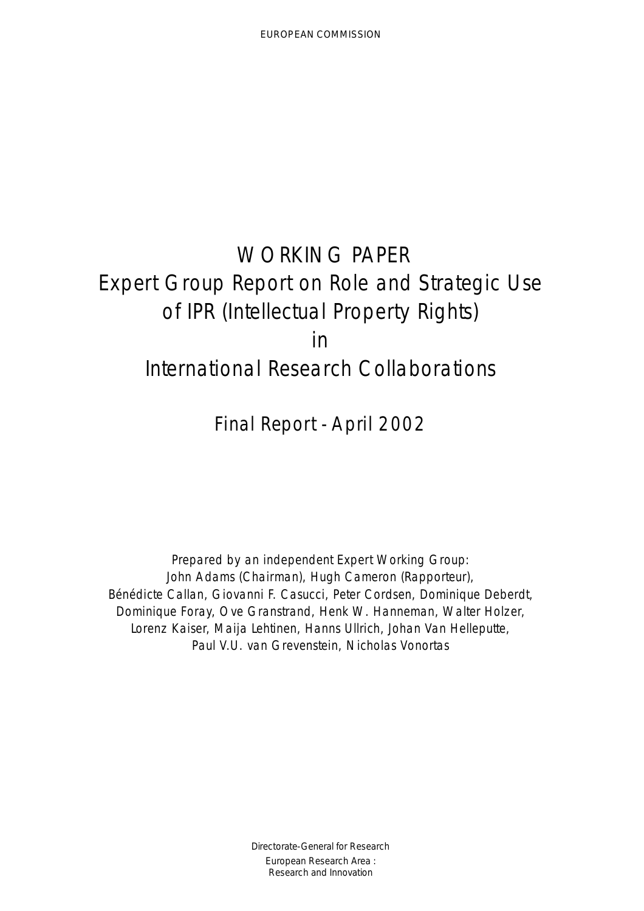# WORKING PAPER Expert Group Report on Role and Strategic Use of IPR (Intellectual Property Rights) in International Research Collaborations

Final Report - April 2002

Prepared by an independent Expert Working Group: John Adams (Chairman), Hugh Cameron (Rapporteur), Bénédicte Callan, Giovanni F. Casucci, Peter Cordsen, Dominique Deberdt, Dominique Foray, Ove Granstrand, Henk W. Hanneman, Walter Holzer, Lorenz Kaiser, Maija Lehtinen, Hanns Ullrich, Johan Van Helleputte, Paul V.U. van Grevenstein, Nicholas Vonortas

> Directorate-General for Research European Research Area : Research and Innovation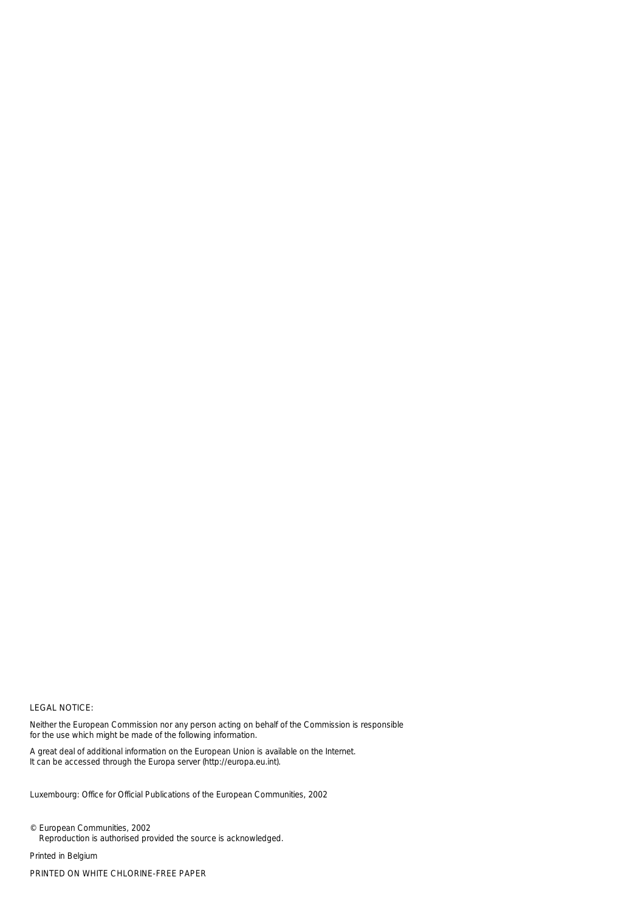#### LEGAL NOTICE:

Neither the European Commission nor any person acting on behalf of the Commission is responsible for the use which might be made of the following information.

A great deal of additional information on the European Union is available on the Internet. It can be accessed through the Europa server (http://europa.eu.int).

Luxembourg: Office for Official Publications of the European Communities, 2002

© European Communities, 2002 Reproduction is authorised provided the source is acknowledged.

*Printed in Belgium* PRINTED ON WHITE CHLORINE-FREE PAPER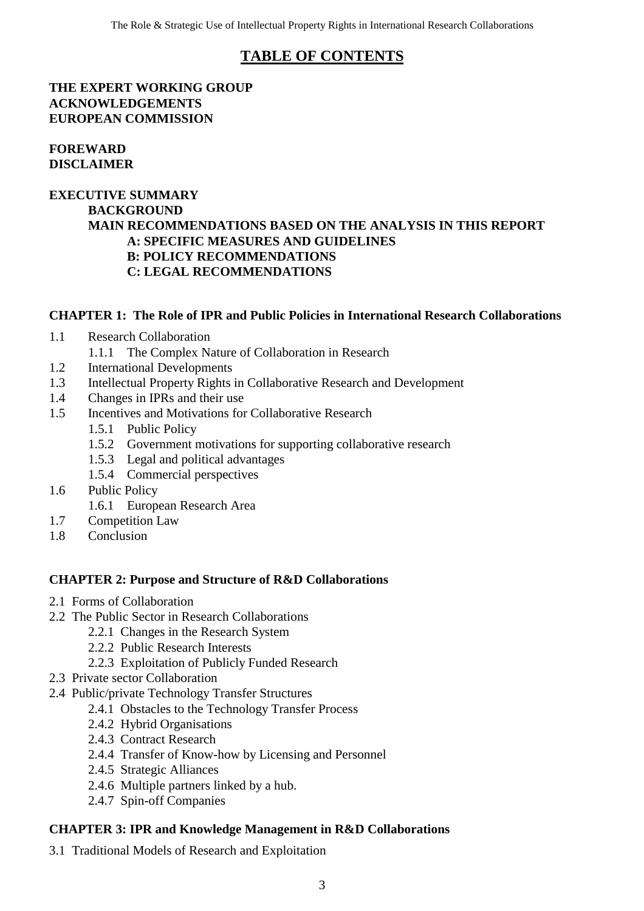# **TABLE OF CONTENTS**

#### **THE EXPERT WORKING GROUP ACKNOWLEDGEMENTS EUROPEAN COMMISSION**

#### **FOREWARD DISCLAIMER**

#### **EXECUTIVE SUMMARY BACKGROUND MAIN RECOMMENDATIONS BASED ON THE ANALYSIS IN THIS REPORT A: SPECIFIC MEASURES AND GUIDELINES B: POLICY RECOMMENDATIONS C: LEGAL RECOMMENDATIONS**

#### **CHAPTER 1: The Role of IPR and Public Policies in International Research Collaborations**

- 1.1 Research Collaboration
	- 1.1.1 The Complex Nature of Collaboration in Research
- 1.2 International Developments
- 1.3 Intellectual Property Rights in Collaborative Research and Development
- 1.4 Changes in IPRs and their use
- 1.5 Incentives and Motivations for Collaborative Research
	- 1.5.1 Public Policy
	- 1.5.2 Government motivations for supporting collaborative research
	- 1.5.3 Legal and political advantages
	- 1.5.4 Commercial perspectives
- 1.6 Public Policy
	- 1.6.1 European Research Area
- 1.7 Competition Law
- 1.8 Conclusion

#### **CHAPTER 2: Purpose and Structure of R&D Collaborations**

- 2.1 Forms of Collaboration
- 2.2 The Public Sector in Research Collaborations
	- 2.2.1 Changes in the Research System
	- 2.2.2 Public Research Interests
	- 2.2.3 Exploitation of Publicly Funded Research
- 2.3 Private sector Collaboration
- 2.4 Public/private Technology Transfer Structures
	- 2.4.1 Obstacles to the Technology Transfer Process
	- 2.4.2 Hybrid Organisations
	- 2.4.3 Contract Research
	- 2.4.4 Transfer of Know-how by Licensing and Personnel
	- 2.4.5 Strategic Alliances
	- 2.4.6 Multiple partners linked by a hub.
	- 2.4.7 Spin-off Companies

#### **CHAPTER 3: IPR and Knowledge Management in R&D Collaborations**

3.1 Traditional Models of Research and Exploitation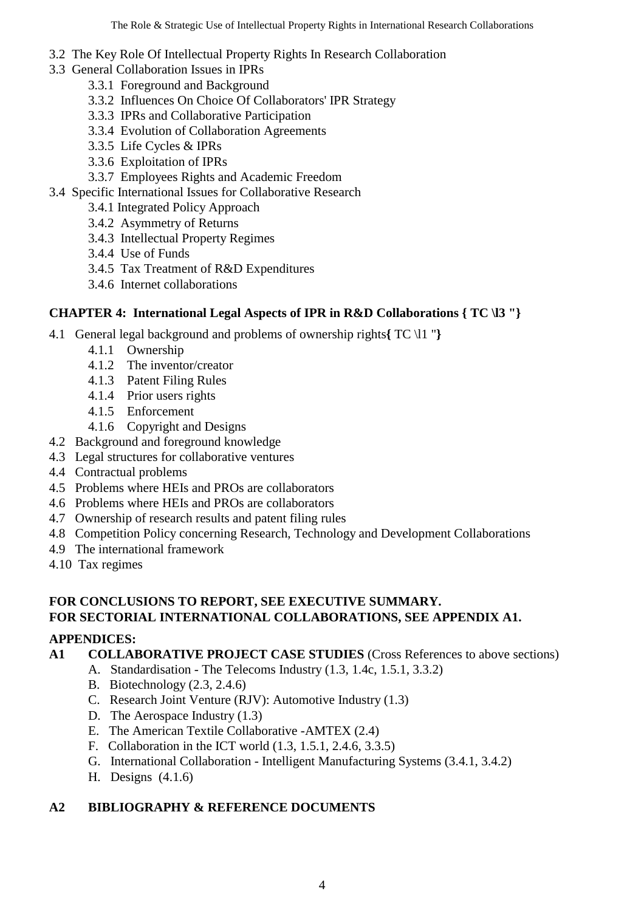- 3.2 The Key Role Of Intellectual Property Rights In Research Collaboration
- 3.3 General Collaboration Issues in IPRs
	- 3.3.1 Foreground and Background
	- 3.3.2 Influences On Choice Of Collaborators' IPR Strategy
	- 3.3.3 IPRs and Collaborative Participation
	- 3.3.4 Evolution of Collaboration Agreements
	- 3.3.5 Life Cycles & IPRs
	- 3.3.6 Exploitation of IPRs
	- 3.3.7 Employees Rights and Academic Freedom
- 3.4 Specific International Issues for Collaborative Research
	- 3.4.1 Integrated Policy Approach
	- 3.4.2 Asymmetry of Returns
	- 3.4.3 Intellectual Property Regimes
	- 3.4.4 Use of Funds
	- 3.4.5 Tax Treatment of R&D Expenditures
	- 3.4.6 Internet collaborations

## **CHAPTER 4: International Legal Aspects of IPR in R&D Collaborations { TC \l3 "}**

- 4.1 General legal background and problems of ownership rights**{** TC \l1 "**}**
	- 4.1.1 Ownership
	- 4.1.2 The inventor/creator
	- 4.1.3 Patent Filing Rules
	- 4.1.4 Prior users rights
	- 4.1.5 Enforcement
	- 4.1.6 Copyright and Designs
- 4.2 Background and foreground knowledge
- 4.3 Legal structures for collaborative ventures
- 4.4 Contractual problems
- 4.5 Problems where HEIs and PROs are collaborators
- 4.6 Problems where HEIs and PROs are collaborators
- 4.7 Ownership of research results and patent filing rules
- 4.8 Competition Policy concerning Research, Technology and Development Collaborations
- 4.9 The international framework
- 4.10 Tax regimes

#### **FOR CONCLUSIONS TO REPORT, SEE EXECUTIVE SUMMARY. FOR SECTORIAL INTERNATIONAL COLLABORATIONS, SEE APPENDIX A1.**

#### **APPENDICES:**

## **A1 COLLABORATIVE PROJECT CASE STUDIES** (Cross References to above sections)

- A. Standardisation The Telecoms Industry (1.3, 1.4c, 1.5.1, 3.3.2)
- B. Biotechnology (2.3, 2.4.6)
- C. Research Joint Venture (RJV): Automotive Industry (1.3)
- D. The Aerospace Industry (1.3)
- E. The American Textile Collaborative -AMTEX (2.4)
- F. Collaboration in the ICT world (1.3, 1.5.1, 2.4.6, 3.3.5)
- G. International Collaboration Intelligent Manufacturing Systems (3.4.1, 3.4.2)
- H. Designs (4.1.6)

## **A2 BIBLIOGRAPHY & REFERENCE DOCUMENTS**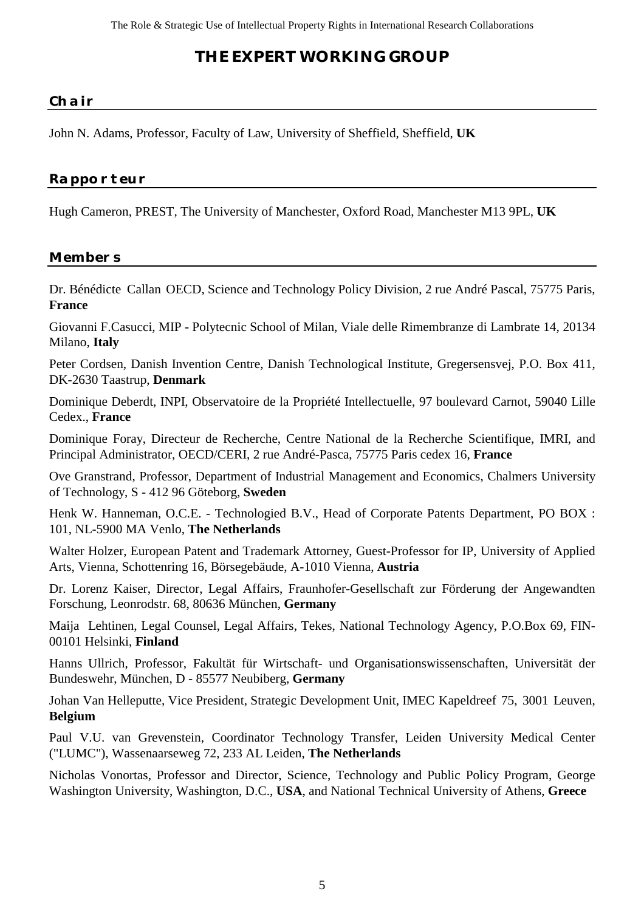# **THE EXPERT WORKING GROUP**

#### **Chair**

John N. Adams, Professor, Faculty of Law, University of Sheffield, Sheffield, **UK**

## **Rapporteur**

Hugh Cameron, PREST, The University of Manchester, Oxford Road, Manchester M13 9PL, **UK**

#### **Members**

Dr. Bénédicte Callan OECD, Science and Technology Policy Division, 2 rue André Pascal, 75775 Paris, **France**

Giovanni F.Casucci, MIP - Polytecnic School of Milan, Viale delle Rimembranze di Lambrate 14, 20134 Milano, **Italy**

Peter Cordsen, Danish Invention Centre, Danish Technological Institute, Gregersensvej, P.O. Box 411, DK-2630 Taastrup, **Denmark**

Dominique Deberdt, INPI, Observatoire de la Propriété Intellectuelle, 97 boulevard Carnot, 59040 Lille Cedex., **France**

Dominique Foray, Directeur de Recherche, Centre National de la Recherche Scientifique, IMRI, and Principal Administrator, OECD/CERI, 2 rue André-Pasca, 75775 Paris cedex 16, **France**

Ove Granstrand, Professor, Department of Industrial Management and Economics, Chalmers University of Technology, S - 412 96 Göteborg, **Sweden**

Henk W. Hanneman, O.C.E. - Technologied B.V., Head of Corporate Patents Department, PO BOX : 101, NL-5900 MA Venlo, **The Netherlands**

Walter Holzer, European Patent and Trademark Attorney, Guest-Professor for IP, University of Applied Arts, Vienna, Schottenring 16, Börsegebäude, A-1010 Vienna, **Austria**

Dr. Lorenz Kaiser, Director, Legal Affairs, Fraunhofer-Gesellschaft zur Förderung der Angewandten Forschung, Leonrodstr. 68, 80636 München, **Germany**

Maija Lehtinen, Legal Counsel, Legal Affairs, Tekes, National Technology Agency, P.O.Box 69, FIN-00101 Helsinki, **Finland**

Hanns Ullrich, Professor, Fakultät für Wirtschaft- und Organisationswissenschaften, Universität der Bundeswehr, München, D - 85577 Neubiberg, **Germany**

Johan Van Helleputte, Vice President, Strategic Development Unit, IMEC Kapeldreef 75, 3001 Leuven, **Belgium**

Paul V.U. van Grevenstein, Coordinator Technology Transfer, Leiden University Medical Center ("LUMC"), Wassenaarseweg 72, 233 AL Leiden, **The Netherlands**

Nicholas Vonortas, Professor and Director, Science, Technology and Public Policy Program, George Washington University, Washington, D.C., **USA**, and National Technical University of Athens, **Greece**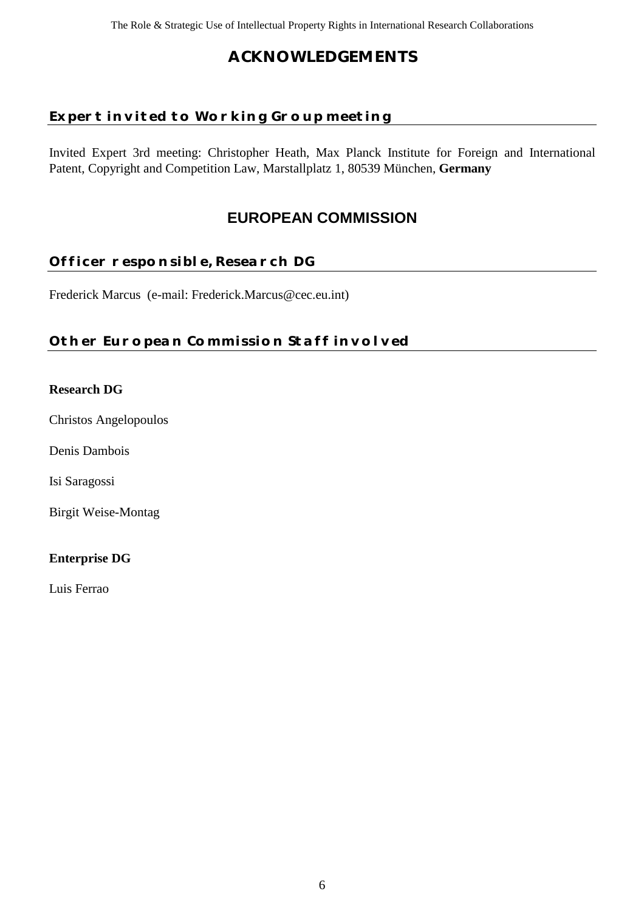# **ACKNOWLEDGEMENTS**

# **Expert invited to Working Group meeting**

Invited Expert 3rd meeting: Christopher Heath, Max Planck Institute for Foreign and International Patent, Copyright and Competition Law, Marstallplatz 1, 80539 München, **Germany**

# **EUROPEAN COMMISSION**

## **Officer responsible, Research DG**

Frederick Marcus (e-mail: Frederick.Marcus@cec.eu.int)

## **Other European Commission Staff involved**

#### **Research DG**

Christos Angelopoulos

Denis Dambois

Isi Saragossi

Birgit Weise-Montag

#### **Enterprise DG**

Luis Ferrao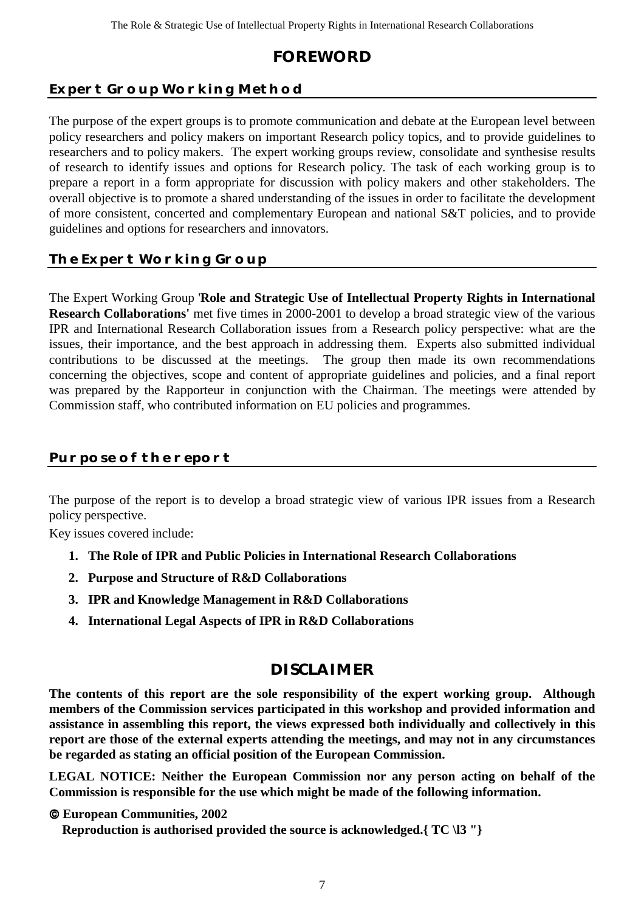# **FOREWORD**

# **Expert Group Working Method**

The purpose of the expert groups is to promote communication and debate at the European level between policy researchers and policy makers on important Research policy topics, and to provide guidelines to researchers and to policy makers. The expert working groups review, consolidate and synthesise results of research to identify issues and options for Research policy. The task of each working group is to prepare a report in a form appropriate for discussion with policy makers and other stakeholders. The overall objective is to promote a shared understanding of the issues in order to facilitate the development of more consistent, concerted and complementary European and national S&T policies, and to provide guidelines and options for researchers and innovators.

## **The Expert Working Group**

The Expert Working Group '**Role and Strategic Use of Intellectual Property Rights in International Research Collaborations'** met five times in 2000-2001 to develop a broad strategic view of the various IPR and International Research Collaboration issues from a Research policy perspective: what are the issues, their importance, and the best approach in addressing them. Experts also submitted individual contributions to be discussed at the meetings. The group then made its own recommendations concerning the objectives, scope and content of appropriate guidelines and policies, and a final report was prepared by the Rapporteur in conjunction with the Chairman. The meetings were attended by Commission staff, who contributed information on EU policies and programmes.

## **Purpose of the report**

The purpose of the report is to develop a broad strategic view of various IPR issues from a Research policy perspective.

Key issues covered include:

- **1. The Role of IPR and Public Policies in International Research Collaborations**
- **2. Purpose and Structure of R&D Collaborations**
- **3. IPR and Knowledge Management in R&D Collaborations**
- **4. International Legal Aspects of IPR in R&D Collaborations**

# **DISCLAIMER**

**The contents of this report are the sole responsibility of the expert working group. Although members of the Commission services participated in this workshop and provided information and assistance in assembling this report, the views expressed both individually and collectively in this report are those of the external experts attending the meetings, and may not in any circumstances be regarded as stating an official position of the European Commission.**

**LEGAL NOTICE: Neither the European Commission nor any person acting on behalf of the Commission is responsible for the use which might be made of the following information.**

 **European Communities, 2002**

 **Reproduction is authorised provided the source is acknowledged.{ TC \l3 "}**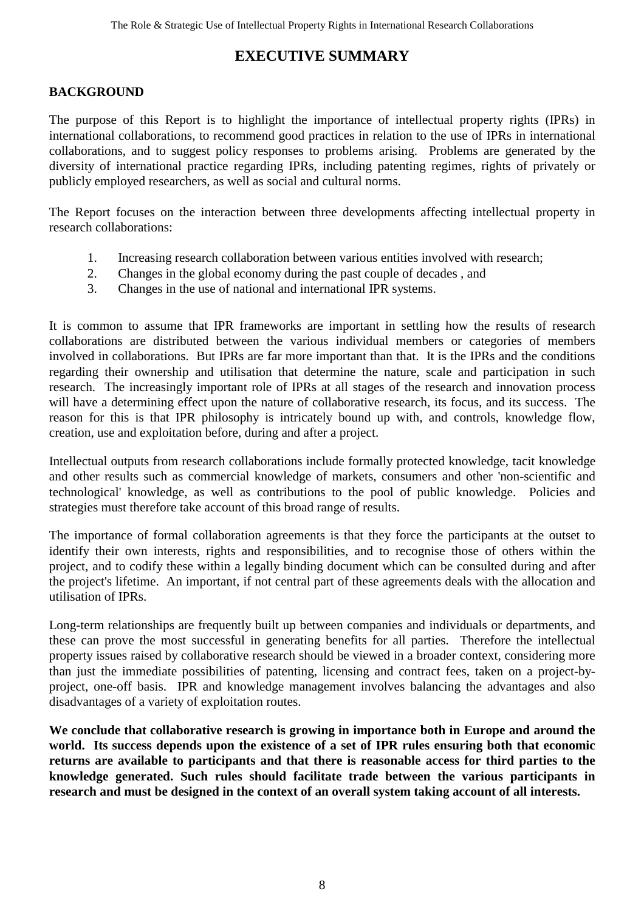# **EXECUTIVE SUMMARY**

#### **BACKGROUND**

The purpose of this Report is to highlight the importance of intellectual property rights (IPRs) in international collaborations, to recommend good practices in relation to the use of IPRs in international collaborations, and to suggest policy responses to problems arising. Problems are generated by the diversity of international practice regarding IPRs, including patenting regimes, rights of privately or publicly employed researchers, as well as social and cultural norms.

The Report focuses on the interaction between three developments affecting intellectual property in research collaborations:

- 1. Increasing research collaboration between various entities involved with research;
- 2. Changes in the global economy during the past couple of decades , and
- 3. Changes in the use of national and international IPR systems.

It is common to assume that IPR frameworks are important in settling how the results of research collaborations are distributed between the various individual members or categories of members involved in collaborations. But IPRs are far more important than that. It is the IPRs and the conditions regarding their ownership and utilisation that determine the nature, scale and participation in such research. The increasingly important role of IPRs at all stages of the research and innovation process will have a determining effect upon the nature of collaborative research, its focus, and its success. The reason for this is that IPR philosophy is intricately bound up with, and controls, knowledge flow, creation, use and exploitation before, during and after a project.

Intellectual outputs from research collaborations include formally protected knowledge, tacit knowledge and other results such as commercial knowledge of markets, consumers and other 'non-scientific and technological' knowledge, as well as contributions to the pool of public knowledge. Policies and strategies must therefore take account of this broad range of results.

The importance of formal collaboration agreements is that they force the participants at the outset to identify their own interests, rights and responsibilities, and to recognise those of others within the project, and to codify these within a legally binding document which can be consulted during and after the project's lifetime. An important, if not central part of these agreements deals with the allocation and utilisation of IPRs.

Long-term relationships are frequently built up between companies and individuals or departments, and these can prove the most successful in generating benefits for all parties. Therefore the intellectual property issues raised by collaborative research should be viewed in a broader context, considering more than just the immediate possibilities of patenting, licensing and contract fees, taken on a project-byproject, one-off basis. IPR and knowledge management involves balancing the advantages and also disadvantages of a variety of exploitation routes.

**We conclude that collaborative research is growing in importance both in Europe and around the world. Its success depends upon the existence of a set of IPR rules ensuring both that economic returns are available to participants and that there is reasonable access for third parties to the knowledge generated. Such rules should facilitate trade between the various participants in research and must be designed in the context of an overall system taking account of all interests.**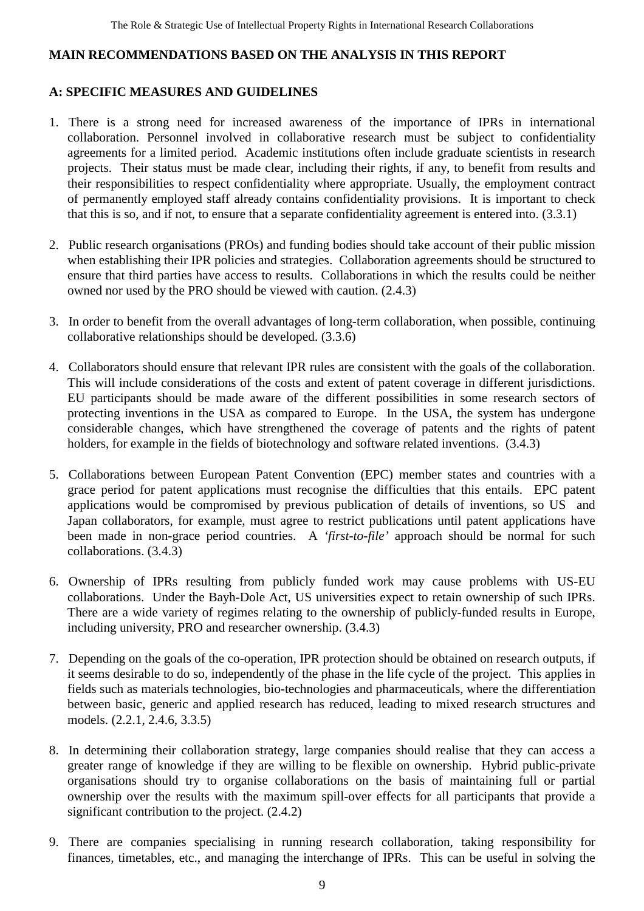#### **MAIN RECOMMENDATIONS BASED ON THE ANALYSIS IN THIS REPORT**

## **A: SPECIFIC MEASURES AND GUIDELINES**

- 1. There is a strong need for increased awareness of the importance of IPRs in international collaboration. Personnel involved in collaborative research must be subject to confidentiality agreements for a limited period. Academic institutions often include graduate scientists in research projects. Their status must be made clear, including their rights, if any, to benefit from results and their responsibilities to respect confidentiality where appropriate. Usually, the employment contract of permanently employed staff already contains confidentiality provisions. It is important to check that this is so, and if not, to ensure that a separate confidentiality agreement is entered into. (3.3.1)
- 2. Public research organisations (PROs) and funding bodies should take account of their public mission when establishing their IPR policies and strategies. Collaboration agreements should be structured to ensure that third parties have access to results. Collaborations in which the results could be neither owned nor used by the PRO should be viewed with caution. (2.4.3)
- 3. In order to benefit from the overall advantages of long-term collaboration, when possible, continuing collaborative relationships should be developed. (3.3.6)
- 4. Collaborators should ensure that relevant IPR rules are consistent with the goals of the collaboration. This will include considerations of the costs and extent of patent coverage in different jurisdictions. EU participants should be made aware of the different possibilities in some research sectors of protecting inventions in the USA as compared to Europe. In the USA, the system has undergone considerable changes, which have strengthened the coverage of patents and the rights of patent holders, for example in the fields of biotechnology and software related inventions.  $(3.4.3)$
- 5. Collaborations between European Patent Convention (EPC) member states and countries with a grace period for patent applications must recognise the difficulties that this entails. EPC patent applications would be compromised by previous publication of details of inventions, so US and Japan collaborators, for example, must agree to restrict publications until patent applications have been made in non-grace period countries. A *'first-to-file'* approach should be normal for such collaborations. (3.4.3)
- 6. Ownership of IPRs resulting from publicly funded work may cause problems with US-EU collaborations. Under the Bayh-Dole Act, US universities expect to retain ownership of such IPRs. There are a wide variety of regimes relating to the ownership of publicly-funded results in Europe, including university, PRO and researcher ownership. (3.4.3)
- 7. Depending on the goals of the co-operation, IPR protection should be obtained on research outputs, if it seems desirable to do so, independently of the phase in the life cycle of the project. This applies in fields such as materials technologies, bio-technologies and pharmaceuticals, where the differentiation between basic, generic and applied research has reduced, leading to mixed research structures and models. (2.2.1, 2.4.6, 3.3.5)
- 8. In determining their collaboration strategy, large companies should realise that they can access a greater range of knowledge if they are willing to be flexible on ownership. Hybrid public-private organisations should try to organise collaborations on the basis of maintaining full or partial ownership over the results with the maximum spill-over effects for all participants that provide a significant contribution to the project. (2.4.2)
- 9. There are companies specialising in running research collaboration, taking responsibility for finances, timetables, etc., and managing the interchange of IPRs. This can be useful in solving the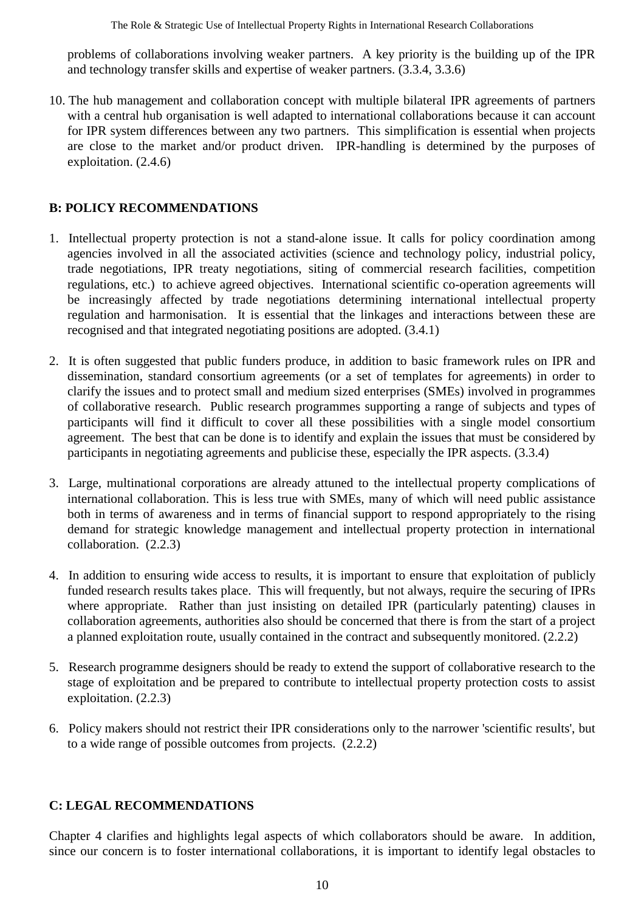problems of collaborations involving weaker partners. A key priority is the building up of the IPR and technology transfer skills and expertise of weaker partners. (3.3.4, 3.3.6)

10. The hub management and collaboration concept with multiple bilateral IPR agreements of partners with a central hub organisation is well adapted to international collaborations because it can account for IPR system differences between any two partners. This simplification is essential when projects are close to the market and/or product driven. IPR-handling is determined by the purposes of exploitation. (2.4.6)

## **B: POLICY RECOMMENDATIONS**

- 1. Intellectual property protection is not a stand-alone issue. It calls for policy coordination among agencies involved in all the associated activities (science and technology policy, industrial policy, trade negotiations, IPR treaty negotiations, siting of commercial research facilities, competition regulations, etc.) to achieve agreed objectives. International scientific co-operation agreements will be increasingly affected by trade negotiations determining international intellectual property regulation and harmonisation. It is essential that the linkages and interactions between these are recognised and that integrated negotiating positions are adopted. (3.4.1)
- 2. It is often suggested that public funders produce, in addition to basic framework rules on IPR and dissemination, standard consortium agreements (or a set of templates for agreements) in order to clarify the issues and to protect small and medium sized enterprises (SMEs) involved in programmes of collaborative research. Public research programmes supporting a range of subjects and types of participants will find it difficult to cover all these possibilities with a single model consortium agreement. The best that can be done is to identify and explain the issues that must be considered by participants in negotiating agreements and publicise these, especially the IPR aspects. (3.3.4)
- 3. Large, multinational corporations are already attuned to the intellectual property complications of international collaboration. This is less true with SMEs, many of which will need public assistance both in terms of awareness and in terms of financial support to respond appropriately to the rising demand for strategic knowledge management and intellectual property protection in international collaboration. (2.2.3)
- 4. In addition to ensuring wide access to results, it is important to ensure that exploitation of publicly funded research results takes place. This will frequently, but not always, require the securing of IPRs where appropriate. Rather than just insisting on detailed IPR (particularly patenting) clauses in collaboration agreements, authorities also should be concerned that there is from the start of a project a planned exploitation route, usually contained in the contract and subsequently monitored. (2.2.2)
- 5. Research programme designers should be ready to extend the support of collaborative research to the stage of exploitation and be prepared to contribute to intellectual property protection costs to assist exploitation. (2.2.3)
- 6. Policy makers should not restrict their IPR considerations only to the narrower 'scientific results', but to a wide range of possible outcomes from projects. (2.2.2)

## **C: LEGAL RECOMMENDATIONS**

Chapter 4 clarifies and highlights legal aspects of which collaborators should be aware. In addition, since our concern is to foster international collaborations, it is important to identify legal obstacles to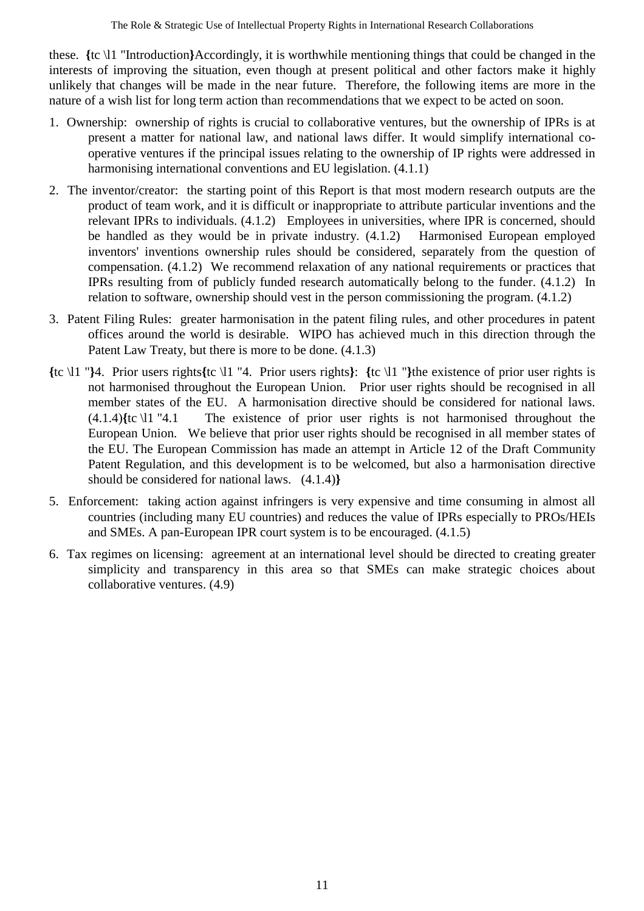these. **{**tc \l1 "Introduction**}**Accordingly, it is worthwhile mentioning things that could be changed in the interests of improving the situation, even though at present political and other factors make it highly unlikely that changes will be made in the near future. Therefore, the following items are more in the nature of a wish list for long term action than recommendations that we expect to be acted on soon.

- 1. Ownership: ownership of rights is crucial to collaborative ventures, but the ownership of IPRs is at present a matter for national law, and national laws differ. It would simplify international cooperative ventures if the principal issues relating to the ownership of IP rights were addressed in harmonising international conventions and EU legislation. (4.1.1)
- 2. The inventor/creator: the starting point of this Report is that most modern research outputs are the product of team work, and it is difficult or inappropriate to attribute particular inventions and the relevant IPRs to individuals. (4.1.2) Employees in universities, where IPR is concerned, should be handled as they would be in private industry. (4.1.2) Harmonised European employed inventors' inventions ownership rules should be considered, separately from the question of compensation. (4.1.2) We recommend relaxation of any national requirements or practices that IPRs resulting from of publicly funded research automatically belong to the funder. (4.1.2) In relation to software, ownership should vest in the person commissioning the program. (4.1.2)
- 3. Patent Filing Rules: greater harmonisation in the patent filing rules, and other procedures in patent offices around the world is desirable. WIPO has achieved much in this direction through the Patent Law Treaty, but there is more to be done. (4.1.3)
- **{**tc \l1 "**}**4. Prior users rights**{**tc \l1 "4. Prior users rights**}**: **{**tc \l1 "**}**the existence of prior user rights is not harmonised throughout the European Union. Prior user rights should be recognised in all member states of the EU. A harmonisation directive should be considered for national laws. (4.1.4)**{**tc \l1 "4.1 The existence of prior user rights is not harmonised throughout the European Union. We believe that prior user rights should be recognised in all member states of the EU. The European Commission has made an attempt in Article 12 of the Draft Community Patent Regulation, and this development is to be welcomed, but also a harmonisation directive should be considered for national laws. (4.1.4)**}**
- 5. Enforcement: taking action against infringers is very expensive and time consuming in almost all countries (including many EU countries) and reduces the value of IPRs especially to PROs/HEIs and SMEs. A pan-European IPR court system is to be encouraged. (4.1.5)
- 6. Tax regimes on licensing: agreement at an international level should be directed to creating greater simplicity and transparency in this area so that SMEs can make strategic choices about collaborative ventures. (4.9)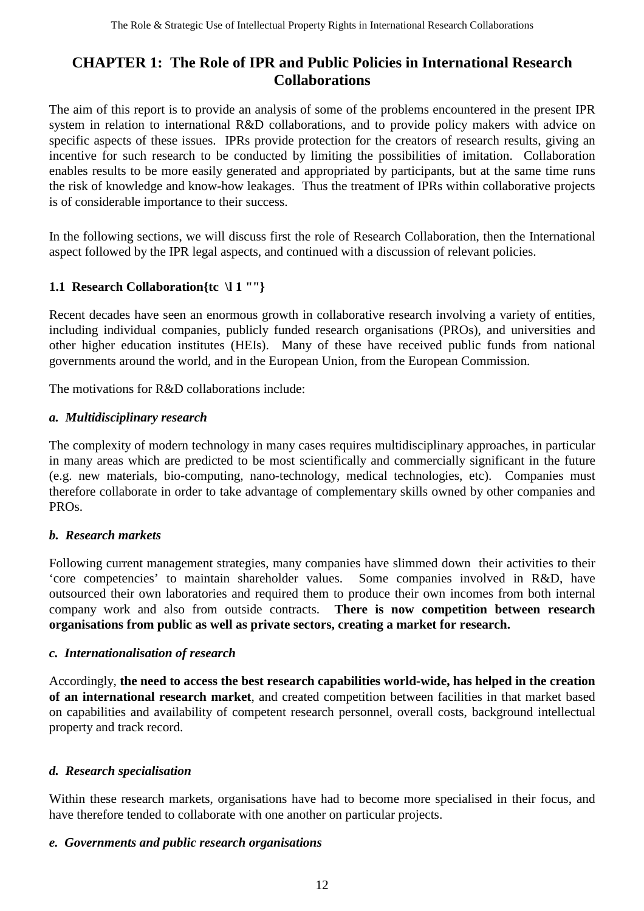# **CHAPTER 1: The Role of IPR and Public Policies in International Research Collaborations**

The aim of this report is to provide an analysis of some of the problems encountered in the present IPR system in relation to international R&D collaborations, and to provide policy makers with advice on specific aspects of these issues. IPRs provide protection for the creators of research results, giving an incentive for such research to be conducted by limiting the possibilities of imitation. Collaboration enables results to be more easily generated and appropriated by participants, but at the same time runs the risk of knowledge and know-how leakages. Thus the treatment of IPRs within collaborative projects is of considerable importance to their success.

In the following sections, we will discuss first the role of Research Collaboration, then the International aspect followed by the IPR legal aspects, and continued with a discussion of relevant policies.

# **1.1 Research Collaboration{tc \l 1 ""}**

Recent decades have seen an enormous growth in collaborative research involving a variety of entities, including individual companies, publicly funded research organisations (PROs), and universities and other higher education institutes (HEIs). Many of these have received public funds from national governments around the world, and in the European Union, from the European Commission.

The motivations for R&D collaborations include:

## *a. Multidisciplinary research*

The complexity of modern technology in many cases requires multidisciplinary approaches, in particular in many areas which are predicted to be most scientifically and commercially significant in the future (e.g. new materials, bio-computing, nano-technology, medical technologies, etc). Companies must therefore collaborate in order to take advantage of complementary skills owned by other companies and PROs.

## *b. Research markets*

Following current management strategies, many companies have slimmed down their activities to their 'core competencies' to maintain shareholder values. Some companies involved in R&D, have outsourced their own laboratories and required them to produce their own incomes from both internal company work and also from outside contracts. **There is now competition between research organisations from public as well as private sectors, creating a market for research.**

#### *c. Internationalisation of research*

Accordingly, **the need to access the best research capabilities world-wide, has helped in the creation of an international research market**, and created competition between facilities in that market based on capabilities and availability of competent research personnel, overall costs, background intellectual property and track record.

## *d. Research specialisation*

Within these research markets, organisations have had to become more specialised in their focus, and have therefore tended to collaborate with one another on particular projects.

#### *e. Governments and public research organisations*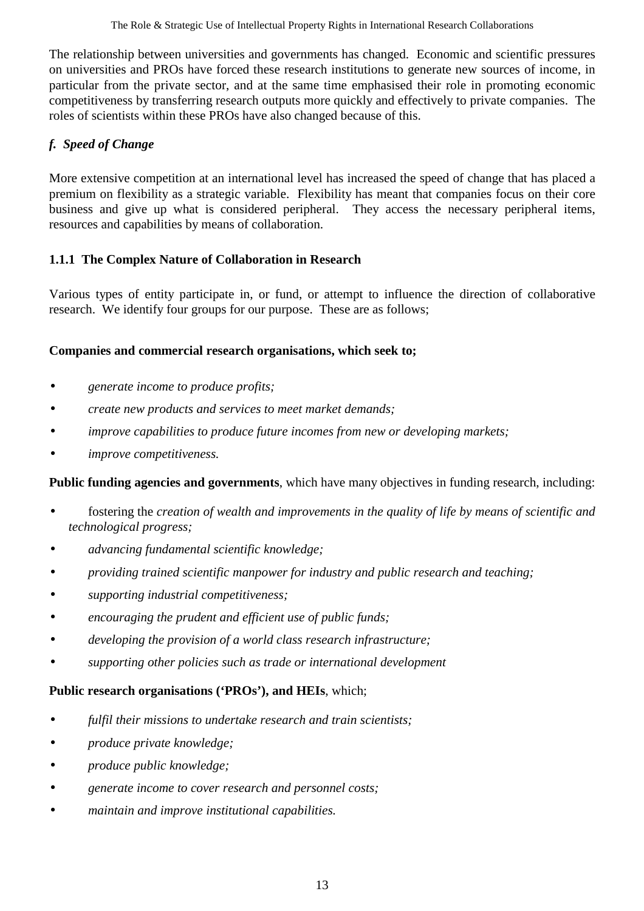The relationship between universities and governments has changed. Economic and scientific pressures on universities and PROs have forced these research institutions to generate new sources of income, in particular from the private sector, and at the same time emphasised their role in promoting economic competitiveness by transferring research outputs more quickly and effectively to private companies. The roles of scientists within these PROs have also changed because of this.

## *f. Speed of Change*

More extensive competition at an international level has increased the speed of change that has placed a premium on flexibility as a strategic variable. Flexibility has meant that companies focus on their core business and give up what is considered peripheral. They access the necessary peripheral items, resources and capabilities by means of collaboration.

## **1.1.1 The Complex Nature of Collaboration in Research**

Various types of entity participate in, or fund, or attempt to influence the direction of collaborative research. We identify four groups for our purpose. These are as follows;

#### **Companies and commercial research organisations, which seek to;**

- *generate income to produce profits;*
- *create new products and services to meet market demands;*
- *improve capabilities to produce future incomes from new or developing markets;*
- *improve competitiveness.*

**Public funding agencies and governments**, which have many objectives in funding research, including:

- fostering the *creation of wealth and improvements in the quality of life by means of scientific and technological progress;*
- *advancing fundamental scientific knowledge;*
- *providing trained scientific manpower for industry and public research and teaching;*
- *supporting industrial competitiveness;*
- *encouraging the prudent and efficient use of public funds;*
- • *developing the provision of a world class research infrastructure;*
- *supporting other policies such as trade or international development*

#### **Public research organisations ('PROs'), and HEIs**, which;

- *fulfil their missions to undertake research and train scientists;*
- *produce private knowledge;*
- *produce public knowledge;*
- *generate income to cover research and personnel costs;*
- *maintain and improve institutional capabilities.*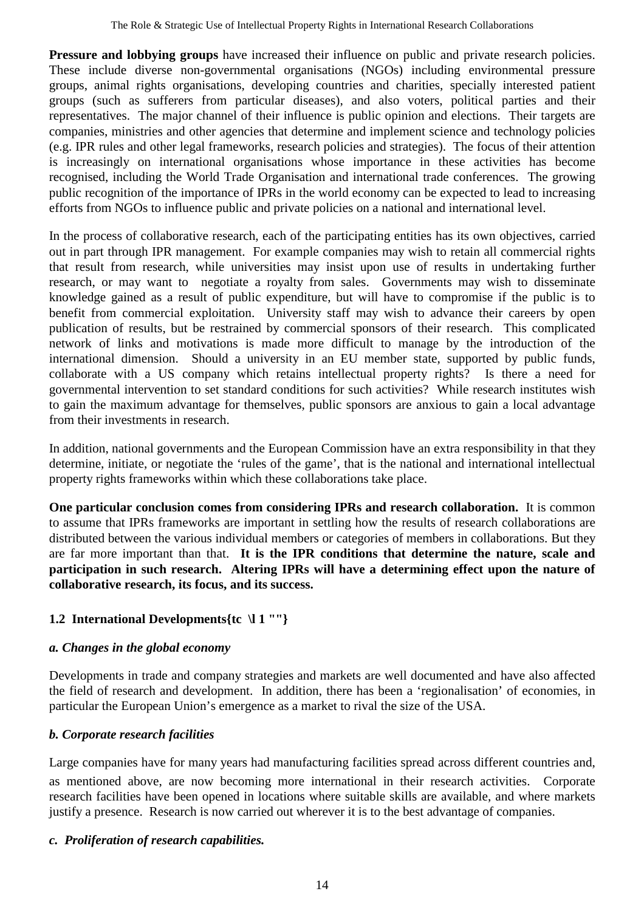**Pressure and lobbying groups** have increased their influence on public and private research policies. These include diverse non-governmental organisations (NGOs) including environmental pressure groups, animal rights organisations, developing countries and charities, specially interested patient groups (such as sufferers from particular diseases), and also voters, political parties and their representatives. The major channel of their influence is public opinion and elections. Their targets are companies, ministries and other agencies that determine and implement science and technology policies (e.g. IPR rules and other legal frameworks, research policies and strategies). The focus of their attention is increasingly on international organisations whose importance in these activities has become recognised, including the World Trade Organisation and international trade conferences. The growing public recognition of the importance of IPRs in the world economy can be expected to lead to increasing efforts from NGOs to influence public and private policies on a national and international level.

In the process of collaborative research, each of the participating entities has its own objectives, carried out in part through IPR management. For example companies may wish to retain all commercial rights that result from research, while universities may insist upon use of results in undertaking further research, or may want to negotiate a royalty from sales. Governments may wish to disseminate knowledge gained as a result of public expenditure, but will have to compromise if the public is to benefit from commercial exploitation. University staff may wish to advance their careers by open publication of results, but be restrained by commercial sponsors of their research. This complicated network of links and motivations is made more difficult to manage by the introduction of the international dimension. Should a university in an EU member state, supported by public funds, collaborate with a US company which retains intellectual property rights? Is there a need for governmental intervention to set standard conditions for such activities? While research institutes wish to gain the maximum advantage for themselves, public sponsors are anxious to gain a local advantage from their investments in research.

In addition, national governments and the European Commission have an extra responsibility in that they determine, initiate, or negotiate the 'rules of the game', that is the national and international intellectual property rights frameworks within which these collaborations take place.

**One particular conclusion comes from considering IPRs and research collaboration.** It is common to assume that IPRs frameworks are important in settling how the results of research collaborations are distributed between the various individual members or categories of members in collaborations. But they are far more important than that. **It is the IPR conditions that determine the nature, scale and participation in such research. Altering IPRs will have a determining effect upon the nature of collaborative research, its focus, and its success.**

# **1.2 International Developments{tc \l 1 ""}**

# *a. Changes in the global economy*

Developments in trade and company strategies and markets are well documented and have also affected the field of research and development. In addition, there has been a 'regionalisation' of economies, in particular the European Union's emergence as a market to rival the size of the USA.

# *b. Corporate research facilities*

Large companies have for many years had manufacturing facilities spread across different countries and, as mentioned above, are now becoming more international in their research activities. Corporate research facilities have been opened in locations where suitable skills are available, and where markets justify a presence. Research is now carried out wherever it is to the best advantage of companies.

# *c. Proliferation of research capabilities.*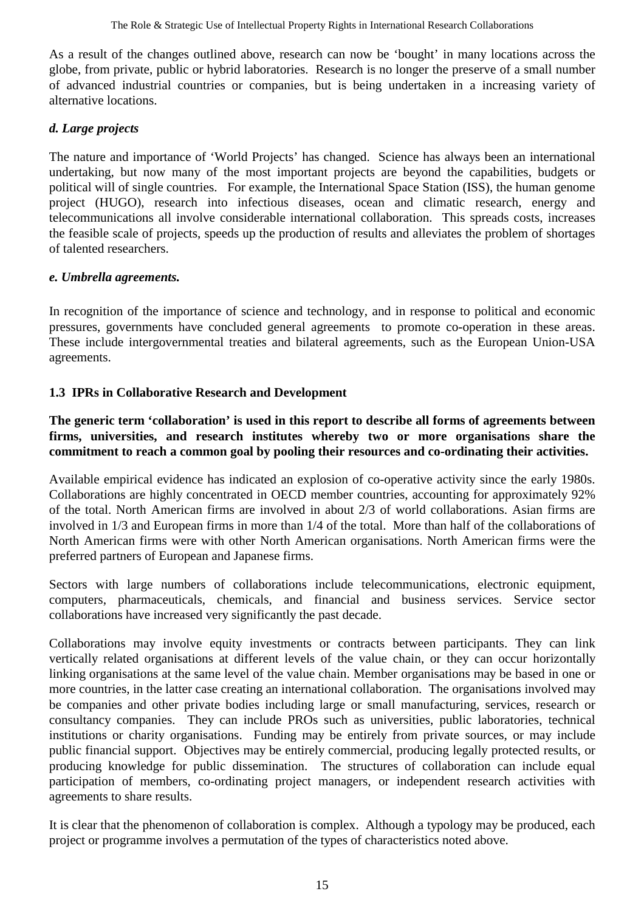As a result of the changes outlined above, research can now be 'bought' in many locations across the globe, from private, public or hybrid laboratories. Research is no longer the preserve of a small number of advanced industrial countries or companies, but is being undertaken in a increasing variety of alternative locations.

#### *d. Large projects*

The nature and importance of 'World Projects' has changed. Science has always been an international undertaking, but now many of the most important projects are beyond the capabilities, budgets or political will of single countries. For example, the International Space Station (ISS), the human genome project (HUGO), research into infectious diseases, ocean and climatic research, energy and telecommunications all involve considerable international collaboration. This spreads costs, increases the feasible scale of projects, speeds up the production of results and alleviates the problem of shortages of talented researchers.

#### *e. Umbrella agreements.*

In recognition of the importance of science and technology, and in response to political and economic pressures, governments have concluded general agreements to promote co-operation in these areas. These include intergovernmental treaties and bilateral agreements, such as the European Union-USA agreements.

#### **1.3 IPRs in Collaborative Research and Development**

#### **The generic term 'collaboration' is used in this report to describe all forms of agreements between firms, universities, and research institutes whereby two or more organisations share the commitment to reach a common goal by pooling their resources and co-ordinating their activities.**

Available empirical evidence has indicated an explosion of co-operative activity since the early 1980s. Collaborations are highly concentrated in OECD member countries, accounting for approximately 92% of the total. North American firms are involved in about 2/3 of world collaborations. Asian firms are involved in 1/3 and European firms in more than 1/4 of the total. More than half of the collaborations of North American firms were with other North American organisations. North American firms were the preferred partners of European and Japanese firms.

Sectors with large numbers of collaborations include telecommunications, electronic equipment, computers, pharmaceuticals, chemicals, and financial and business services. Service sector collaborations have increased very significantly the past decade.

Collaborations may involve equity investments or contracts between participants. They can link vertically related organisations at different levels of the value chain, or they can occur horizontally linking organisations at the same level of the value chain. Member organisations may be based in one or more countries, in the latter case creating an international collaboration. The organisations involved may be companies and other private bodies including large or small manufacturing, services, research or consultancy companies. They can include PROs such as universities, public laboratories, technical institutions or charity organisations. Funding may be entirely from private sources, or may include public financial support. Objectives may be entirely commercial, producing legally protected results, or producing knowledge for public dissemination. The structures of collaboration can include equal participation of members, co-ordinating project managers, or independent research activities with agreements to share results.

It is clear that the phenomenon of collaboration is complex. Although a typology may be produced, each project or programme involves a permutation of the types of characteristics noted above.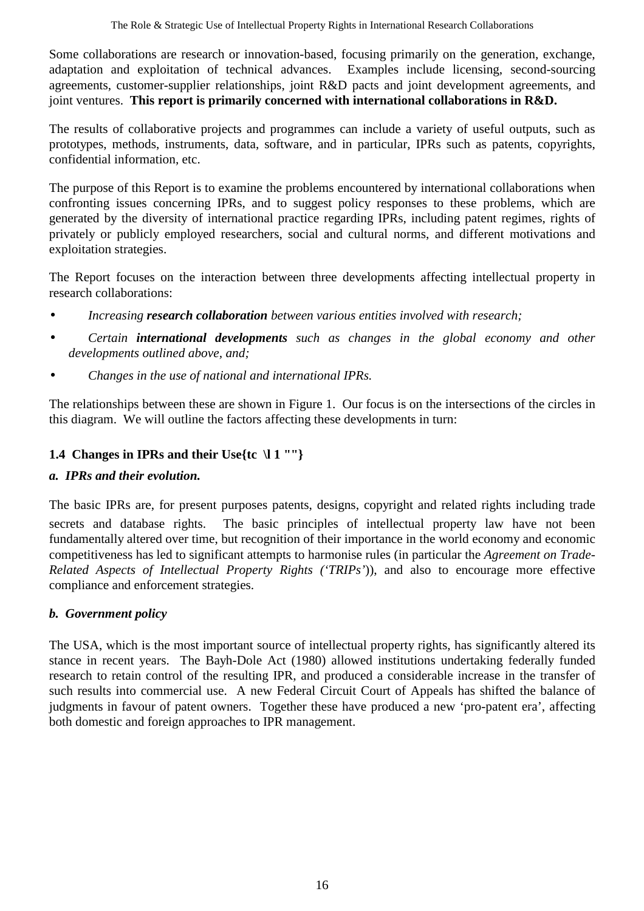Some collaborations are research or innovation-based, focusing primarily on the generation, exchange, adaptation and exploitation of technical advances. Examples include licensing, second-sourcing agreements, customer-supplier relationships, joint R&D pacts and joint development agreements, and ioint ventures. This report is primarily concerned with international collaborations in R&D.

The results of collaborative projects and programmes can include a variety of useful outputs, such as prototypes, methods, instruments, data, software, and in particular, IPRs such as patents, copyrights, confidential information, etc.

The purpose of this Report is to examine the problems encountered by international collaborations when confronting issues concerning IPRs, and to suggest policy responses to these problems, which are generated by the diversity of international practice regarding IPRs, including patent regimes, rights of privately or publicly employed researchers, social and cultural norms, and different motivations and exploitation strategies.

The Report focuses on the interaction between three developments affecting intellectual property in research collaborations:

- *Increasing research collaboration between various entities involved with research;*
- *Certain international developments such as changes in the global economy and other developments outlined above, and;*
- *Changes in the use of national and international IPRs.*

The relationships between these are shown in Figure 1. Our focus is on the intersections of the circles in this diagram. We will outline the factors affecting these developments in turn:

## **1.4 Changes in IPRs and their Use{tc \l 1 ""}**

## *a. IPRs and their evolution.*

The basic IPRs are, for present purposes patents, designs, copyright and related rights including trade secrets and database rights. The basic principles of intellectual property law have not been fundamentally altered over time, but recognition of their importance in the world economy and economic competitiveness has led to significant attempts to harmonise rules (in particular the *Agreement on Trade-Related Aspects of Intellectual Property Rights ('TRIPs'*)), and also to encourage more effective compliance and enforcement strategies.

## *b. Government policy*

The USA, which is the most important source of intellectual property rights, has significantly altered its stance in recent years. The Bayh-Dole Act (1980) allowed institutions undertaking federally funded research to retain control of the resulting IPR, and produced a considerable increase in the transfer of such results into commercial use. A new Federal Circuit Court of Appeals has shifted the balance of judgments in favour of patent owners. Together these have produced a new 'pro-patent era', affecting both domestic and foreign approaches to IPR management.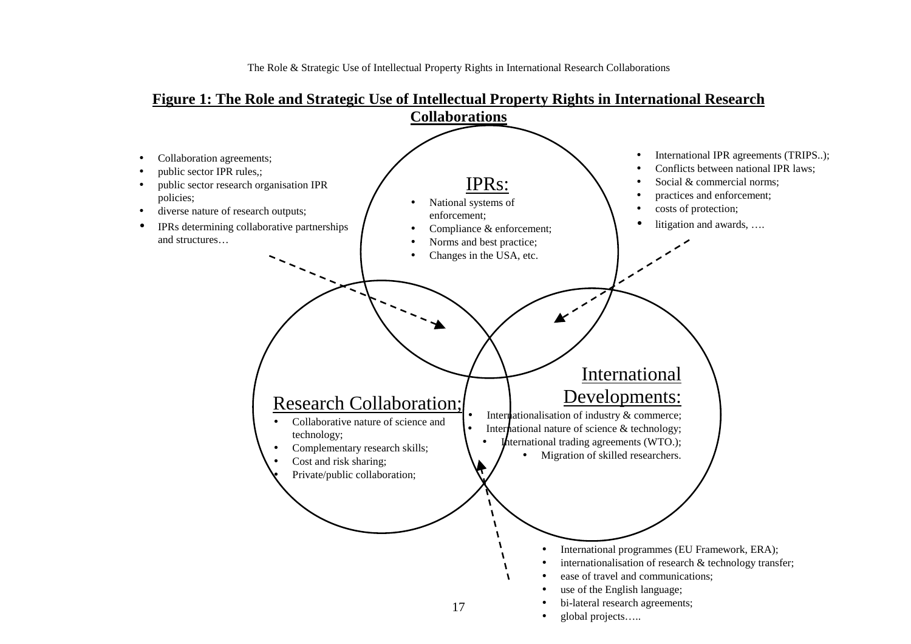**Figure 1: The Role and Strategic Use of Intellectual Property Rights in International Research Collaborations** International IPR agreements (TRIPS..); Collaboration agreements; •• Conflicts between national IPR laws; public sector IPR rules,; •IPRs: Social & commercial norms; public sector research organisation IPR ••policies; practices and enforcement; • National systems of • costs of protection; diverse nature of research outputs; ••enforcement; litigation and awards, …. IPRs determining collaborative partnerships • Compliance & enforcement; ••and structures… Norms and best practice; • Changes in the USA, etc. •International Developments: Research Collaboration; Internationalisation of industry & commerce; Collaborative nature of science and••International nature of science & technology; technology; •International trading agreements (WTO.); • Complementary research skills; • Migration of skilled researchers. • Cost and risk sharing; • Private/public collaboration; • $\mathbf{v}$  International programmes (EU Framework, ERA); • internationalisation of research & technology transfer; • ease of travel and communications; • use of the English language; • bi-lateral research agreements; 17•

•

•global projects…..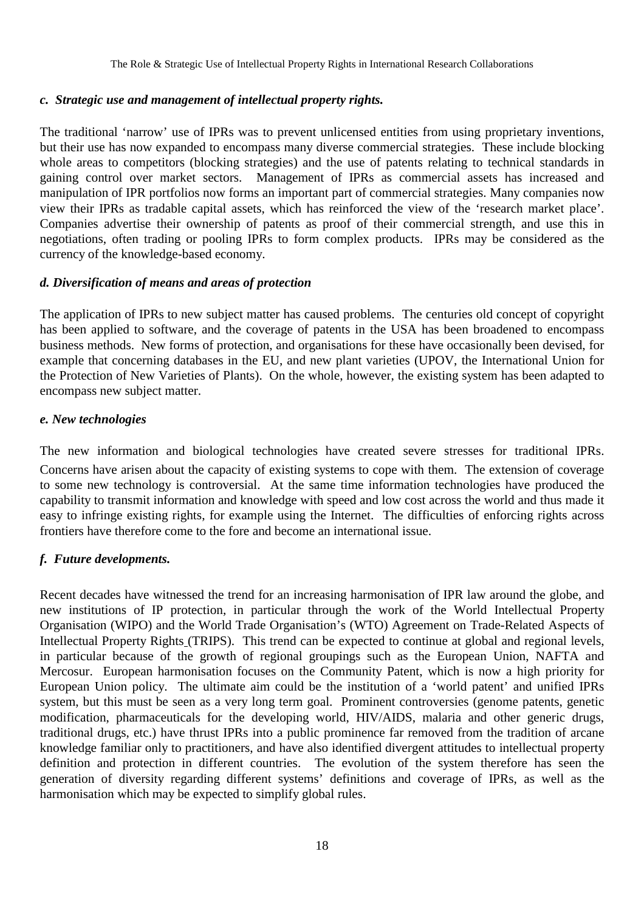#### *c. Strategic use and management of intellectual property rights.*

The traditional 'narrow' use of IPRs was to prevent unlicensed entities from using proprietary inventions, but their use has now expanded to encompass many diverse commercial strategies. These include blocking whole areas to competitors (blocking strategies) and the use of patents relating to technical standards in gaining control over market sectors. Management of IPRs as commercial assets has increased and manipulation of IPR portfolios now forms an important part of commercial strategies. Many companies now view their IPRs as tradable capital assets, which has reinforced the view of the 'research market place'. Companies advertise their ownership of patents as proof of their commercial strength, and use this in negotiations, often trading or pooling IPRs to form complex products. IPRs may be considered as the currency of the knowledge-based economy.

#### *d. Diversification of means and areas of protection*

The application of IPRs to new subject matter has caused problems. The centuries old concept of copyright has been applied to software, and the coverage of patents in the USA has been broadened to encompass business methods. New forms of protection, and organisations for these have occasionally been devised, for example that concerning databases in the EU, and new plant varieties (UPOV, the International Union for the Protection of New Varieties of Plants). On the whole, however, the existing system has been adapted to encompass new subject matter.

#### *e. New technologies*

The new information and biological technologies have created severe stresses for traditional IPRs. Concerns have arisen about the capacity of existing systems to cope with them. The extension of coverage to some new technology is controversial. At the same time information technologies have produced the capability to transmit information and knowledge with speed and low cost across the world and thus made it easy to infringe existing rights, for example using the Internet. The difficulties of enforcing rights across frontiers have therefore come to the fore and become an international issue.

#### *f. Future developments.*

Recent decades have witnessed the trend for an increasing harmonisation of IPR law around the globe, and new institutions of IP protection, in particular through the work of the World Intellectual Property Organisation (WIPO) and the World Trade Organisation's (WTO) Agreement on Trade-Related Aspects of Intellectual Property Rights (TRIPS). This trend can be expected to continue at global and regional levels, in particular because of the growth of regional groupings such as the European Union, NAFTA and Mercosur. European harmonisation focuses on the Community Patent, which is now a high priority for European Union policy. The ultimate aim could be the institution of a 'world patent' and unified IPRs system, but this must be seen as a very long term goal. Prominent controversies (genome patents, genetic modification, pharmaceuticals for the developing world, HIV/AIDS, malaria and other generic drugs, traditional drugs, etc.) have thrust IPRs into a public prominence far removed from the tradition of arcane knowledge familiar only to practitioners, and have also identified divergent attitudes to intellectual property definition and protection in different countries. The evolution of the system therefore has seen the generation of diversity regarding different systems' definitions and coverage of IPRs, as well as the harmonisation which may be expected to simplify global rules.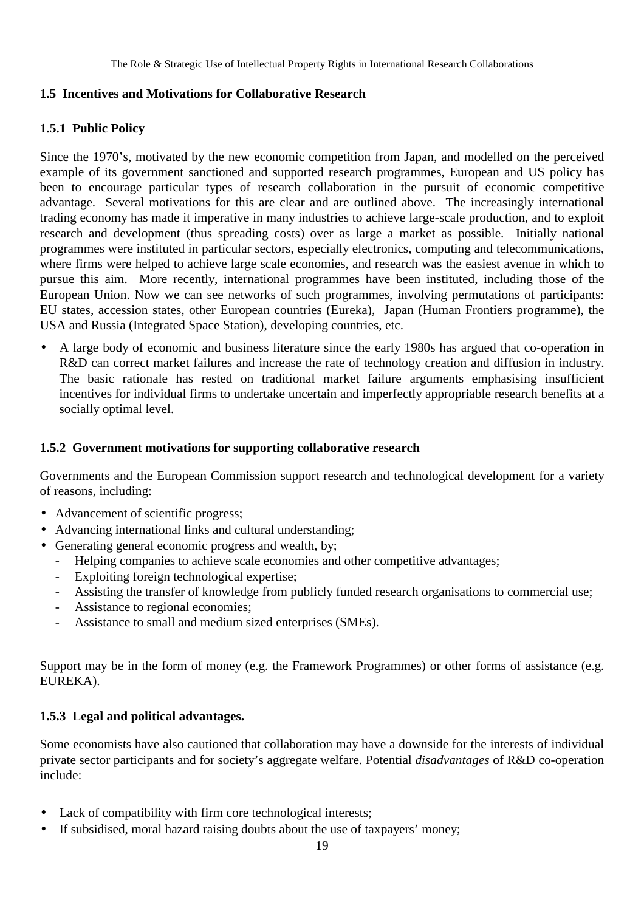## **1.5 Incentives and Motivations for Collaborative Research**

#### **1.5.1 Public Policy**

Since the 1970's, motivated by the new economic competition from Japan, and modelled on the perceived example of its government sanctioned and supported research programmes, European and US policy has been to encourage particular types of research collaboration in the pursuit of economic competitive advantage. Several motivations for this are clear and are outlined above. The increasingly international trading economy has made it imperative in many industries to achieve large-scale production, and to exploit research and development (thus spreading costs) over as large a market as possible. Initially national programmes were instituted in particular sectors, especially electronics, computing and telecommunications, where firms were helped to achieve large scale economies, and research was the easiest avenue in which to pursue this aim. More recently, international programmes have been instituted, including those of the European Union. Now we can see networks of such programmes, involving permutations of participants: EU states, accession states, other European countries (Eureka), Japan (Human Frontiers programme), the USA and Russia (Integrated Space Station), developing countries, etc.

• A large body of economic and business literature since the early 1980s has argued that co-operation in R&D can correct market failures and increase the rate of technology creation and diffusion in industry. The basic rationale has rested on traditional market failure arguments emphasising insufficient incentives for individual firms to undertake uncertain and imperfectly appropriable research benefits at a socially optimal level.

#### **1.5.2 Government motivations for supporting collaborative research**

Governments and the European Commission support research and technological development for a variety of reasons, including:

- Advancement of scientific progress;
- Advancing international links and cultural understanding;
- Generating general economic progress and wealth, by;
	- Helping companies to achieve scale economies and other competitive advantages;
	- Exploiting foreign technological expertise;
	- Assisting the transfer of knowledge from publicly funded research organisations to commercial use;
	- Assistance to regional economies;
	- Assistance to small and medium sized enterprises (SMEs).

Support may be in the form of money (e.g. the Framework Programmes) or other forms of assistance (e.g. EUREKA).

#### **1.5.3 Legal and political advantages.**

Some economists have also cautioned that collaboration may have a downside for the interests of individual private sector participants and for society's aggregate welfare. Potential *disadvantages* of R&D co-operation include:

- Lack of compatibility with firm core technological interests;
- If subsidised, moral hazard raising doubts about the use of taxpayers' money;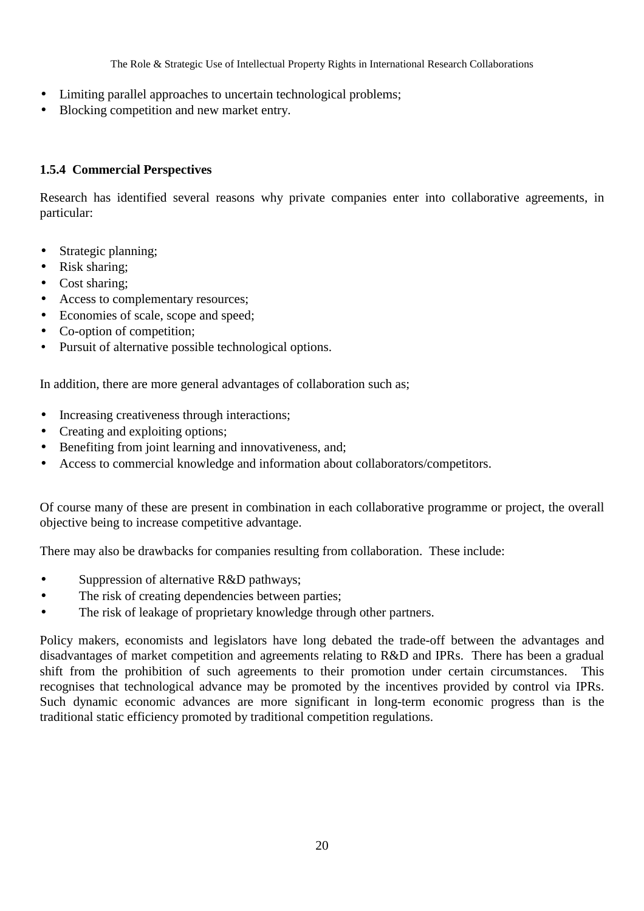- Limiting parallel approaches to uncertain technological problems;
- Blocking competition and new market entry.

#### **1.5.4 Commercial Perspectives**

Research has identified several reasons why private companies enter into collaborative agreements, in particular:

- Strategic planning;
- Risk sharing;
- Cost sharing:
- Access to complementary resources;
- Economies of scale, scope and speed;
- Co-option of competition;
- Pursuit of alternative possible technological options.

In addition, there are more general advantages of collaboration such as;

- Increasing creativeness through interactions;
- Creating and exploiting options;
- Benefiting from joint learning and innovativeness, and;
- Access to commercial knowledge and information about collaborators/competitors.

Of course many of these are present in combination in each collaborative programme or project, the overall objective being to increase competitive advantage.

There may also be drawbacks for companies resulting from collaboration. These include:

- Suppression of alternative R&D pathways;
- The risk of creating dependencies between parties;
- The risk of leakage of proprietary knowledge through other partners.

Policy makers, economists and legislators have long debated the trade-off between the advantages and disadvantages of market competition and agreements relating to R&D and IPRs. There has been a gradual shift from the prohibition of such agreements to their promotion under certain circumstances. This recognises that technological advance may be promoted by the incentives provided by control via IPRs. Such dynamic economic advances are more significant in long-term economic progress than is the traditional static efficiency promoted by traditional competition regulations.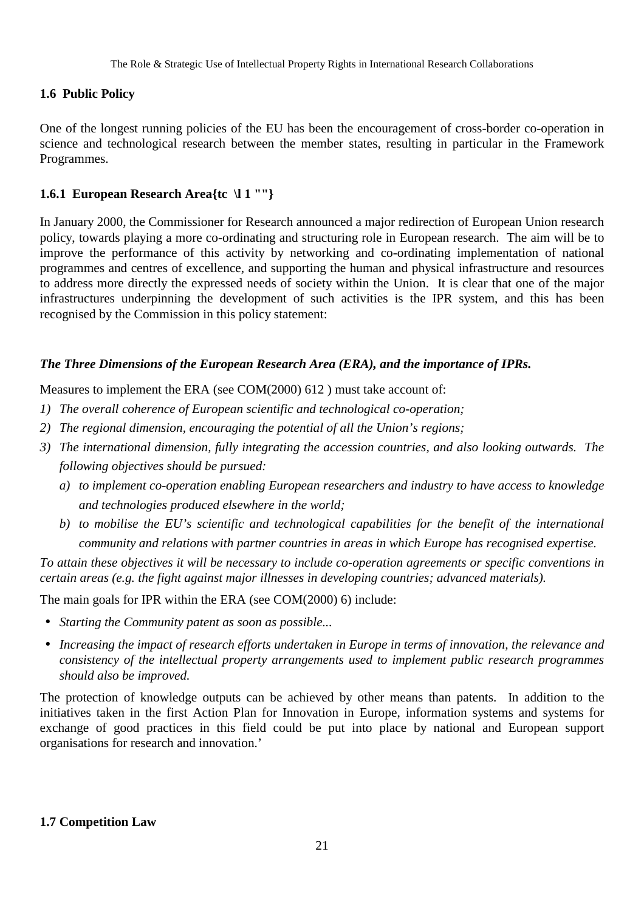#### **1.6 Public Policy**

One of the longest running policies of the EU has been the encouragement of cross-border co-operation in science and technological research between the member states, resulting in particular in the Framework Programmes.

#### **1.6.1 European Research Area{tc \l 1 ""}**

In January 2000, the Commissioner for Research announced a major redirection of European Union research policy, towards playing a more co-ordinating and structuring role in European research. The aim will be to improve the performance of this activity by networking and co-ordinating implementation of national programmes and centres of excellence, and supporting the human and physical infrastructure and resources to address more directly the expressed needs of society within the Union. It is clear that one of the major infrastructures underpinning the development of such activities is the IPR system, and this has been recognised by the Commission in this policy statement:

#### *The Three Dimensions of the European Research Area (ERA), and the importance of IPRs.*

Measures to implement the ERA (see COM(2000) 612 ) must take account of:

- *1) The overall coherence of European scientific and technological co-operation;*
- *2) The regional dimension, encouraging the potential of all the Union's regions;*
- *3) The international dimension, fully integrating the accession countries, and also looking outwards. The following objectives should be pursued:*
	- *a) to implement co-operation enabling European researchers and industry to have access to knowledge and technologies produced elsewhere in the world;*
	- *b) to mobilise the EU's scientific and technological capabilities for the benefit of the international community and relations with partner countries in areas in which Europe has recognised expertise.*

*To attain these objectives it will be necessary to include co-operation agreements or specific conventions in certain areas (e.g. the fight against major illnesses in developing countries; advanced materials).*

The main goals for IPR within the ERA (see COM(2000) 6) include:

- *Starting the Community patent as soon as possible...*
- *Increasing the impact of research efforts undertaken in Europe in terms of innovation, the relevance and consistency of the intellectual property arrangements used to implement public research programmes should also be improved.*

The protection of knowledge outputs can be achieved by other means than patents. In addition to the initiatives taken in the first Action Plan for Innovation in Europe, information systems and systems for exchange of good practices in this field could be put into place by national and European support organisations for research and innovation.'

#### **1.7 Competition Law**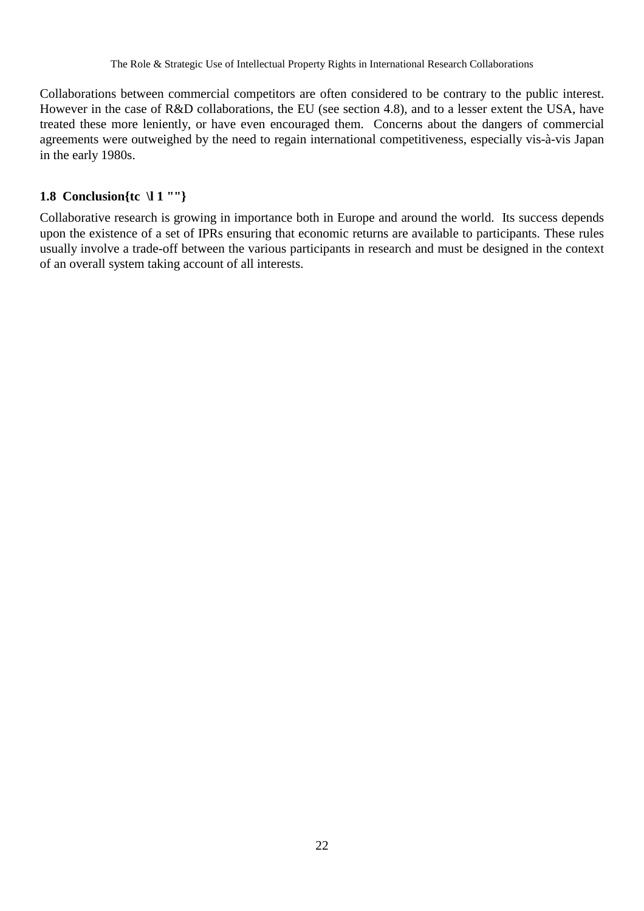Collaborations between commercial competitors are often considered to be contrary to the public interest. However in the case of R&D collaborations, the EU (see section 4.8), and to a lesser extent the USA, have treated these more leniently, or have even encouraged them. Concerns about the dangers of commercial agreements were outweighed by the need to regain international competitiveness, especially vis-à-vis Japan in the early 1980s.

## **1.8 Conclusion{tc \l 1 ""}**

Collaborative research is growing in importance both in Europe and around the world. Its success depends upon the existence of a set of IPRs ensuring that economic returns are available to participants. These rules usually involve a trade-off between the various participants in research and must be designed in the context of an overall system taking account of all interests.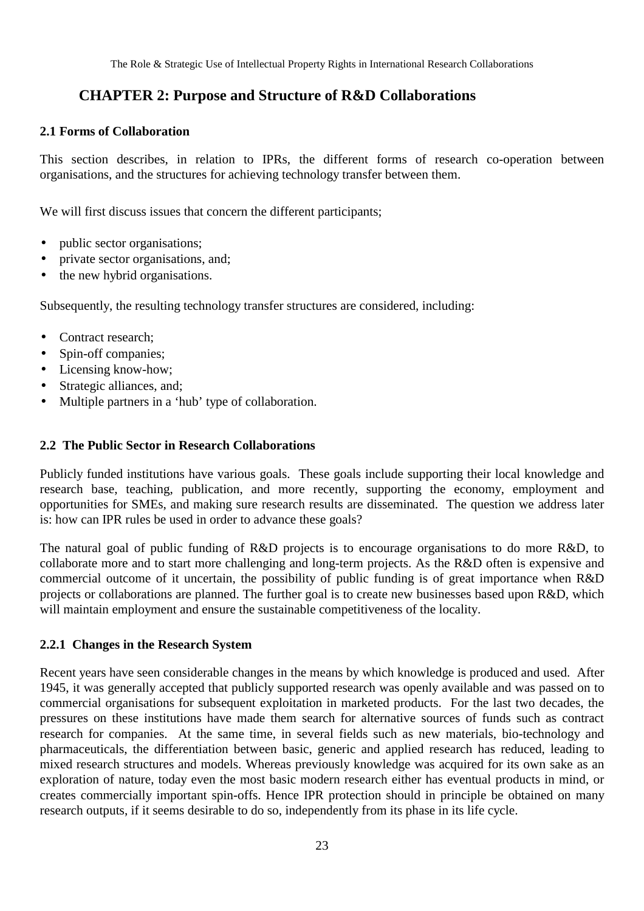# **CHAPTER 2: Purpose and Structure of R&D Collaborations**

#### **2.1 Forms of Collaboration**

This section describes, in relation to IPRs, the different forms of research co-operation between organisations, and the structures for achieving technology transfer between them.

We will first discuss issues that concern the different participants;

- public sector organisations;
- private sector organisations, and;
- the new hybrid organisations.

Subsequently, the resulting technology transfer structures are considered, including:

- Contract research;
- Spin-off companies;
- Licensing know-how;
- Strategic alliances, and;
- Multiple partners in a 'hub' type of collaboration.

#### **2.2 The Public Sector in Research Collaborations**

Publicly funded institutions have various goals. These goals include supporting their local knowledge and research base, teaching, publication, and more recently, supporting the economy, employment and opportunities for SMEs, and making sure research results are disseminated. The question we address later is: how can IPR rules be used in order to advance these goals?

The natural goal of public funding of R&D projects is to encourage organisations to do more R&D, to collaborate more and to start more challenging and long-term projects. As the R&D often is expensive and commercial outcome of it uncertain, the possibility of public funding is of great importance when R&D projects or collaborations are planned. The further goal is to create new businesses based upon R&D, which will maintain employment and ensure the sustainable competitiveness of the locality.

#### **2.2.1 Changes in the Research System**

Recent years have seen considerable changes in the means by which knowledge is produced and used. After 1945, it was generally accepted that publicly supported research was openly available and was passed on to commercial organisations for subsequent exploitation in marketed products. For the last two decades, the pressures on these institutions have made them search for alternative sources of funds such as contract research for companies. At the same time, in several fields such as new materials, bio-technology and pharmaceuticals, the differentiation between basic, generic and applied research has reduced, leading to mixed research structures and models. Whereas previously knowledge was acquired for its own sake as an exploration of nature, today even the most basic modern research either has eventual products in mind, or creates commercially important spin-offs. Hence IPR protection should in principle be obtained on many research outputs, if it seems desirable to do so, independently from its phase in its life cycle.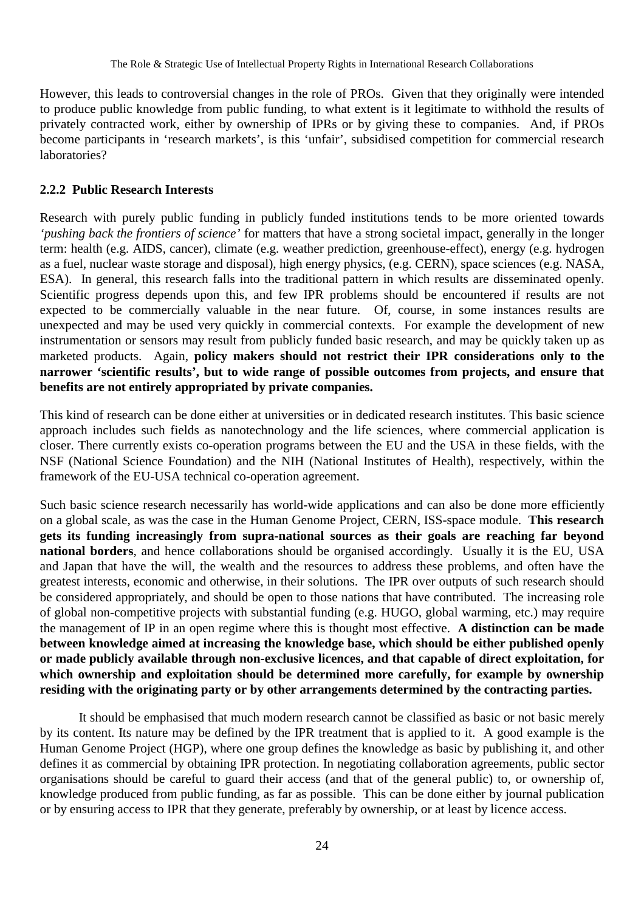However, this leads to controversial changes in the role of PROs. Given that they originally were intended to produce public knowledge from public funding, to what extent is it legitimate to withhold the results of privately contracted work, either by ownership of IPRs or by giving these to companies. And, if PROs become participants in 'research markets', is this 'unfair', subsidised competition for commercial research laboratories?

#### **2.2.2 Public Research Interests**

Research with purely public funding in publicly funded institutions tends to be more oriented towards *'pushing back the frontiers of science'* for matters that have a strong societal impact, generally in the longer term: health (e.g. AIDS, cancer), climate (e.g. weather prediction, greenhouse-effect), energy (e.g. hydrogen as a fuel, nuclear waste storage and disposal), high energy physics, (e.g. CERN), space sciences (e.g. NASA, ESA). In general, this research falls into the traditional pattern in which results are disseminated openly. Scientific progress depends upon this, and few IPR problems should be encountered if results are not expected to be commercially valuable in the near future. Of, course, in some instances results are unexpected and may be used very quickly in commercial contexts. For example the development of new instrumentation or sensors may result from publicly funded basic research, and may be quickly taken up as marketed products. Again, **policy makers should not restrict their IPR considerations only to the narrower 'scientific results', but to wide range of possible outcomes from projects, and ensure that benefits are not entirely appropriated by private companies.**

This kind of research can be done either at universities or in dedicated research institutes. This basic science approach includes such fields as nanotechnology and the life sciences, where commercial application is closer. There currently exists co-operation programs between the EU and the USA in these fields, with the NSF (National Science Foundation) and the NIH (National Institutes of Health), respectively, within the framework of the EU-USA technical co-operation agreement.

Such basic science research necessarily has world-wide applications and can also be done more efficiently on a global scale, as was the case in the Human Genome Project, CERN, ISS-space module. **This research gets its funding increasingly from supra-national sources as their goals are reaching far beyond national borders**, and hence collaborations should be organised accordingly. Usually it is the EU, USA and Japan that have the will, the wealth and the resources to address these problems, and often have the greatest interests, economic and otherwise, in their solutions. The IPR over outputs of such research should be considered appropriately, and should be open to those nations that have contributed. The increasing role of global non-competitive projects with substantial funding (e.g. HUGO, global warming, etc.) may require the management of IP in an open regime where this is thought most effective. **A distinction can be made between knowledge aimed at increasing the knowledge base, which should be either published openly or made publicly available through non-exclusive licences, and that capable of direct exploitation, for which ownership and exploitation should be determined more carefully, for example by ownership residing with the originating party or by other arrangements determined by the contracting parties.**

It should be emphasised that much modern research cannot be classified as basic or not basic merely by its content. Its nature may be defined by the IPR treatment that is applied to it. A good example is the Human Genome Project (HGP), where one group defines the knowledge as basic by publishing it, and other defines it as commercial by obtaining IPR protection. In negotiating collaboration agreements, public sector organisations should be careful to guard their access (and that of the general public) to, or ownership of, knowledge produced from public funding, as far as possible. This can be done either by journal publication or by ensuring access to IPR that they generate, preferably by ownership, or at least by licence access.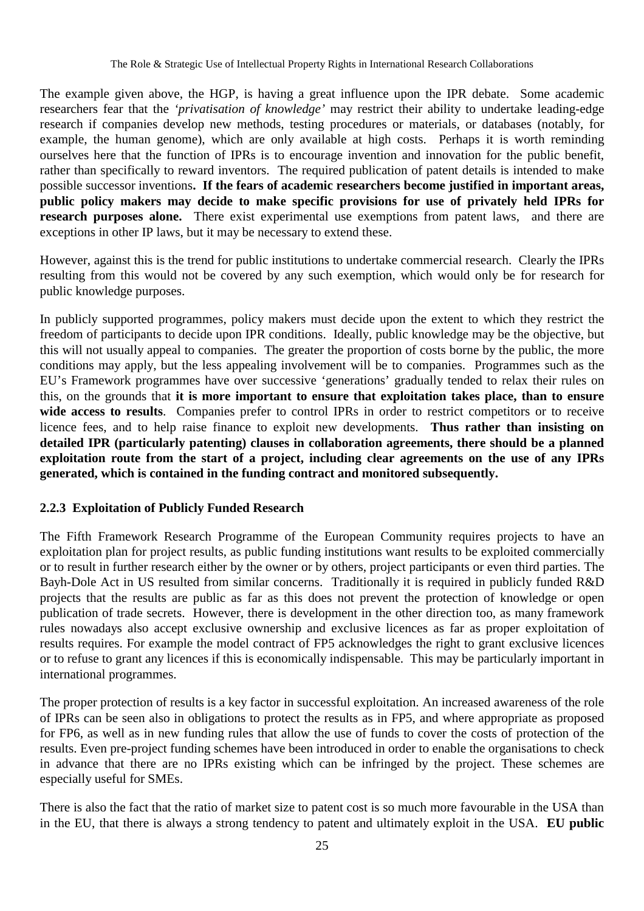The example given above, the HGP, is having a great influence upon the IPR debate. Some academic researchers fear that the *'privatisation of knowledge'* may restrict their ability to undertake leading-edge research if companies develop new methods, testing procedures or materials, or databases (notably, for example, the human genome), which are only available at high costs. Perhaps it is worth reminding ourselves here that the function of IPRs is to encourage invention and innovation for the public benefit, rather than specifically to reward inventors. The required publication of patent details is intended to make possible successor inventions**. If the fears of academic researchers become justified in important areas, public policy makers may decide to make specific provisions for use of privately held IPRs for research purposes alone.** There exist experimental use exemptions from patent laws, and there are exceptions in other IP laws, but it may be necessary to extend these.

However, against this is the trend for public institutions to undertake commercial research. Clearly the IPRs resulting from this would not be covered by any such exemption, which would only be for research for public knowledge purposes.

In publicly supported programmes, policy makers must decide upon the extent to which they restrict the freedom of participants to decide upon IPR conditions. Ideally, public knowledge may be the objective, but this will not usually appeal to companies. The greater the proportion of costs borne by the public, the more conditions may apply, but the less appealing involvement will be to companies. Programmes such as the EU's Framework programmes have over successive 'generations' gradually tended to relax their rules on this, on the grounds that **it is more important to ensure that exploitation takes place, than to ensure** wide access to results. Companies prefer to control IPRs in order to restrict competitors or to receive licence fees, and to help raise finance to exploit new developments. **Thus rather than insisting on detailed IPR (particularly patenting) clauses in collaboration agreements, there should be a planned exploitation route from the start of a project, including clear agreements on the use of any IPRs generated, which is contained in the funding contract and monitored subsequently.**

#### **2.2.3 Exploitation of Publicly Funded Research**

The Fifth Framework Research Programme of the European Community requires projects to have an exploitation plan for project results, as public funding institutions want results to be exploited commercially or to result in further research either by the owner or by others, project participants or even third parties. The Bayh-Dole Act in US resulted from similar concerns. Traditionally it is required in publicly funded R&D projects that the results are public as far as this does not prevent the protection of knowledge or open publication of trade secrets. However, there is development in the other direction too, as many framework rules nowadays also accept exclusive ownership and exclusive licences as far as proper exploitation of results requires. For example the model contract of FP5 acknowledges the right to grant exclusive licences or to refuse to grant any licences if this is economically indispensable. This may be particularly important in international programmes.

The proper protection of results is a key factor in successful exploitation. An increased awareness of the role of IPRs can be seen also in obligations to protect the results as in FP5, and where appropriate as proposed for FP6, as well as in new funding rules that allow the use of funds to cover the costs of protection of the results. Even pre-project funding schemes have been introduced in order to enable the organisations to check in advance that there are no IPRs existing which can be infringed by the project. These schemes are especially useful for SMEs.

There is also the fact that the ratio of market size to patent cost is so much more favourable in the USA than in the EU, that there is always a strong tendency to patent and ultimately exploit in the USA. **EU public**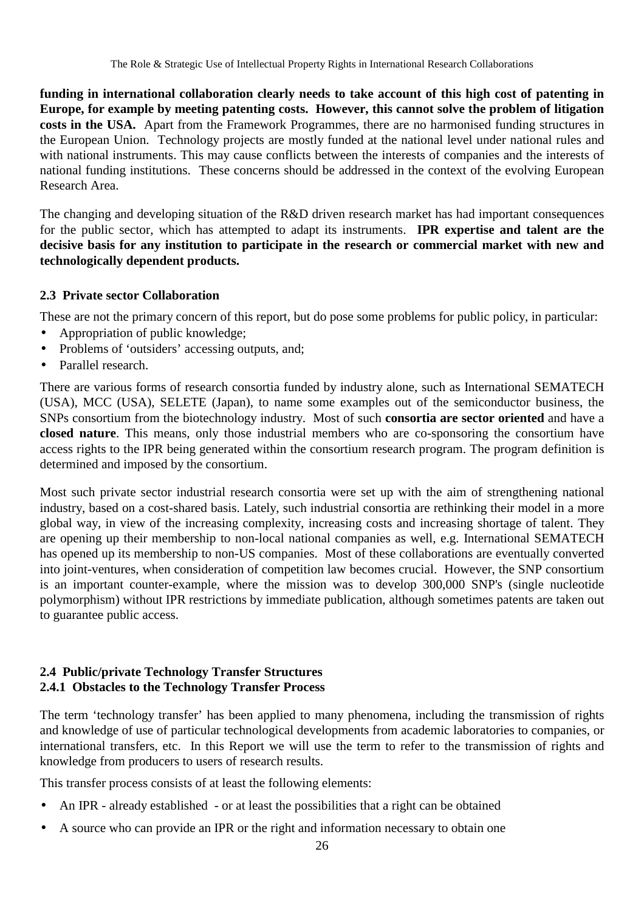**funding in international collaboration clearly needs to take account of this high cost of patenting in Europe, for example by meeting patenting costs. However, this cannot solve the problem of litigation costs in the USA.** Apart from the Framework Programmes, there are no harmonised funding structures in the European Union. Technology projects are mostly funded at the national level under national rules and with national instruments. This may cause conflicts between the interests of companies and the interests of national funding institutions. These concerns should be addressed in the context of the evolving European Research Area.

The changing and developing situation of the R&D driven research market has had important consequences for the public sector, which has attempted to adapt its instruments. **IPR expertise and talent are the decisive basis for any institution to participate in the research or commercial market with new and technologically dependent products.**

#### **2.3 Private sector Collaboration**

These are not the primary concern of this report, but do pose some problems for public policy, in particular:

- Appropriation of public knowledge;
- Problems of 'outsiders' accessing outputs, and;
- Parallel research.

There are various forms of research consortia funded by industry alone, such as International SEMATECH (USA), MCC (USA), SELETE (Japan), to name some examples out of the semiconductor business, the SNPs consortium from the biotechnology industry. Most of such **consortia are sector oriented** and have a **closed nature**. This means, only those industrial members who are co-sponsoring the consortium have access rights to the IPR being generated within the consortium research program. The program definition is determined and imposed by the consortium.

Most such private sector industrial research consortia were set up with the aim of strengthening national industry, based on a cost-shared basis. Lately, such industrial consortia are rethinking their model in a more global way, in view of the increasing complexity, increasing costs and increasing shortage of talent. They are opening up their membership to non-local national companies as well, e.g. International SEMATECH has opened up its membership to non-US companies. Most of these collaborations are eventually converted into joint-ventures, when consideration of competition law becomes crucial. However, the SNP consortium is an important counter-example, where the mission was to develop 300,000 SNP's (single nucleotide polymorphism) without IPR restrictions by immediate publication, although sometimes patents are taken out to guarantee public access.

#### **2.4 Public/private Technology Transfer Structures 2.4.1 Obstacles to the Technology Transfer Process**

The term 'technology transfer' has been applied to many phenomena, including the transmission of rights and knowledge of use of particular technological developments from academic laboratories to companies, or international transfers, etc. In this Report we will use the term to refer to the transmission of rights and knowledge from producers to users of research results.

This transfer process consists of at least the following elements:

- An IPR already established or at least the possibilities that a right can be obtained
- A source who can provide an IPR or the right and information necessary to obtain one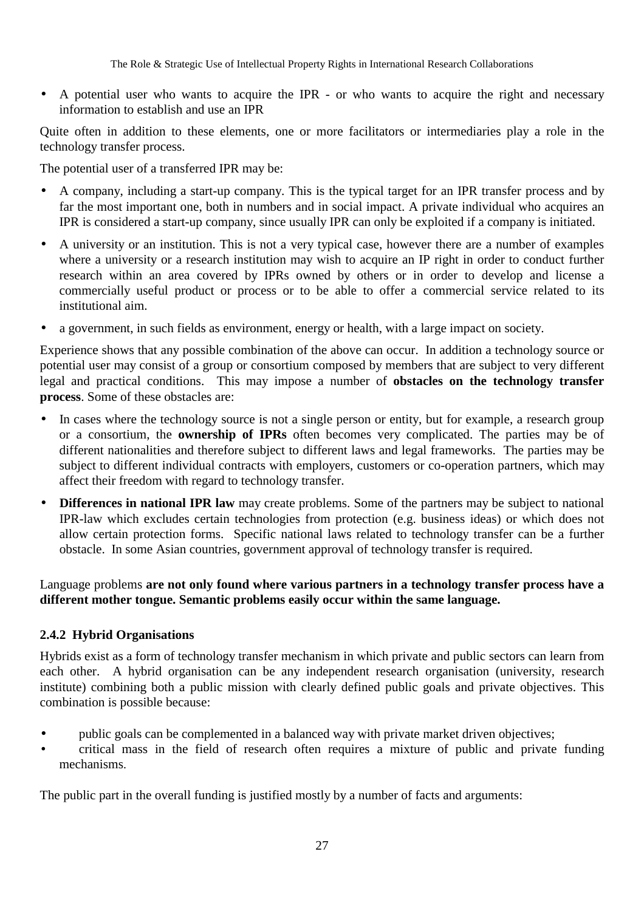• A potential user who wants to acquire the IPR - or who wants to acquire the right and necessary information to establish and use an IPR

Quite often in addition to these elements, one or more facilitators or intermediaries play a role in the technology transfer process.

The potential user of a transferred IPR may be:

- A company, including a start-up company. This is the typical target for an IPR transfer process and by far the most important one, both in numbers and in social impact. A private individual who acquires an IPR is considered a start-up company, since usually IPR can only be exploited if a company is initiated.
- A university or an institution. This is not a very typical case, however there are a number of examples where a university or a research institution may wish to acquire an IP right in order to conduct further research within an area covered by IPRs owned by others or in order to develop and license a commercially useful product or process or to be able to offer a commercial service related to its institutional aim.
- a government, in such fields as environment, energy or health, with a large impact on society.

Experience shows that any possible combination of the above can occur. In addition a technology source or potential user may consist of a group or consortium composed by members that are subject to very different legal and practical conditions. This may impose a number of **obstacles on the technology transfer process**. Some of these obstacles are:

- In cases where the technology source is not a single person or entity, but for example, a research group or a consortium, the **ownership of IPRs** often becomes very complicated. The parties may be of different nationalities and therefore subject to different laws and legal frameworks. The parties may be subject to different individual contracts with employers, customers or co-operation partners, which may affect their freedom with regard to technology transfer.
- **Differences in national IPR law** may create problems. Some of the partners may be subject to national IPR-law which excludes certain technologies from protection (e.g. business ideas) or which does not allow certain protection forms. Specific national laws related to technology transfer can be a further obstacle. In some Asian countries, government approval of technology transfer is required.

Language problems **are not only found where various partners in a technology transfer process have a different mother tongue. Semantic problems easily occur within the same language.**

#### **2.4.2 Hybrid Organisations**

Hybrids exist as a form of technology transfer mechanism in which private and public sectors can learn from each other. A hybrid organisation can be any independent research organisation (university, research institute) combining both a public mission with clearly defined public goals and private objectives. This combination is possible because:

- public goals can be complemented in a balanced way with private market driven objectives;
- critical mass in the field of research often requires a mixture of public and private funding mechanisms.

The public part in the overall funding is justified mostly by a number of facts and arguments: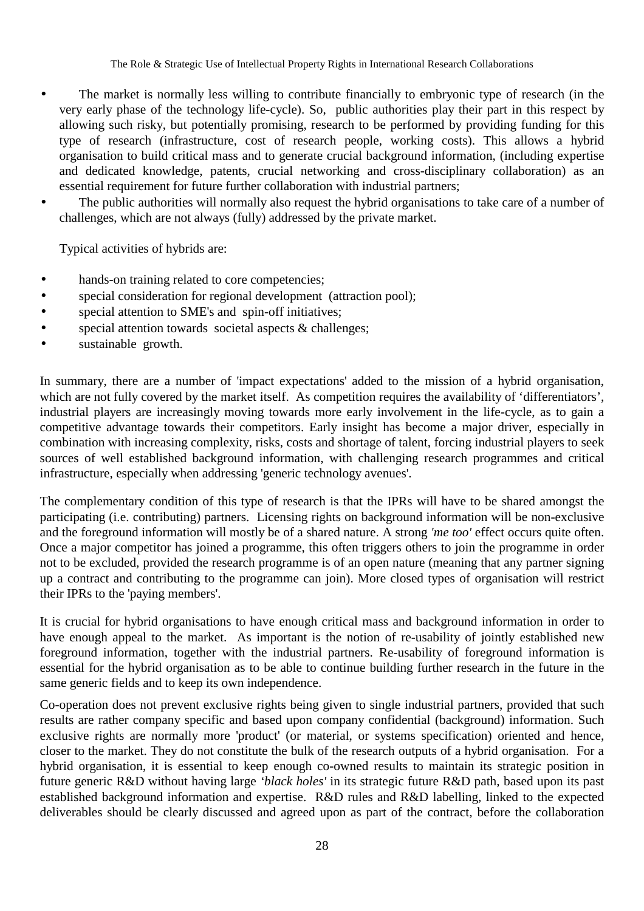- The market is normally less willing to contribute financially to embryonic type of research (in the very early phase of the technology life-cycle). So, public authorities play their part in this respect by allowing such risky, but potentially promising, research to be performed by providing funding for this type of research (infrastructure, cost of research people, working costs). This allows a hybrid organisation to build critical mass and to generate crucial background information, (including expertise and dedicated knowledge, patents, crucial networking and cross-disciplinary collaboration) as an essential requirement for future further collaboration with industrial partners;
- The public authorities will normally also request the hybrid organisations to take care of a number of challenges, which are not always (fully) addressed by the private market.

Typical activities of hybrids are:

- hands-on training related to core competencies;
- special consideration for regional development (attraction pool);
- special attention to SME's and spin-off initiatives;
- special attention towards societal aspects & challenges;
- sustainable growth.

In summary, there are a number of 'impact expectations' added to the mission of a hybrid organisation, which are not fully covered by the market itself. As competition requires the availability of 'differentiators', industrial players are increasingly moving towards more early involvement in the life-cycle, as to gain a competitive advantage towards their competitors. Early insight has become a major driver, especially in combination with increasing complexity, risks, costs and shortage of talent, forcing industrial players to seek sources of well established background information, with challenging research programmes and critical infrastructure, especially when addressing 'generic technology avenues'.

The complementary condition of this type of research is that the IPRs will have to be shared amongst the participating (i.e. contributing) partners. Licensing rights on background information will be non-exclusive and the foreground information will mostly be of a shared nature. A strong *'me too'* effect occurs quite often. Once a major competitor has joined a programme, this often triggers others to join the programme in order not to be excluded, provided the research programme is of an open nature (meaning that any partner signing up a contract and contributing to the programme can join). More closed types of organisation will restrict their IPRs to the 'paying members'.

It is crucial for hybrid organisations to have enough critical mass and background information in order to have enough appeal to the market. As important is the notion of re-usability of jointly established new foreground information, together with the industrial partners. Re-usability of foreground information is essential for the hybrid organisation as to be able to continue building further research in the future in the same generic fields and to keep its own independence.

Co-operation does not prevent exclusive rights being given to single industrial partners, provided that such results are rather company specific and based upon company confidential (background) information. Such exclusive rights are normally more 'product' (or material, or systems specification) oriented and hence, closer to the market. They do not constitute the bulk of the research outputs of a hybrid organisation. For a hybrid organisation, it is essential to keep enough co-owned results to maintain its strategic position in future generic R&D without having large *'black holes'* in its strategic future R&D path, based upon its past established background information and expertise. R&D rules and R&D labelling, linked to the expected deliverables should be clearly discussed and agreed upon as part of the contract, before the collaboration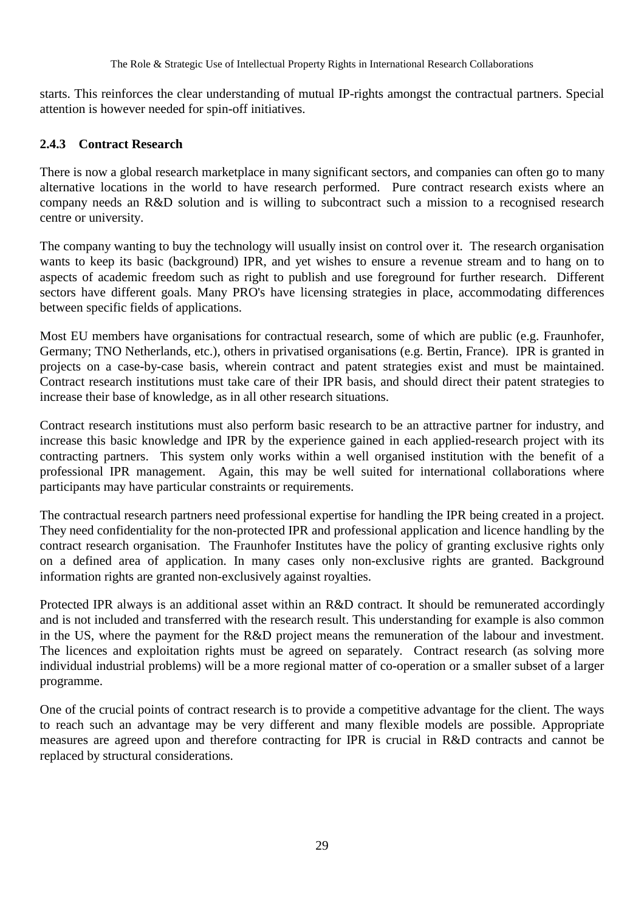starts. This reinforces the clear understanding of mutual IP-rights amongst the contractual partners. Special attention is however needed for spin-off initiatives.

#### **2.4.3 Contract Research**

There is now a global research marketplace in many significant sectors, and companies can often go to many alternative locations in the world to have research performed. Pure contract research exists where an company needs an R&D solution and is willing to subcontract such a mission to a recognised research centre or university.

The company wanting to buy the technology will usually insist on control over it. The research organisation wants to keep its basic (background) IPR, and yet wishes to ensure a revenue stream and to hang on to aspects of academic freedom such as right to publish and use foreground for further research. Different sectors have different goals. Many PRO's have licensing strategies in place, accommodating differences between specific fields of applications.

Most EU members have organisations for contractual research, some of which are public (e.g. Fraunhofer, Germany; TNO Netherlands, etc.), others in privatised organisations (e.g. Bertin, France). IPR is granted in projects on a case-by-case basis, wherein contract and patent strategies exist and must be maintained. Contract research institutions must take care of their IPR basis, and should direct their patent strategies to increase their base of knowledge, as in all other research situations.

Contract research institutions must also perform basic research to be an attractive partner for industry, and increase this basic knowledge and IPR by the experience gained in each applied-research project with its contracting partners. This system only works within a well organised institution with the benefit of a professional IPR management. Again, this may be well suited for international collaborations where participants may have particular constraints or requirements.

The contractual research partners need professional expertise for handling the IPR being created in a project. They need confidentiality for the non-protected IPR and professional application and licence handling by the contract research organisation. The Fraunhofer Institutes have the policy of granting exclusive rights only on a defined area of application. In many cases only non-exclusive rights are granted. Background information rights are granted non-exclusively against royalties.

Protected IPR always is an additional asset within an R&D contract. It should be remunerated accordingly and is not included and transferred with the research result. This understanding for example is also common in the US, where the payment for the R&D project means the remuneration of the labour and investment. The licences and exploitation rights must be agreed on separately. Contract research (as solving more individual industrial problems) will be a more regional matter of co-operation or a smaller subset of a larger programme.

One of the crucial points of contract research is to provide a competitive advantage for the client. The ways to reach such an advantage may be very different and many flexible models are possible. Appropriate measures are agreed upon and therefore contracting for IPR is crucial in R&D contracts and cannot be replaced by structural considerations.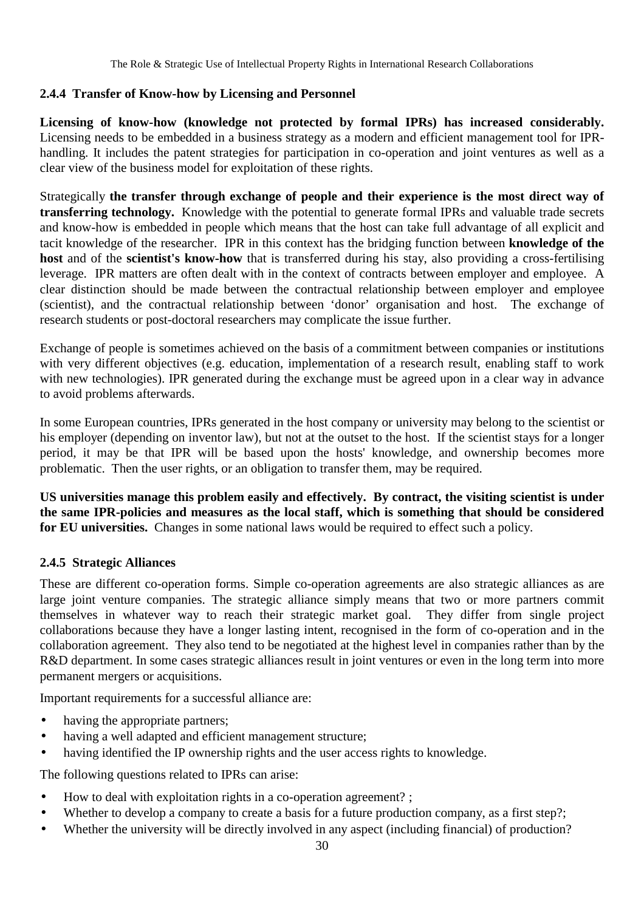## **2.4.4 Transfer of Know-how by Licensing and Personnel**

**Licensing of know-how (knowledge not protected by formal IPRs) has increased considerably.** Licensing needs to be embedded in a business strategy as a modern and efficient management tool for IPRhandling. It includes the patent strategies for participation in co-operation and joint ventures as well as a clear view of the business model for exploitation of these rights.

Strategically **the transfer through exchange of people and their experience is the most direct way of transferring technology.** Knowledge with the potential to generate formal IPRs and valuable trade secrets and know-how is embedded in people which means that the host can take full advantage of all explicit and tacit knowledge of the researcher. IPR in this context has the bridging function between **knowledge of the host** and of the **scientist's know-how** that is transferred during his stay, also providing a cross-fertilising leverage. IPR matters are often dealt with in the context of contracts between employer and employee. A clear distinction should be made between the contractual relationship between employer and employee (scientist), and the contractual relationship between 'donor' organisation and host. The exchange of research students or post-doctoral researchers may complicate the issue further.

Exchange of people is sometimes achieved on the basis of a commitment between companies or institutions with very different objectives (e.g. education, implementation of a research result, enabling staff to work with new technologies). IPR generated during the exchange must be agreed upon in a clear way in advance to avoid problems afterwards.

In some European countries, IPRs generated in the host company or university may belong to the scientist or his employer (depending on inventor law), but not at the outset to the host. If the scientist stays for a longer period, it may be that IPR will be based upon the hosts' knowledge, and ownership becomes more problematic. Then the user rights, or an obligation to transfer them, may be required.

**US universities manage this problem easily and effectively. By contract, the visiting scientist is under the same IPR-policies and measures as the local staff, which is something that should be considered for EU universities.** Changes in some national laws would be required to effect such a policy.

#### **2.4.5 Strategic Alliances**

These are different co-operation forms. Simple co-operation agreements are also strategic alliances as are large joint venture companies. The strategic alliance simply means that two or more partners commit themselves in whatever way to reach their strategic market goal. They differ from single project collaborations because they have a longer lasting intent, recognised in the form of co-operation and in the collaboration agreement. They also tend to be negotiated at the highest level in companies rather than by the R&D department. In some cases strategic alliances result in joint ventures or even in the long term into more permanent mergers or acquisitions.

Important requirements for a successful alliance are:

- having the appropriate partners:
- having a well adapted and efficient management structure;
- having identified the IP ownership rights and the user access rights to knowledge.

The following questions related to IPRs can arise:

- How to deal with exploitation rights in a co-operation agreement? ;
- Whether to develop a company to create a basis for a future production company, as a first step?;
- Whether the university will be directly involved in any aspect (including financial) of production?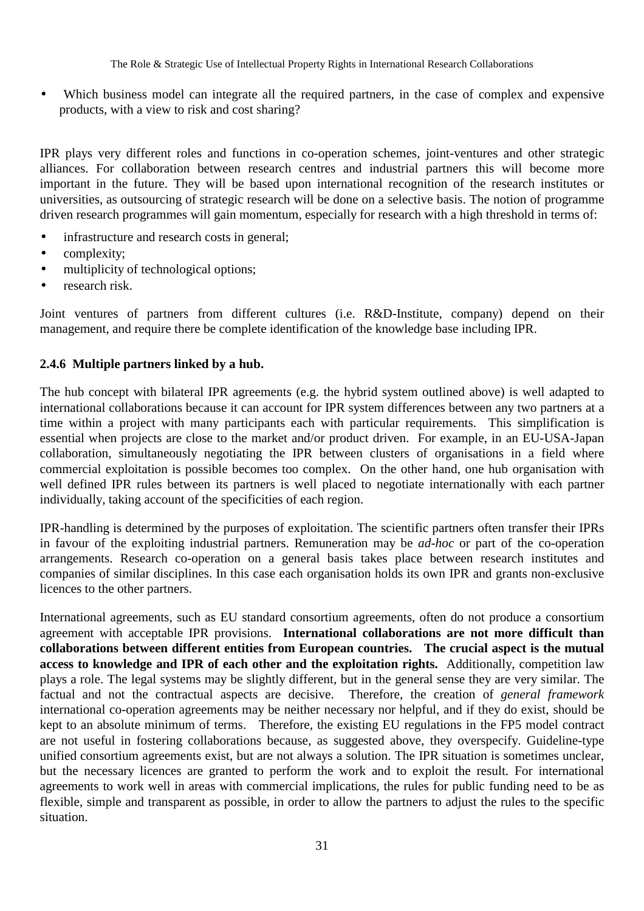• Which business model can integrate all the required partners, in the case of complex and expensive products, with a view to risk and cost sharing?

IPR plays very different roles and functions in co-operation schemes, joint-ventures and other strategic alliances. For collaboration between research centres and industrial partners this will become more important in the future. They will be based upon international recognition of the research institutes or universities, as outsourcing of strategic research will be done on a selective basis. The notion of programme driven research programmes will gain momentum, especially for research with a high threshold in terms of:

- infrastructure and research costs in general;
- complexity;
- multiplicity of technological options:
- research risk.

Joint ventures of partners from different cultures (i.e. R&D-Institute, company) depend on their management, and require there be complete identification of the knowledge base including IPR.

#### **2.4.6 Multiple partners linked by a hub.**

The hub concept with bilateral IPR agreements (e.g. the hybrid system outlined above) is well adapted to international collaborations because it can account for IPR system differences between any two partners at a time within a project with many participants each with particular requirements. This simplification is essential when projects are close to the market and/or product driven. For example, in an EU-USA-Japan collaboration, simultaneously negotiating the IPR between clusters of organisations in a field where commercial exploitation is possible becomes too complex. On the other hand, one hub organisation with well defined IPR rules between its partners is well placed to negotiate internationally with each partner individually, taking account of the specificities of each region.

IPR-handling is determined by the purposes of exploitation. The scientific partners often transfer their IPRs in favour of the exploiting industrial partners. Remuneration may be *ad-hoc* or part of the co-operation arrangements. Research co-operation on a general basis takes place between research institutes and companies of similar disciplines. In this case each organisation holds its own IPR and grants non-exclusive licences to the other partners.

International agreements, such as EU standard consortium agreements, often do not produce a consortium agreement with acceptable IPR provisions. **International collaborations are not more difficult than collaborations between different entities from European countries. The crucial aspect is the mutual access to knowledge and IPR of each other and the exploitation rights.** Additionally, competition law plays a role. The legal systems may be slightly different, but in the general sense they are very similar. The factual and not the contractual aspects are decisive. Therefore, the creation of *general framework* international co-operation agreements may be neither necessary nor helpful, and if they do exist, should be kept to an absolute minimum of terms. Therefore, the existing EU regulations in the FP5 model contract are not useful in fostering collaborations because, as suggested above, they overspecify. Guideline-type unified consortium agreements exist, but are not always a solution. The IPR situation is sometimes unclear, but the necessary licences are granted to perform the work and to exploit the result. For international agreements to work well in areas with commercial implications, the rules for public funding need to be as flexible, simple and transparent as possible, in order to allow the partners to adjust the rules to the specific situation.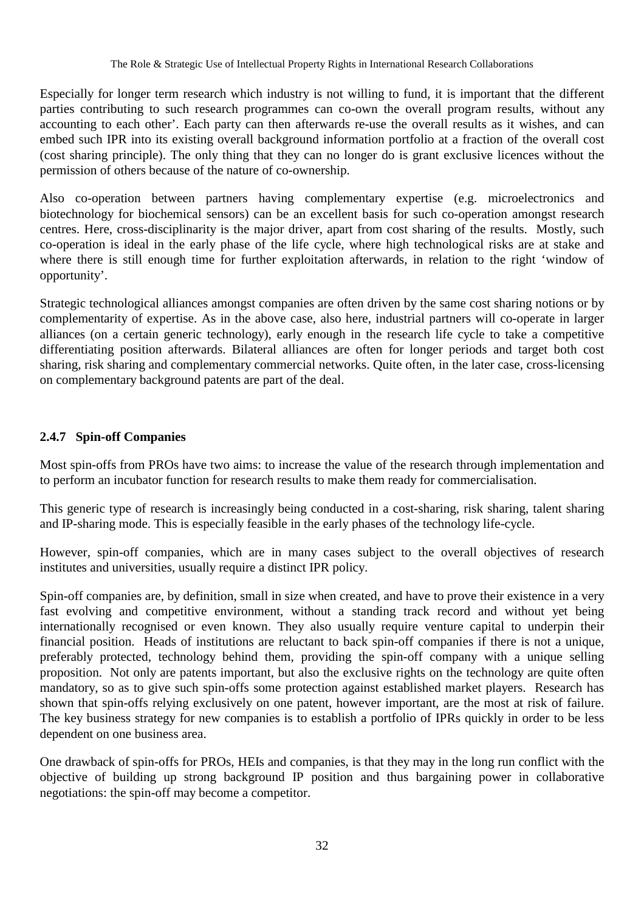Especially for longer term research which industry is not willing to fund, it is important that the different parties contributing to such research programmes can co-own the overall program results, without any accounting to each other'. Each party can then afterwards re-use the overall results as it wishes, and can embed such IPR into its existing overall background information portfolio at a fraction of the overall cost (cost sharing principle). The only thing that they can no longer do is grant exclusive licences without the permission of others because of the nature of co-ownership.

Also co-operation between partners having complementary expertise (e.g. microelectronics and biotechnology for biochemical sensors) can be an excellent basis for such co-operation amongst research centres. Here, cross-disciplinarity is the major driver, apart from cost sharing of the results. Mostly, such co-operation is ideal in the early phase of the life cycle, where high technological risks are at stake and where there is still enough time for further exploitation afterwards, in relation to the right 'window of opportunity'.

Strategic technological alliances amongst companies are often driven by the same cost sharing notions or by complementarity of expertise. As in the above case, also here, industrial partners will co-operate in larger alliances (on a certain generic technology), early enough in the research life cycle to take a competitive differentiating position afterwards. Bilateral alliances are often for longer periods and target both cost sharing, risk sharing and complementary commercial networks. Quite often, in the later case, cross-licensing on complementary background patents are part of the deal.

## **2.4.7 Spin-off Companies**

Most spin-offs from PROs have two aims: to increase the value of the research through implementation and to perform an incubator function for research results to make them ready for commercialisation.

This generic type of research is increasingly being conducted in a cost-sharing, risk sharing, talent sharing and IP-sharing mode. This is especially feasible in the early phases of the technology life-cycle.

However, spin-off companies, which are in many cases subject to the overall objectives of research institutes and universities, usually require a distinct IPR policy.

Spin-off companies are, by definition, small in size when created, and have to prove their existence in a very fast evolving and competitive environment, without a standing track record and without yet being internationally recognised or even known. They also usually require venture capital to underpin their financial position. Heads of institutions are reluctant to back spin-off companies if there is not a unique, preferably protected, technology behind them, providing the spin-off company with a unique selling proposition. Not only are patents important, but also the exclusive rights on the technology are quite often mandatory, so as to give such spin-offs some protection against established market players. Research has shown that spin-offs relying exclusively on one patent, however important, are the most at risk of failure. The key business strategy for new companies is to establish a portfolio of IPRs quickly in order to be less dependent on one business area.

One drawback of spin-offs for PROs, HEIs and companies, is that they may in the long run conflict with the objective of building up strong background IP position and thus bargaining power in collaborative negotiations: the spin-off may become a competitor.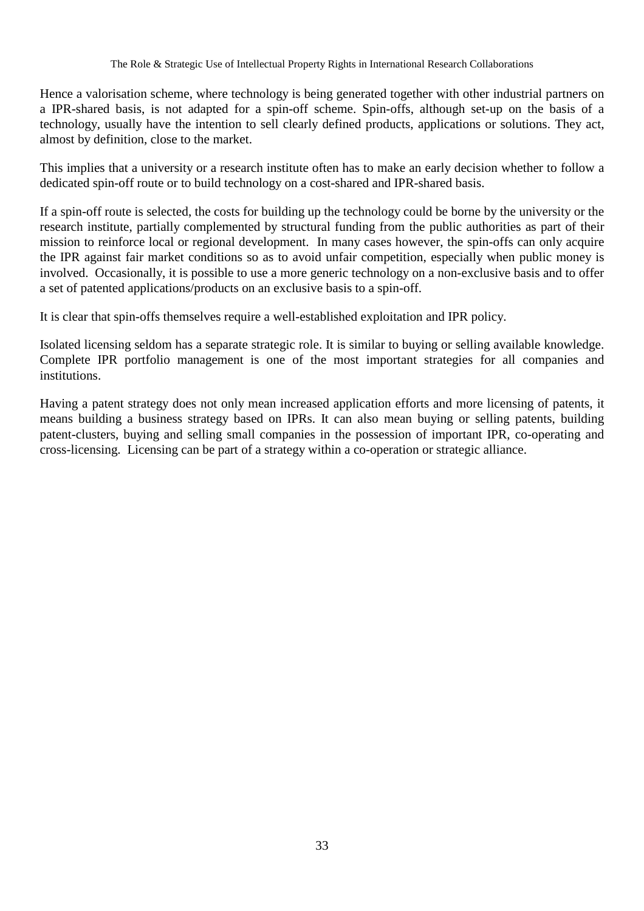Hence a valorisation scheme, where technology is being generated together with other industrial partners on a IPR-shared basis, is not adapted for a spin-off scheme. Spin-offs, although set-up on the basis of a technology, usually have the intention to sell clearly defined products, applications or solutions. They act, almost by definition, close to the market.

This implies that a university or a research institute often has to make an early decision whether to follow a dedicated spin-off route or to build technology on a cost-shared and IPR-shared basis.

If a spin-off route is selected, the costs for building up the technology could be borne by the university or the research institute, partially complemented by structural funding from the public authorities as part of their mission to reinforce local or regional development. In many cases however, the spin-offs can only acquire the IPR against fair market conditions so as to avoid unfair competition, especially when public money is involved. Occasionally, it is possible to use a more generic technology on a non-exclusive basis and to offer a set of patented applications/products on an exclusive basis to a spin-off.

It is clear that spin-offs themselves require a well-established exploitation and IPR policy.

Isolated licensing seldom has a separate strategic role. It is similar to buying or selling available knowledge. Complete IPR portfolio management is one of the most important strategies for all companies and institutions.

Having a patent strategy does not only mean increased application efforts and more licensing of patents, it means building a business strategy based on IPRs. It can also mean buying or selling patents, building patent-clusters, buying and selling small companies in the possession of important IPR, co-operating and cross-licensing. Licensing can be part of a strategy within a co-operation or strategic alliance.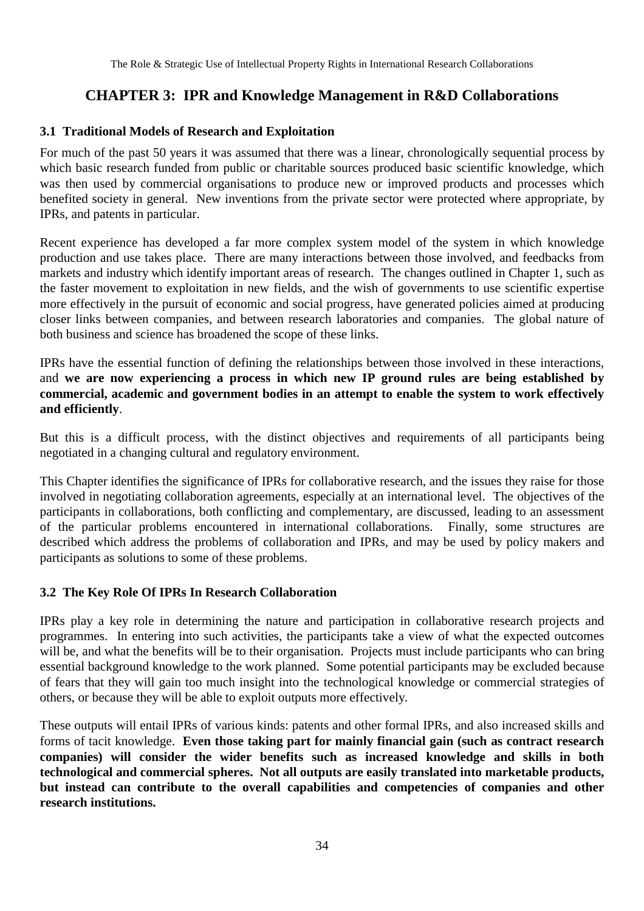# **CHAPTER 3: IPR and Knowledge Management in R&D Collaborations**

#### **3.1 Traditional Models of Research and Exploitation**

For much of the past 50 years it was assumed that there was a linear, chronologically sequential process by which basic research funded from public or charitable sources produced basic scientific knowledge, which was then used by commercial organisations to produce new or improved products and processes which benefited society in general. New inventions from the private sector were protected where appropriate, by IPRs, and patents in particular.

Recent experience has developed a far more complex system model of the system in which knowledge production and use takes place. There are many interactions between those involved, and feedbacks from markets and industry which identify important areas of research. The changes outlined in Chapter 1, such as the faster movement to exploitation in new fields, and the wish of governments to use scientific expertise more effectively in the pursuit of economic and social progress, have generated policies aimed at producing closer links between companies, and between research laboratories and companies. The global nature of both business and science has broadened the scope of these links.

IPRs have the essential function of defining the relationships between those involved in these interactions, and **we are now experiencing a process in which new IP ground rules are being established by commercial, academic and government bodies in an attempt to enable the system to work effectively and efficiently**.

But this is a difficult process, with the distinct objectives and requirements of all participants being negotiated in a changing cultural and regulatory environment.

This Chapter identifies the significance of IPRs for collaborative research, and the issues they raise for those involved in negotiating collaboration agreements, especially at an international level. The objectives of the participants in collaborations, both conflicting and complementary, are discussed, leading to an assessment of the particular problems encountered in international collaborations. Finally, some structures are described which address the problems of collaboration and IPRs, and may be used by policy makers and participants as solutions to some of these problems.

#### **3.2 The Key Role Of IPRs In Research Collaboration**

IPRs play a key role in determining the nature and participation in collaborative research projects and programmes. In entering into such activities, the participants take a view of what the expected outcomes will be, and what the benefits will be to their organisation. Projects must include participants who can bring essential background knowledge to the work planned. Some potential participants may be excluded because of fears that they will gain too much insight into the technological knowledge or commercial strategies of others, or because they will be able to exploit outputs more effectively.

These outputs will entail IPRs of various kinds: patents and other formal IPRs, and also increased skills and forms of tacit knowledge. **Even those taking part for mainly financial gain (such as contract research companies) will consider the wider benefits such as increased knowledge and skills in both technological and commercial spheres. Not all outputs are easily translated into marketable products, but instead can contribute to the overall capabilities and competencies of companies and other research institutions.**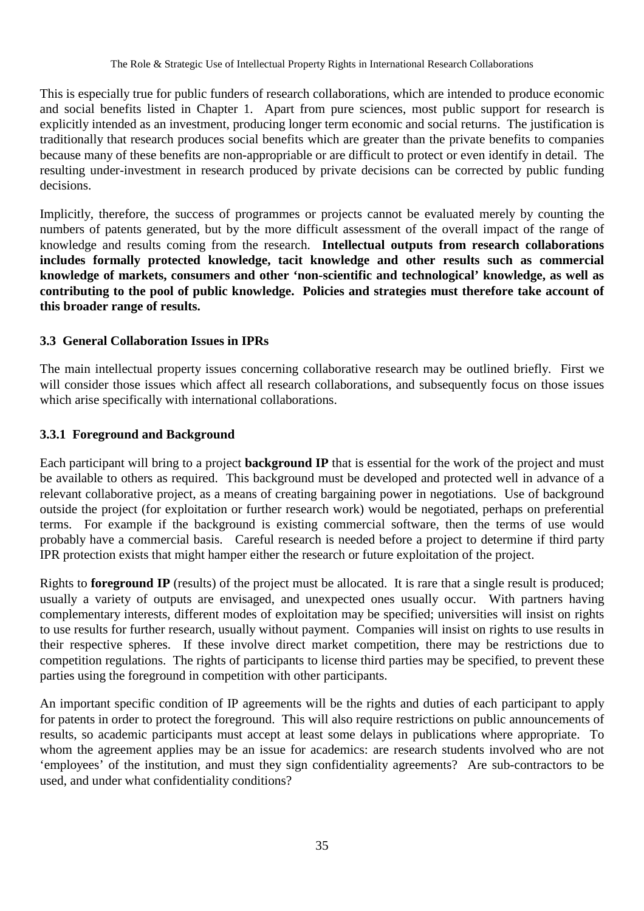This is especially true for public funders of research collaborations, which are intended to produce economic and social benefits listed in Chapter 1. Apart from pure sciences, most public support for research is explicitly intended as an investment, producing longer term economic and social returns. The justification is traditionally that research produces social benefits which are greater than the private benefits to companies because many of these benefits are non-appropriable or are difficult to protect or even identify in detail. The resulting under-investment in research produced by private decisions can be corrected by public funding decisions.

Implicitly, therefore, the success of programmes or projects cannot be evaluated merely by counting the numbers of patents generated, but by the more difficult assessment of the overall impact of the range of knowledge and results coming from the research. **Intellectual outputs from research collaborations includes formally protected knowledge, tacit knowledge and other results such as commercial knowledge of markets, consumers and other 'non-scientific and technological' knowledge, as well as contributing to the pool of public knowledge. Policies and strategies must therefore take account of this broader range of results.**

## **3.3 General Collaboration Issues in IPRs**

The main intellectual property issues concerning collaborative research may be outlined briefly. First we will consider those issues which affect all research collaborations, and subsequently focus on those issues which arise specifically with international collaborations.

#### **3.3.1 Foreground and Background**

Each participant will bring to a project **background IP** that is essential for the work of the project and must be available to others as required. This background must be developed and protected well in advance of a relevant collaborative project, as a means of creating bargaining power in negotiations. Use of background outside the project (for exploitation or further research work) would be negotiated, perhaps on preferential terms. For example if the background is existing commercial software, then the terms of use would probably have a commercial basis. Careful research is needed before a project to determine if third party IPR protection exists that might hamper either the research or future exploitation of the project.

Rights to **foreground IP** (results) of the project must be allocated. It is rare that a single result is produced; usually a variety of outputs are envisaged, and unexpected ones usually occur. With partners having complementary interests, different modes of exploitation may be specified; universities will insist on rights to use results for further research, usually without payment. Companies will insist on rights to use results in their respective spheres. If these involve direct market competition, there may be restrictions due to competition regulations. The rights of participants to license third parties may be specified, to prevent these parties using the foreground in competition with other participants.

An important specific condition of IP agreements will be the rights and duties of each participant to apply for patents in order to protect the foreground. This will also require restrictions on public announcements of results, so academic participants must accept at least some delays in publications where appropriate. To whom the agreement applies may be an issue for academics: are research students involved who are not 'employees' of the institution, and must they sign confidentiality agreements? Are sub-contractors to be used, and under what confidentiality conditions?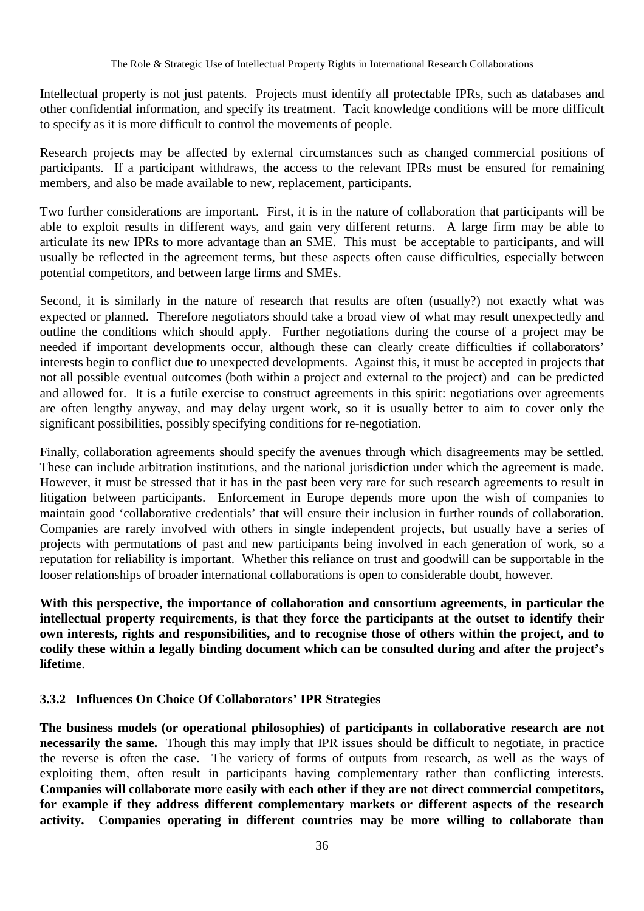Intellectual property is not just patents. Projects must identify all protectable IPRs, such as databases and other confidential information, and specify its treatment. Tacit knowledge conditions will be more difficult to specify as it is more difficult to control the movements of people.

Research projects may be affected by external circumstances such as changed commercial positions of participants. If a participant withdraws, the access to the relevant IPRs must be ensured for remaining members, and also be made available to new, replacement, participants.

Two further considerations are important. First, it is in the nature of collaboration that participants will be able to exploit results in different ways, and gain very different returns. A large firm may be able to articulate its new IPRs to more advantage than an SME. This must be acceptable to participants, and will usually be reflected in the agreement terms, but these aspects often cause difficulties, especially between potential competitors, and between large firms and SMEs.

Second, it is similarly in the nature of research that results are often (usually?) not exactly what was expected or planned. Therefore negotiators should take a broad view of what may result unexpectedly and outline the conditions which should apply. Further negotiations during the course of a project may be needed if important developments occur, although these can clearly create difficulties if collaborators' interests begin to conflict due to unexpected developments. Against this, it must be accepted in projects that not all possible eventual outcomes (both within a project and external to the project) and can be predicted and allowed for. It is a futile exercise to construct agreements in this spirit: negotiations over agreements are often lengthy anyway, and may delay urgent work, so it is usually better to aim to cover only the significant possibilities, possibly specifying conditions for re-negotiation.

Finally, collaboration agreements should specify the avenues through which disagreements may be settled. These can include arbitration institutions, and the national jurisdiction under which the agreement is made. However, it must be stressed that it has in the past been very rare for such research agreements to result in litigation between participants. Enforcement in Europe depends more upon the wish of companies to maintain good 'collaborative credentials' that will ensure their inclusion in further rounds of collaboration. Companies are rarely involved with others in single independent projects, but usually have a series of projects with permutations of past and new participants being involved in each generation of work, so a reputation for reliability is important. Whether this reliance on trust and goodwill can be supportable in the looser relationships of broader international collaborations is open to considerable doubt, however.

**With this perspective, the importance of collaboration and consortium agreements, in particular the intellectual property requirements, is that they force the participants at the outset to identify their own interests, rights and responsibilities, and to recognise those of others within the project, and to codify these within a legally binding document which can be consulted during and after the project's lifetime**.

#### **3.3.2 Influences On Choice Of Collaborators' IPR Strategies**

**The business models (or operational philosophies) of participants in collaborative research are not necessarily the same.** Though this may imply that IPR issues should be difficult to negotiate, in practice the reverse is often the case. The variety of forms of outputs from research, as well as the ways of exploiting them, often result in participants having complementary rather than conflicting interests. **Companies will collaborate more easily with each other if they are not direct commercial competitors, for example if they address different complementary markets or different aspects of the research activity. Companies operating in different countries may be more willing to collaborate than**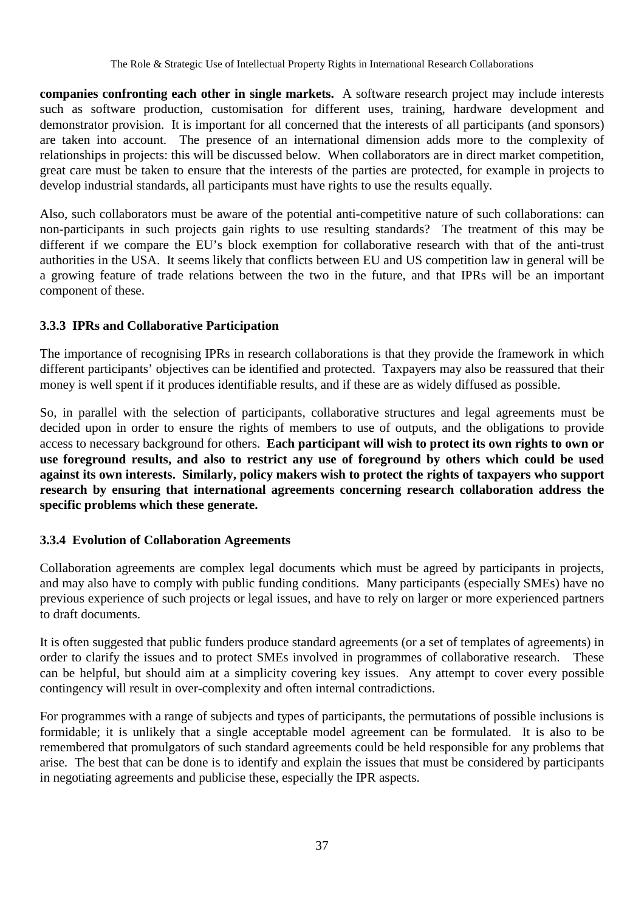**companies confronting each other in single markets.** A software research project may include interests such as software production, customisation for different uses, training, hardware development and demonstrator provision. It is important for all concerned that the interests of all participants (and sponsors) are taken into account. The presence of an international dimension adds more to the complexity of relationships in projects: this will be discussed below. When collaborators are in direct market competition, great care must be taken to ensure that the interests of the parties are protected, for example in projects to develop industrial standards, all participants must have rights to use the results equally.

Also, such collaborators must be aware of the potential anti-competitive nature of such collaborations: can non-participants in such projects gain rights to use resulting standards? The treatment of this may be different if we compare the EU's block exemption for collaborative research with that of the anti-trust authorities in the USA. It seems likely that conflicts between EU and US competition law in general will be a growing feature of trade relations between the two in the future, and that IPRs will be an important component of these.

#### **3.3.3 IPRs and Collaborative Participation**

The importance of recognising IPRs in research collaborations is that they provide the framework in which different participants' objectives can be identified and protected. Taxpayers may also be reassured that their money is well spent if it produces identifiable results, and if these are as widely diffused as possible.

So, in parallel with the selection of participants, collaborative structures and legal agreements must be decided upon in order to ensure the rights of members to use of outputs, and the obligations to provide access to necessary background for others. **Each participant will wish to protect its own rights to own or use foreground results, and also to restrict any use of foreground by others which could be used against its own interests. Similarly, policy makers wish to protect the rights of taxpayers who support research by ensuring that international agreements concerning research collaboration address the specific problems which these generate.**

#### **3.3.4 Evolution of Collaboration Agreements**

Collaboration agreements are complex legal documents which must be agreed by participants in projects, and may also have to comply with public funding conditions. Many participants (especially SMEs) have no previous experience of such projects or legal issues, and have to rely on larger or more experienced partners to draft documents.

It is often suggested that public funders produce standard agreements (or a set of templates of agreements) in order to clarify the issues and to protect SMEs involved in programmes of collaborative research. These can be helpful, but should aim at a simplicity covering key issues. Any attempt to cover every possible contingency will result in over-complexity and often internal contradictions.

For programmes with a range of subjects and types of participants, the permutations of possible inclusions is formidable; it is unlikely that a single acceptable model agreement can be formulated. It is also to be remembered that promulgators of such standard agreements could be held responsible for any problems that arise. The best that can be done is to identify and explain the issues that must be considered by participants in negotiating agreements and publicise these, especially the IPR aspects.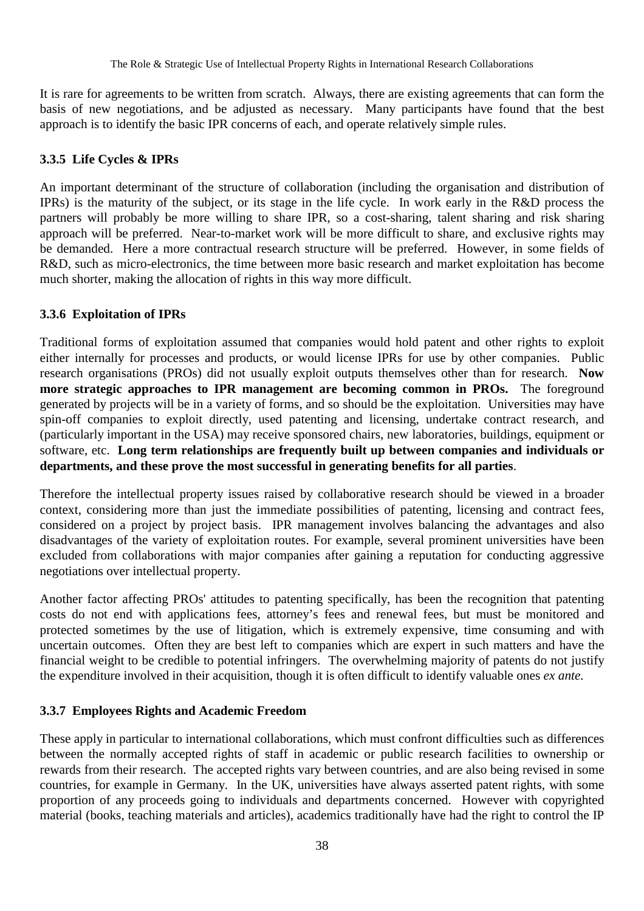It is rare for agreements to be written from scratch. Always, there are existing agreements that can form the basis of new negotiations, and be adjusted as necessary. Many participants have found that the best approach is to identify the basic IPR concerns of each, and operate relatively simple rules.

#### **3.3.5 Life Cycles & IPRs**

An important determinant of the structure of collaboration (including the organisation and distribution of IPRs) is the maturity of the subject, or its stage in the life cycle. In work early in the R&D process the partners will probably be more willing to share IPR, so a cost-sharing, talent sharing and risk sharing approach will be preferred. Near-to-market work will be more difficult to share, and exclusive rights may be demanded. Here a more contractual research structure will be preferred. However, in some fields of R&D, such as micro-electronics, the time between more basic research and market exploitation has become much shorter, making the allocation of rights in this way more difficult.

#### **3.3.6 Exploitation of IPRs**

Traditional forms of exploitation assumed that companies would hold patent and other rights to exploit either internally for processes and products, or would license IPRs for use by other companies. Public research organisations (PROs) did not usually exploit outputs themselves other than for research. **Now more strategic approaches to IPR management are becoming common in PROs.** The foreground generated by projects will be in a variety of forms, and so should be the exploitation. Universities may have spin-off companies to exploit directly, used patenting and licensing, undertake contract research, and (particularly important in the USA) may receive sponsored chairs, new laboratories, buildings, equipment or software, etc. **Long term relationships are frequently built up between companies and individuals or departments, and these prove the most successful in generating benefits for all parties**.

Therefore the intellectual property issues raised by collaborative research should be viewed in a broader context, considering more than just the immediate possibilities of patenting, licensing and contract fees, considered on a project by project basis. IPR management involves balancing the advantages and also disadvantages of the variety of exploitation routes. For example, several prominent universities have been excluded from collaborations with major companies after gaining a reputation for conducting aggressive negotiations over intellectual property.

Another factor affecting PROs' attitudes to patenting specifically, has been the recognition that patenting costs do not end with applications fees, attorney's fees and renewal fees, but must be monitored and protected sometimes by the use of litigation, which is extremely expensive, time consuming and with uncertain outcomes. Often they are best left to companies which are expert in such matters and have the financial weight to be credible to potential infringers. The overwhelming majority of patents do not justify the expenditure involved in their acquisition, though it is often difficult to identify valuable ones *ex ante.*

#### **3.3.7 Employees Rights and Academic Freedom**

These apply in particular to international collaborations, which must confront difficulties such as differences between the normally accepted rights of staff in academic or public research facilities to ownership or rewards from their research. The accepted rights vary between countries, and are also being revised in some countries, for example in Germany. In the UK, universities have always asserted patent rights, with some proportion of any proceeds going to individuals and departments concerned. However with copyrighted material (books, teaching materials and articles), academics traditionally have had the right to control the IP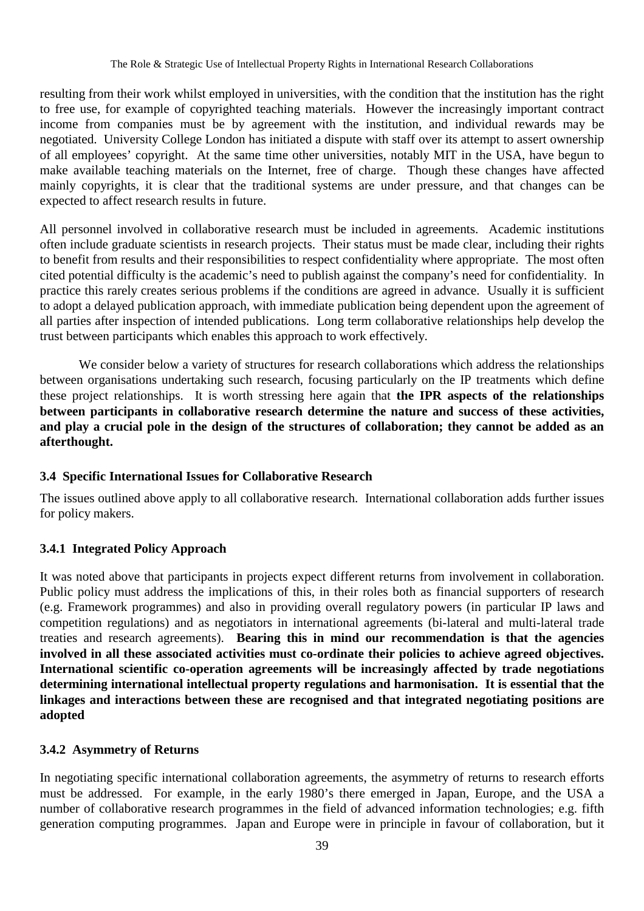resulting from their work whilst employed in universities, with the condition that the institution has the right to free use, for example of copyrighted teaching materials. However the increasingly important contract income from companies must be by agreement with the institution, and individual rewards may be negotiated. University College London has initiated a dispute with staff over its attempt to assert ownership of all employees' copyright. At the same time other universities, notably MIT in the USA, have begun to make available teaching materials on the Internet, free of charge. Though these changes have affected mainly copyrights, it is clear that the traditional systems are under pressure, and that changes can be expected to affect research results in future.

All personnel involved in collaborative research must be included in agreements. Academic institutions often include graduate scientists in research projects. Their status must be made clear, including their rights to benefit from results and their responsibilities to respect confidentiality where appropriate. The most often cited potential difficulty is the academic's need to publish against the company's need for confidentiality. In practice this rarely creates serious problems if the conditions are agreed in advance. Usually it is sufficient to adopt a delayed publication approach, with immediate publication being dependent upon the agreement of all parties after inspection of intended publications. Long term collaborative relationships help develop the trust between participants which enables this approach to work effectively.

We consider below a variety of structures for research collaborations which address the relationships between organisations undertaking such research, focusing particularly on the IP treatments which define these project relationships. It is worth stressing here again that **the IPR aspects of the relationships between participants in collaborative research determine the nature and success of these activities, and play a crucial pole in the design of the structures of collaboration; they cannot be added as an afterthought.**

#### **3.4 Specific International Issues for Collaborative Research**

The issues outlined above apply to all collaborative research. International collaboration adds further issues for policy makers.

#### **3.4.1 Integrated Policy Approach**

It was noted above that participants in projects expect different returns from involvement in collaboration. Public policy must address the implications of this, in their roles both as financial supporters of research (e.g. Framework programmes) and also in providing overall regulatory powers (in particular IP laws and competition regulations) and as negotiators in international agreements (bi-lateral and multi-lateral trade treaties and research agreements). **Bearing this in mind our recommendation is that the agencies involved in all these associated activities must co-ordinate their policies to achieve agreed objectives. International scientific co-operation agreements will be increasingly affected by trade negotiations determining international intellectual property regulations and harmonisation. It is essential that the linkages and interactions between these are recognised and that integrated negotiating positions are adopted**

#### **3.4.2 Asymmetry of Returns**

In negotiating specific international collaboration agreements, the asymmetry of returns to research efforts must be addressed. For example, in the early 1980's there emerged in Japan, Europe, and the USA a number of collaborative research programmes in the field of advanced information technologies; e.g. fifth generation computing programmes. Japan and Europe were in principle in favour of collaboration, but it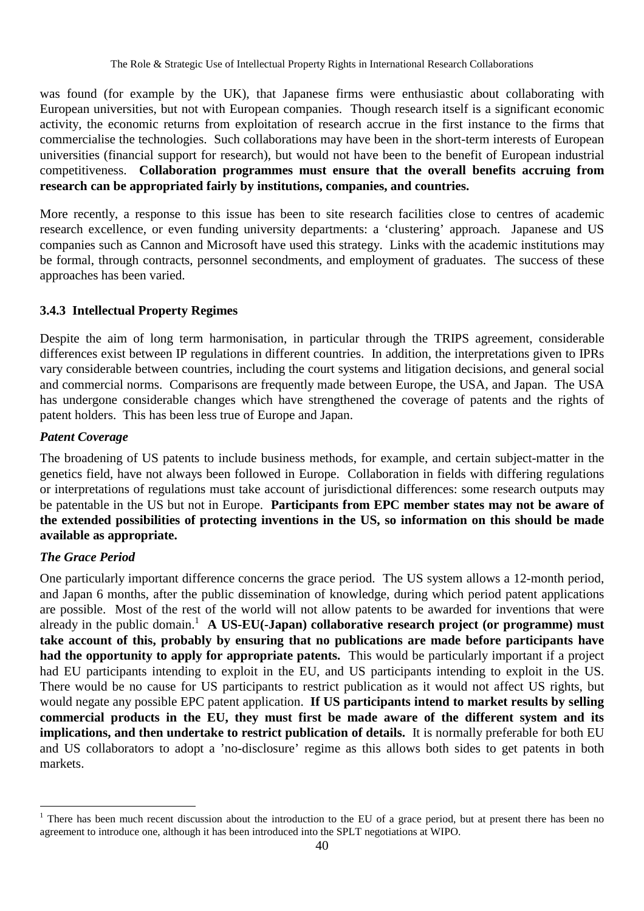was found (for example by the UK), that Japanese firms were enthusiastic about collaborating with European universities, but not with European companies. Though research itself is a significant economic activity, the economic returns from exploitation of research accrue in the first instance to the firms that commercialise the technologies. Such collaborations may have been in the short-term interests of European universities (financial support for research), but would not have been to the benefit of European industrial competitiveness. **Collaboration programmes must ensure that the overall benefits accruing from research can be appropriated fairly by institutions, companies, and countries.**

More recently, a response to this issue has been to site research facilities close to centres of academic research excellence, or even funding university departments: a 'clustering' approach. Japanese and US companies such as Cannon and Microsoft have used this strategy. Links with the academic institutions may be formal, through contracts, personnel secondments, and employment of graduates. The success of these approaches has been varied.

#### **3.4.3 Intellectual Property Regimes**

Despite the aim of long term harmonisation, in particular through the TRIPS agreement, considerable differences exist between IP regulations in different countries. In addition, the interpretations given to IPRs vary considerable between countries, including the court systems and litigation decisions, and general social and commercial norms. Comparisons are frequently made between Europe, the USA, and Japan. The USA has undergone considerable changes which have strengthened the coverage of patents and the rights of patent holders. This has been less true of Europe and Japan.

#### *Patent Coverage*

The broadening of US patents to include business methods, for example, and certain subject-matter in the genetics field, have not always been followed in Europe. Collaboration in fields with differing regulations or interpretations of regulations must take account of jurisdictional differences: some research outputs may be patentable in the US but not in Europe. **Participants from EPC member states may not be aware of the extended possibilities of protecting inventions in the US, so information on this should be made available as appropriate.**

#### *The Grace Period*

 $\overline{a}$ 

One particularly important difference concerns the grace period. The US system allows a 12-month period, and Japan 6 months, after the public dissemination of knowledge, during which period patent applications are possible. Most of the rest of the world will not allow patents to be awarded for inventions that were already in the public domain.<sup>1</sup> A US-EU(-Japan) collaborative research project (or programme) must **take account of this, probably by ensuring that no publications are made before participants have had the opportunity to apply for appropriate patents.** This would be particularly important if a project had EU participants intending to exploit in the EU, and US participants intending to exploit in the US. There would be no cause for US participants to restrict publication as it would not affect US rights, but would negate any possible EPC patent application. **If US participants intend to market results by selling commercial products in the EU, they must first be made aware of the different system and its implications, and then undertake to restrict publication of details.** It is normally preferable for both EU and US collaborators to adopt a 'no-disclosure' regime as this allows both sides to get patents in both markets.

<sup>&</sup>lt;sup>1</sup> There has been much recent discussion about the introduction to the EU of a grace period, but at present there has been no agreement to introduce one, although it has been introduced into the SPLT negotiations at WIPO.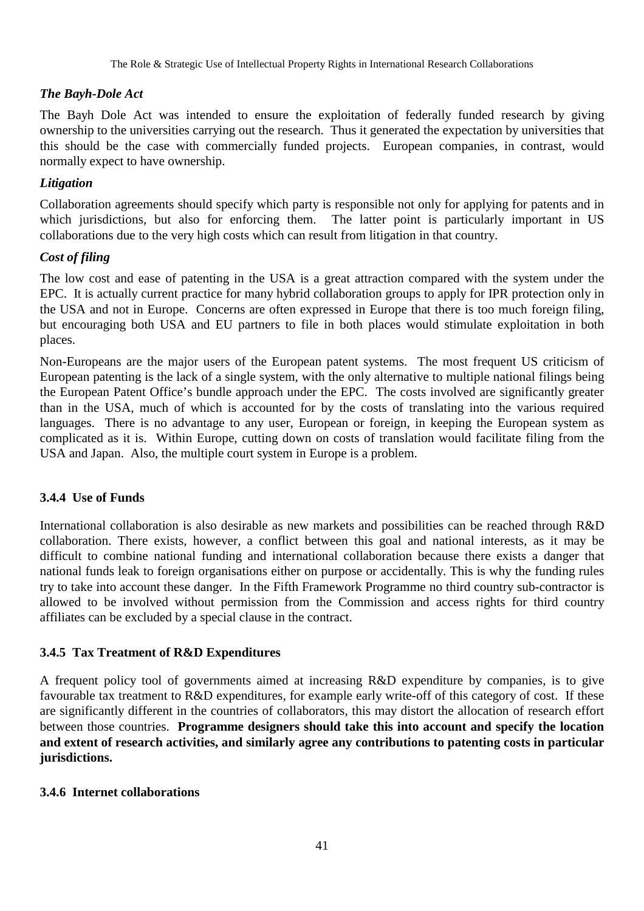#### *The Bayh-Dole Act*

The Bayh Dole Act was intended to ensure the exploitation of federally funded research by giving ownership to the universities carrying out the research. Thus it generated the expectation by universities that this should be the case with commercially funded projects. European companies, in contrast, would normally expect to have ownership.

#### *Litigation*

Collaboration agreements should specify which party is responsible not only for applying for patents and in which jurisdictions, but also for enforcing them. The latter point is particularly important in US collaborations due to the very high costs which can result from litigation in that country.

#### *Cost of filing*

The low cost and ease of patenting in the USA is a great attraction compared with the system under the EPC. It is actually current practice for many hybrid collaboration groups to apply for IPR protection only in the USA and not in Europe. Concerns are often expressed in Europe that there is too much foreign filing, but encouraging both USA and EU partners to file in both places would stimulate exploitation in both places.

Non-Europeans are the major users of the European patent systems. The most frequent US criticism of European patenting is the lack of a single system, with the only alternative to multiple national filings being the European Patent Office's bundle approach under the EPC. The costs involved are significantly greater than in the USA, much of which is accounted for by the costs of translating into the various required languages. There is no advantage to any user, European or foreign, in keeping the European system as complicated as it is. Within Europe, cutting down on costs of translation would facilitate filing from the USA and Japan. Also, the multiple court system in Europe is a problem.

#### **3.4.4 Use of Funds**

International collaboration is also desirable as new markets and possibilities can be reached through R&D collaboration. There exists, however, a conflict between this goal and national interests, as it may be difficult to combine national funding and international collaboration because there exists a danger that national funds leak to foreign organisations either on purpose or accidentally. This is why the funding rules try to take into account these danger. In the Fifth Framework Programme no third country sub-contractor is allowed to be involved without permission from the Commission and access rights for third country affiliates can be excluded by a special clause in the contract.

#### **3.4.5 Tax Treatment of R&D Expenditures**

A frequent policy tool of governments aimed at increasing R&D expenditure by companies, is to give favourable tax treatment to R&D expenditures, for example early write-off of this category of cost. If these are significantly different in the countries of collaborators, this may distort the allocation of research effort between those countries. **Programme designers should take this into account and specify the location and extent of research activities, and similarly agree any contributions to patenting costs in particular jurisdictions.**

#### **3.4.6 Internet collaborations**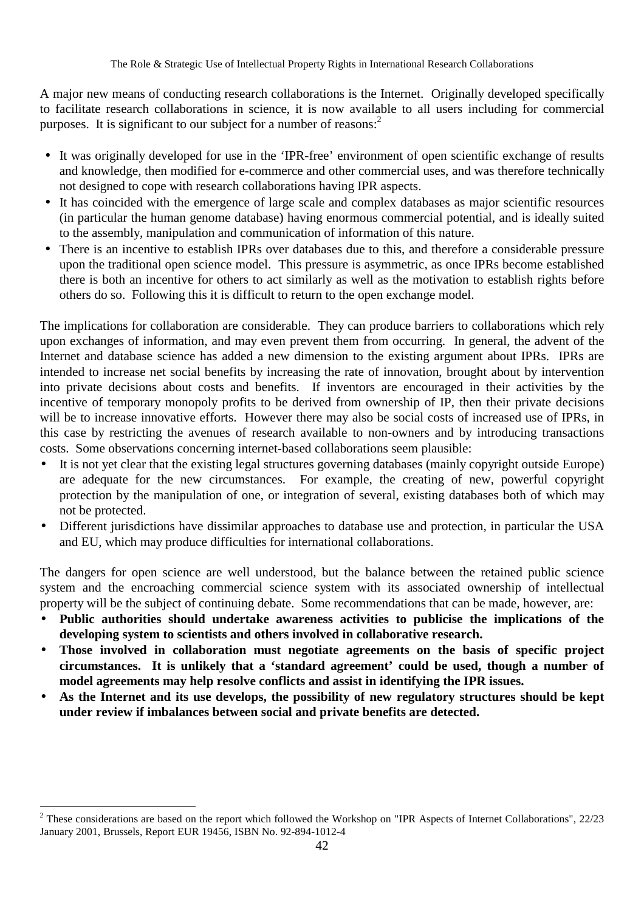A major new means of conducting research collaborations is the Internet. Originally developed specifically to facilitate research collaborations in science, it is now available to all users including for commercial purposes. It is significant to our subject for a number of reasons: $<sup>2</sup>$ </sup>

- It was originally developed for use in the 'IPR-free' environment of open scientific exchange of results and knowledge, then modified for e-commerce and other commercial uses, and was therefore technically not designed to cope with research collaborations having IPR aspects.
- It has coincided with the emergence of large scale and complex databases as major scientific resources (in particular the human genome database) having enormous commercial potential, and is ideally suited to the assembly, manipulation and communication of information of this nature.
- There is an incentive to establish IPRs over databases due to this, and therefore a considerable pressure upon the traditional open science model. This pressure is asymmetric, as once IPRs become established there is both an incentive for others to act similarly as well as the motivation to establish rights before others do so. Following this it is difficult to return to the open exchange model.

The implications for collaboration are considerable. They can produce barriers to collaborations which rely upon exchanges of information, and may even prevent them from occurring. In general, the advent of the Internet and database science has added a new dimension to the existing argument about IPRs. IPRs are intended to increase net social benefits by increasing the rate of innovation, brought about by intervention into private decisions about costs and benefits. If inventors are encouraged in their activities by the incentive of temporary monopoly profits to be derived from ownership of IP, then their private decisions will be to increase innovative efforts. However there may also be social costs of increased use of IPRs, in this case by restricting the avenues of research available to non-owners and by introducing transactions costs. Some observations concerning internet-based collaborations seem plausible:

- It is not yet clear that the existing legal structures governing databases (mainly copyright outside Europe) are adequate for the new circumstances. For example, the creating of new, powerful copyright protection by the manipulation of one, or integration of several, existing databases both of which may not be protected.
- Different jurisdictions have dissimilar approaches to database use and protection, in particular the USA and EU, which may produce difficulties for international collaborations.

The dangers for open science are well understood, but the balance between the retained public science system and the encroaching commercial science system with its associated ownership of intellectual property will be the subject of continuing debate. Some recommendations that can be made, however, are:

- **Public authorities should undertake awareness activities to publicise the implications of the developing system to scientists and others involved in collaborative research.**
- **Those involved in collaboration must negotiate agreements on the basis of specific project circumstances. It is unlikely that a 'standard agreement' could be used, though a number of model agreements may help resolve conflicts and assist in identifying the IPR issues.**
- **As the Internet and its use develops, the possibility of new regulatory structures should be kept under review if imbalances between social and private benefits are detected.**

 $\overline{a}$ 

<sup>&</sup>lt;sup>2</sup> These considerations are based on the report which followed the Workshop on "IPR Aspects of Internet Collaborations", 22/23 January 2001, Brussels, Report EUR 19456, ISBN No. 92-894-1012-4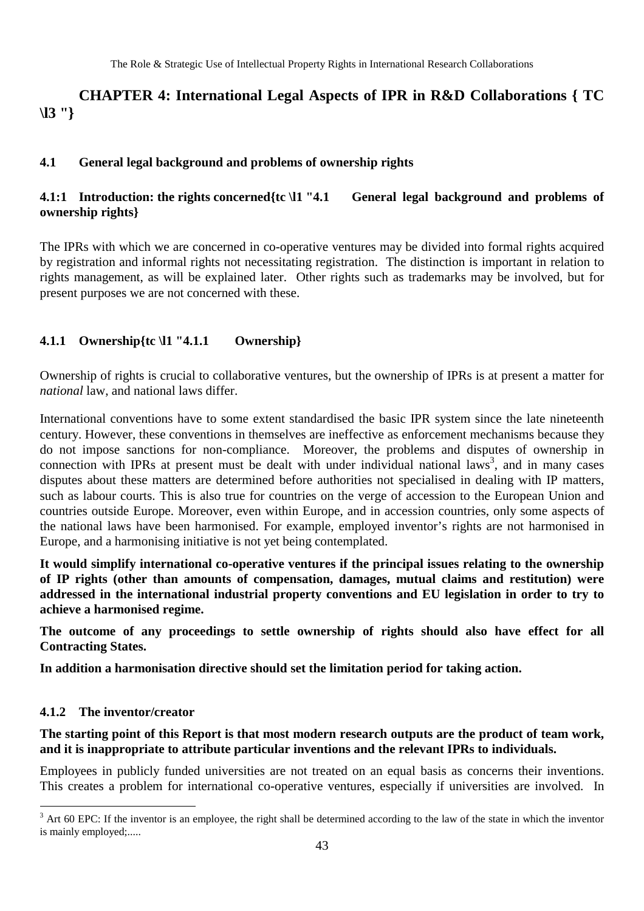# **CHAPTER 4: International Legal Aspects of IPR in R&D Collaborations { TC \l3 "}**

#### **4.1 General legal background and problems of ownership rights**

#### **4.1:1 Introduction: the rights concerned{tc \l1 "4.1 General legal background and problems of ownership rights}**

The IPRs with which we are concerned in co-operative ventures may be divided into formal rights acquired by registration and informal rights not necessitating registration. The distinction is important in relation to rights management, as will be explained later. Other rights such as trademarks may be involved, but for present purposes we are not concerned with these.

#### **4.1.1 Ownership{tc \l1 "4.1.1 Ownership}**

Ownership of rights is crucial to collaborative ventures, but the ownership of IPRs is at present a matter for *national* law, and national laws differ.

International conventions have to some extent standardised the basic IPR system since the late nineteenth century. However, these conventions in themselves are ineffective as enforcement mechanisms because they do not impose sanctions for non-compliance. Moreover, the problems and disputes of ownership in connection with IPRs at present must be dealt with under individual national laws<sup>3</sup>, and in many cases disputes about these matters are determined before authorities not specialised in dealing with IP matters, such as labour courts. This is also true for countries on the verge of accession to the European Union and countries outside Europe. Moreover, even within Europe, and in accession countries, only some aspects of the national laws have been harmonised. For example, employed inventor's rights are not harmonised in Europe, and a harmonising initiative is not yet being contemplated.

**It would simplify international co-operative ventures if the principal issues relating to the ownership of IP rights (other than amounts of compensation, damages, mutual claims and restitution) were addressed in the international industrial property conventions and EU legislation in order to try to achieve a harmonised regime.**

**The outcome of any proceedings to settle ownership of rights should also have effect for all Contracting States.**

**In addition a harmonisation directive should set the limitation period for taking action.**

#### **4.1.2 The inventor/creator**

 $\overline{a}$ 

#### **The starting point of this Report is that most modern research outputs are the product of team work, and it is inappropriate to attribute particular inventions and the relevant IPRs to individuals.**

Employees in publicly funded universities are not treated on an equal basis as concerns their inventions. This creates a problem for international co-operative ventures, especially if universities are involved. In

 $3$  Art 60 EPC: If the inventor is an employee, the right shall be determined according to the law of the state in which the inventor is mainly employed;.....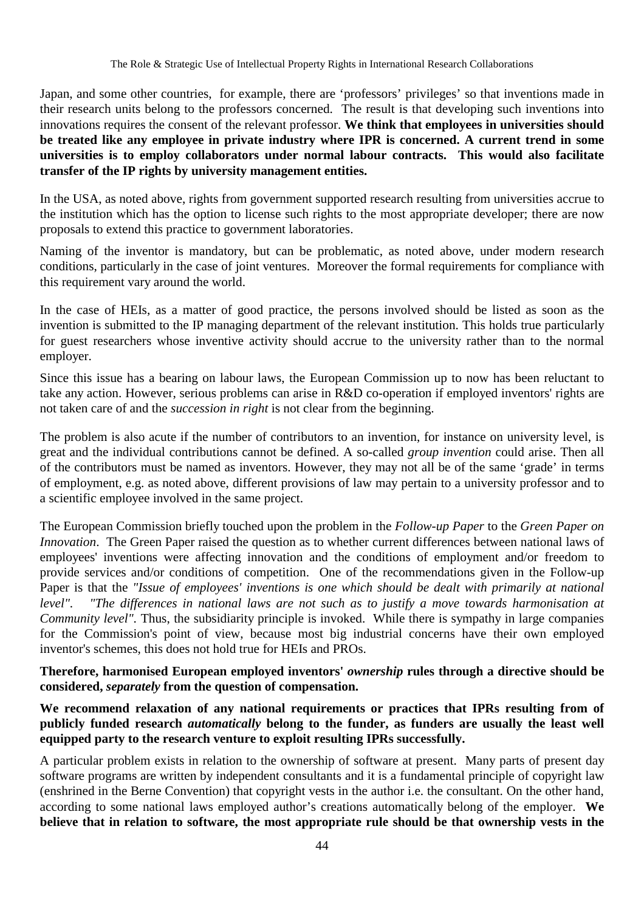Japan, and some other countries, for example, there are 'professors' privileges' so that inventions made in their research units belong to the professors concerned. The result is that developing such inventions into innovations requires the consent of the relevant professor. **We think that employees in universities should be treated like any employee in private industry where IPR is concerned. A current trend in some universities is to employ collaborators under normal labour contracts. This would also facilitate transfer of the IP rights by university management entities.**

In the USA, as noted above, rights from government supported research resulting from universities accrue to the institution which has the option to license such rights to the most appropriate developer; there are now proposals to extend this practice to government laboratories.

Naming of the inventor is mandatory, but can be problematic, as noted above, under modern research conditions, particularly in the case of joint ventures. Moreover the formal requirements for compliance with this requirement vary around the world.

In the case of HEIs, as a matter of good practice, the persons involved should be listed as soon as the invention is submitted to the IP managing department of the relevant institution. This holds true particularly for guest researchers whose inventive activity should accrue to the university rather than to the normal employer.

Since this issue has a bearing on labour laws, the European Commission up to now has been reluctant to take any action. However, serious problems can arise in R&D co-operation if employed inventors' rights are not taken care of and the *succession in right* is not clear from the beginning.

The problem is also acute if the number of contributors to an invention, for instance on university level, is great and the individual contributions cannot be defined. A so-called *group invention* could arise. Then all of the contributors must be named as inventors. However, they may not all be of the same 'grade' in terms of employment, e.g. as noted above, different provisions of law may pertain to a university professor and to a scientific employee involved in the same project.

The European Commission briefly touched upon the problem in the *Follow-up Paper* to the *Green Paper on Innovation*. The Green Paper raised the question as to whether current differences between national laws of employees' inventions were affecting innovation and the conditions of employment and/or freedom to provide services and/or conditions of competition. One of the recommendations given in the Follow-up Paper is that the *"Issue of employees' inventions is one which should be dealt with primarily at national level". "The differences in national laws are not such as to justify a move towards harmonisation at Community level"*. Thus, the subsidiarity principle is invoked. While there is sympathy in large companies for the Commission's point of view, because most big industrial concerns have their own employed inventor's schemes, this does not hold true for HEIs and PROs.

#### **Therefore, harmonised European employed inventors'** *ownership* **rules through a directive should be considered,** *separately* **from the question of compensation.**

**We recommend relaxation of any national requirements or practices that IPRs resulting from of publicly funded research** *automatically* **belong to the funder, as funders are usually the least well equipped party to the research venture to exploit resulting IPRs successfully.**

A particular problem exists in relation to the ownership of software at present. Many parts of present day software programs are written by independent consultants and it is a fundamental principle of copyright law (enshrined in the Berne Convention) that copyright vests in the author i.e. the consultant. On the other hand, according to some national laws employed author's creations automatically belong of the employer. **We believe that in relation to software, the most appropriate rule should be that ownership vests in the**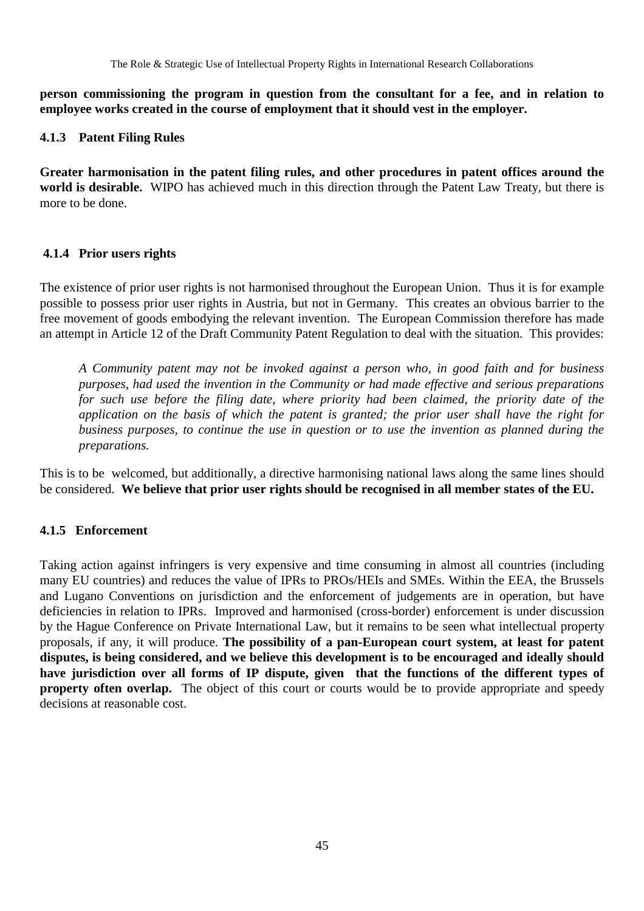**person commissioning the program in question from the consultant for a fee, and in relation to employee works created in the course of employment that it should vest in the employer.**

#### **4.1.3 Patent Filing Rules**

**Greater harmonisation in the patent filing rules, and other procedures in patent offices around the world is desirable.** WIPO has achieved much in this direction through the Patent Law Treaty, but there is more to be done.

#### **4.1.4 Prior users rights**

The existence of prior user rights is not harmonised throughout the European Union. Thus it is for example possible to possess prior user rights in Austria, but not in Germany. This creates an obvious barrier to the free movement of goods embodying the relevant invention. The European Commission therefore has made an attempt in Article 12 of the Draft Community Patent Regulation to deal with the situation. This provides:

*A Community patent may not be invoked against a person who, in good faith and for business purposes, had used the invention in the Community or had made effective and serious preparations for such use before the filing date*, *where priority had been claimed, the priority date of the application on the basis of which the patent is granted; the prior user shall have the right for business purposes, to continue the use in question or to use the invention as planned during the preparations.*

This is to be welcomed, but additionally, a directive harmonising national laws along the same lines should be considered. **We believe that prior user rights should be recognised in all member states of the EU.**

## **4.1.5 Enforcement**

Taking action against infringers is very expensive and time consuming in almost all countries (including many EU countries) and reduces the value of IPRs to PROs/HEIs and SMEs. Within the EEA, the Brussels and Lugano Conventions on jurisdiction and the enforcement of judgements are in operation, but have deficiencies in relation to IPRs. Improved and harmonised (cross-border) enforcement is under discussion by the Hague Conference on Private International Law, but it remains to be seen what intellectual property proposals, if any, it will produce. **The possibility of a pan-European court system, at least for patent disputes, is being considered, and we believe this development is to be encouraged and ideally should have jurisdiction over all forms of IP dispute, given that the functions of the different types of property often overlap.** The object of this court or courts would be to provide appropriate and speedy decisions at reasonable cost.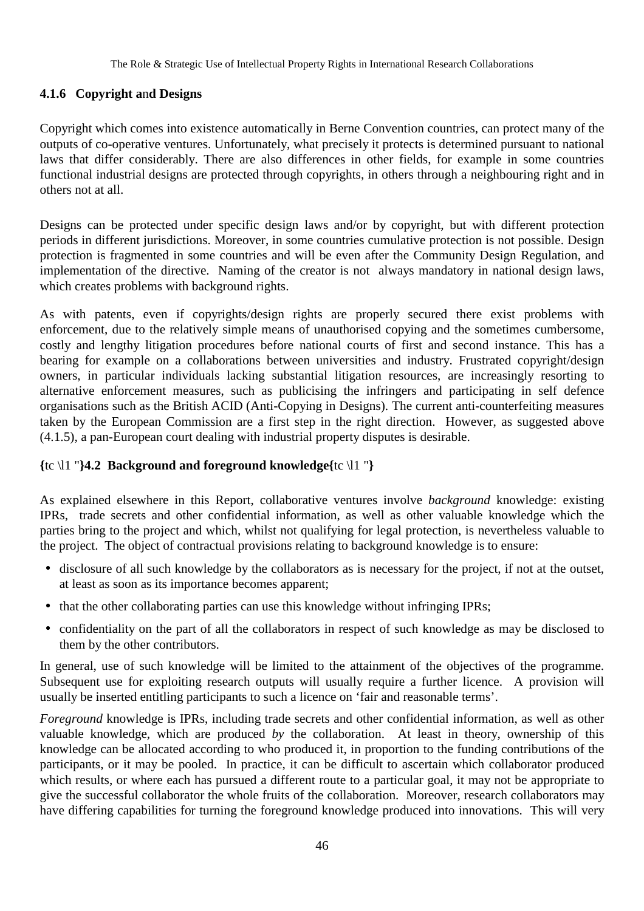#### **4.1.6 Copyright a**n**d Designs**

Copyright which comes into existence automatically in Berne Convention countries, can protect many of the outputs of co-operative ventures. Unfortunately, what precisely it protects is determined pursuant to national laws that differ considerably. There are also differences in other fields, for example in some countries functional industrial designs are protected through copyrights, in others through a neighbouring right and in others not at all.

Designs can be protected under specific design laws and/or by copyright, but with different protection periods in different jurisdictions. Moreover, in some countries cumulative protection is not possible. Design protection is fragmented in some countries and will be even after the Community Design Regulation, and implementation of the directive. Naming of the creator is not always mandatory in national design laws, which creates problems with background rights.

As with patents, even if copyrights/design rights are properly secured there exist problems with enforcement, due to the relatively simple means of unauthorised copying and the sometimes cumbersome, costly and lengthy litigation procedures before national courts of first and second instance. This has a bearing for example on a collaborations between universities and industry. Frustrated copyright/design owners, in particular individuals lacking substantial litigation resources, are increasingly resorting to alternative enforcement measures, such as publicising the infringers and participating in self defence organisations such as the British ACID (Anti-Copying in Designs). The current anti-counterfeiting measures taken by the European Commission are a first step in the right direction. However, as suggested above (4.1.5), a pan-European court dealing with industrial property disputes is desirable.

#### **{**tc \l1 "**}4.2 Background and foreground knowledge{**tc \l1 "**}**

As explained elsewhere in this Report, collaborative ventures involve *background* knowledge: existing IPRs, trade secrets and other confidential information, as well as other valuable knowledge which the parties bring to the project and which, whilst not qualifying for legal protection, is nevertheless valuable to the project. The object of contractual provisions relating to background knowledge is to ensure:

- disclosure of all such knowledge by the collaborators as is necessary for the project, if not at the outset, at least as soon as its importance becomes apparent;
- that the other collaborating parties can use this knowledge without infringing IPRs;
- confidentiality on the part of all the collaborators in respect of such knowledge as may be disclosed to them by the other contributors.

In general, use of such knowledge will be limited to the attainment of the objectives of the programme. Subsequent use for exploiting research outputs will usually require a further licence. A provision will usually be inserted entitling participants to such a licence on 'fair and reasonable terms'.

*Foreground* knowledge is IPRs, including trade secrets and other confidential information, as well as other valuable knowledge, which are produced *by* the collaboration. At least in theory, ownership of this knowledge can be allocated according to who produced it, in proportion to the funding contributions of the participants, or it may be pooled. In practice, it can be difficult to ascertain which collaborator produced which results, or where each has pursued a different route to a particular goal, it may not be appropriate to give the successful collaborator the whole fruits of the collaboration. Moreover, research collaborators may have differing capabilities for turning the foreground knowledge produced into innovations. This will very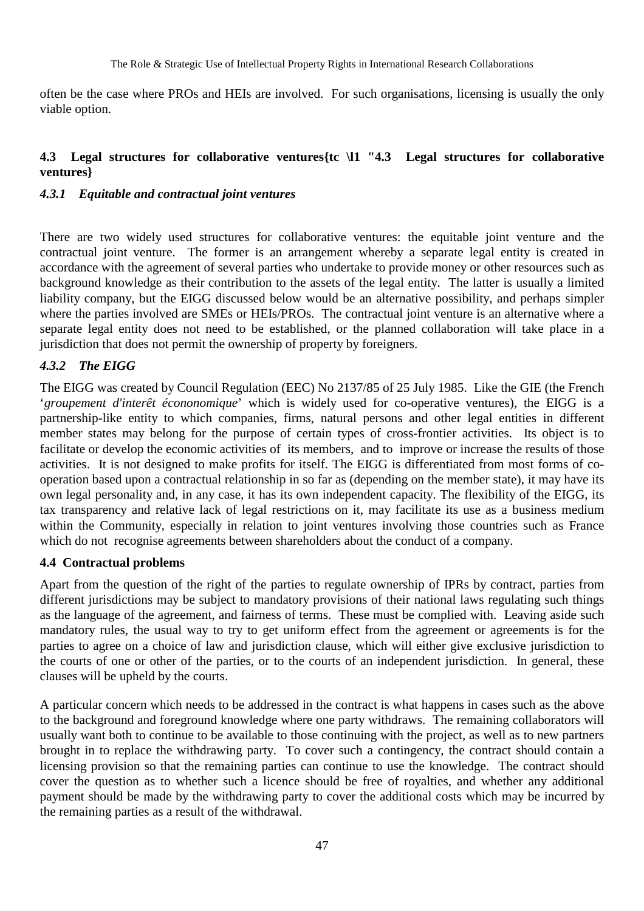often be the case where PROs and HEIs are involved. For such organisations, licensing is usually the only viable option.

#### **4.3 Legal structures for collaborative ventures{tc \l1 "4.3 Legal structures for collaborative ventures}**

#### *4.3.1 Equitable and contractual joint ventures*

There are two widely used structures for collaborative ventures: the equitable joint venture and the contractual joint venture. The former is an arrangement whereby a separate legal entity is created in accordance with the agreement of several parties who undertake to provide money or other resources such as background knowledge as their contribution to the assets of the legal entity. The latter is usually a limited liability company, but the EIGG discussed below would be an alternative possibility, and perhaps simpler where the parties involved are SMEs or HEIs/PROs. The contractual joint venture is an alternative where a separate legal entity does not need to be established, or the planned collaboration will take place in a jurisdiction that does not permit the ownership of property by foreigners.

#### *4.3.2 The EIGG*

The EIGG was created by Council Regulation (EEC) No 2137/85 of 25 July 1985. Like the GIE (the French '*groupement d'interêt écononomique*' which is widely used for co-operative ventures), the EIGG is a partnership-like entity to which companies, firms, natural persons and other legal entities in different member states may belong for the purpose of certain types of cross-frontier activities. Its object is to facilitate or develop the economic activities of its members, and to improve or increase the results of those activities. It is not designed to make profits for itself. The EIGG is differentiated from most forms of cooperation based upon a contractual relationship in so far as (depending on the member state), it may have its own legal personality and, in any case, it has its own independent capacity. The flexibility of the EIGG, its tax transparency and relative lack of legal restrictions on it, may facilitate its use as a business medium within the Community, especially in relation to joint ventures involving those countries such as France which do not recognise agreements between shareholders about the conduct of a company.

#### **4.4 Contractual problems**

Apart from the question of the right of the parties to regulate ownership of IPRs by contract, parties from different jurisdictions may be subject to mandatory provisions of their national laws regulating such things as the language of the agreement, and fairness of terms. These must be complied with. Leaving aside such mandatory rules, the usual way to try to get uniform effect from the agreement or agreements is for the parties to agree on a choice of law and jurisdiction clause, which will either give exclusive jurisdiction to the courts of one or other of the parties, or to the courts of an independent jurisdiction. In general, these clauses will be upheld by the courts.

A particular concern which needs to be addressed in the contract is what happens in cases such as the above to the background and foreground knowledge where one party withdraws. The remaining collaborators will usually want both to continue to be available to those continuing with the project, as well as to new partners brought in to replace the withdrawing party. To cover such a contingency, the contract should contain a licensing provision so that the remaining parties can continue to use the knowledge. The contract should cover the question as to whether such a licence should be free of royalties, and whether any additional payment should be made by the withdrawing party to cover the additional costs which may be incurred by the remaining parties as a result of the withdrawal.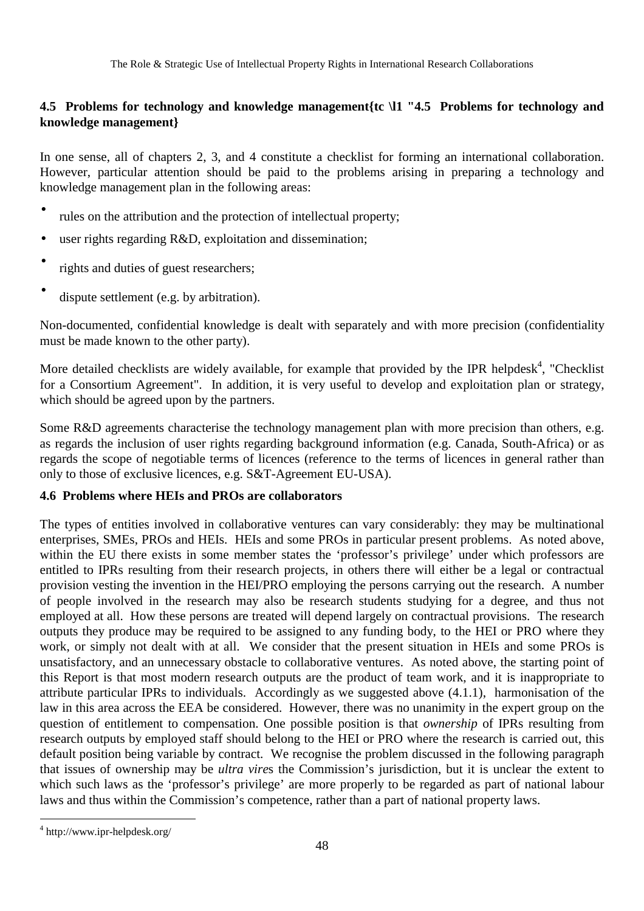## **4.5 Problems for technology and knowledge management{tc \l1 "4.5 Problems for technology and knowledge management}**

In one sense, all of chapters 2, 3, and 4 constitute a checklist for forming an international collaboration. However, particular attention should be paid to the problems arising in preparing a technology and knowledge management plan in the following areas:

- rules on the attribution and the protection of intellectual property;
- user rights regarding R&D, exploitation and dissemination;
- rights and duties of guest researchers;
- dispute settlement (e.g. by arbitration).

Non-documented, confidential knowledge is dealt with separately and with more precision (confidentiality must be made known to the other party).

More detailed checklists are widely available, for example that provided by the IPR helpdesk<sup>4</sup>, "Checklist for a Consortium Agreement". In addition, it is very useful to develop and exploitation plan or strategy, which should be agreed upon by the partners.

Some R&D agreements characterise the technology management plan with more precision than others, e.g. as regards the inclusion of user rights regarding background information (e.g. Canada, South-Africa) or as regards the scope of negotiable terms of licences (reference to the terms of licences in general rather than only to those of exclusive licences, e.g. S&T-Agreement EU-USA).

## **4.6 Problems where HEIs and PROs are collaborators**

The types of entities involved in collaborative ventures can vary considerably: they may be multinational enterprises, SMEs, PROs and HEIs. HEIs and some PROs in particular present problems. As noted above, within the EU there exists in some member states the 'professor's privilege' under which professors are entitled to IPRs resulting from their research projects, in others there will either be a legal or contractual provision vesting the invention in the HEI/PRO employing the persons carrying out the research. A number of people involved in the research may also be research students studying for a degree, and thus not employed at all. How these persons are treated will depend largely on contractual provisions. The research outputs they produce may be required to be assigned to any funding body, to the HEI or PRO where they work, or simply not dealt with at all. We consider that the present situation in HEIs and some PROs is unsatisfactory, and an unnecessary obstacle to collaborative ventures. As noted above, the starting point of this Report is that most modern research outputs are the product of team work, and it is inappropriate to attribute particular IPRs to individuals. Accordingly as we suggested above (4.1.1), harmonisation of the law in this area across the EEA be considered. However, there was no unanimity in the expert group on the question of entitlement to compensation. One possible position is that *ownership* of IPRs resulting from research outputs by employed staff should belong to the HEI or PRO where the research is carried out, this default position being variable by contract. We recognise the problem discussed in the following paragraph that issues of ownership may be *ultra vire*s the Commission's jurisdiction, but it is unclear the extent to which such laws as the 'professor's privilege' are more properly to be regarded as part of national labour laws and thus within the Commission's competence, rather than a part of national property laws.

 $\overline{a}$ 

<sup>4</sup> http://www.ipr-helpdesk.org/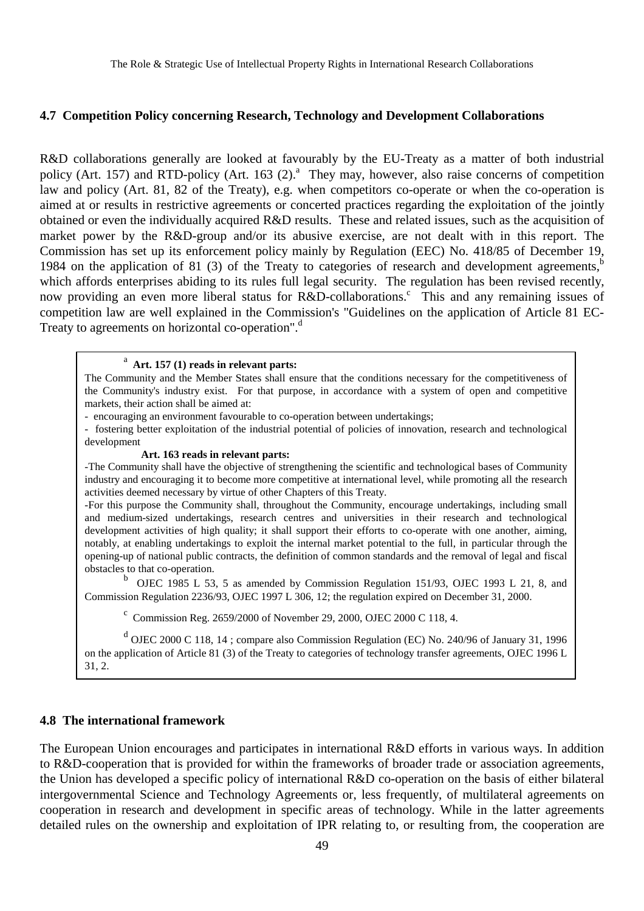#### **4.7 Competition Policy concerning Research, Technology and Development Collaborations**

R&D collaborations generally are looked at favourably by the EU-Treaty as a matter of both industrial policy (Art. 157) and RTD-policy (Art. 163 (2).<sup>ª</sup> They may, however, also raise concerns of competition law and policy (Art. 81, 82 of the Treaty), e.g. when competitors co-operate or when the co-operation is aimed at or results in restrictive agreements or concerted practices regarding the exploitation of the jointly obtained or even the individually acquired R&D results. These and related issues, such as the acquisition of market power by the R&D-group and/or its abusive exercise, are not dealt with in this report. The Commission has set up its enforcement policy mainly by Regulation (EEC) No. 418/85 of December 19, 1984 on the application of 81 (3) of the Treaty to categories of research and development agreements, $<sup>b</sup>$ </sup> which affords enterprises abiding to its rules full legal security. The regulation has been revised recently, now providing an even more liberal status for R&D-collaborations.<sup>c</sup> This and any remaining issues of competition law are well explained in the Commission's "Guidelines on the application of Article 81 EC-Treaty to agreements on horizontal co-operation".<sup>d</sup>

#### a  **Art. 157 (1) reads in relevant parts:**

The Community and the Member States shall ensure that the conditions necessary for the competitiveness of the Community's industry exist. For that purpose, in accordance with a system of open and competitive markets, their action shall be aimed at:

- encouraging an environment favourable to co-operation between undertakings;

- fostering better exploitation of the industrial potential of policies of innovation, research and technological development

#### **Art. 163 reads in relevant parts:**

-The Community shall have the objective of strengthening the scientific and technological bases of Community industry and encouraging it to become more competitive at international level, while promoting all the research activities deemed necessary by virtue of other Chapters of this Treaty.

-For this purpose the Community shall, throughout the Community, encourage undertakings, including small and medium-sized undertakings, research centres and universities in their research and technological development activities of high quality; it shall support their efforts to co-operate with one another, aiming, notably, at enabling undertakings to exploit the internal market potential to the full, in particular through the opening-up of national public contracts, the definition of common standards and the removal of legal and fiscal obstacles to that co-operation.

b OJEC 1985 L 53, 5 as amended by Commission Regulation 151/93, OJEC 1993 L 21, 8, and Commission Regulation 2236/93, OJEC 1997 L 306, 12; the regulation expired on December 31, 2000.

C Commission Reg. 2659/2000 of November 29, 2000, OJEC 2000 C 118, 4.

<sup>d</sup> OJEC 2000 C 118, 14; compare also Commission Regulation (EC) No. 240/96 of January 31, 1996 on the application of Article 81 (3) of the Treaty to categories of technology transfer agreements, OJEC 1996 L 31, 2.

#### **4.8 The international framework**

The European Union encourages and participates in international R&D efforts in various ways. In addition to R&D-cooperation that is provided for within the frameworks of broader trade or association agreements, the Union has developed a specific policy of international R&D co-operation on the basis of either bilateral intergovernmental Science and Technology Agreements or, less frequently, of multilateral agreements on cooperation in research and development in specific areas of technology. While in the latter agreements detailed rules on the ownership and exploitation of IPR relating to, or resulting from, the cooperation are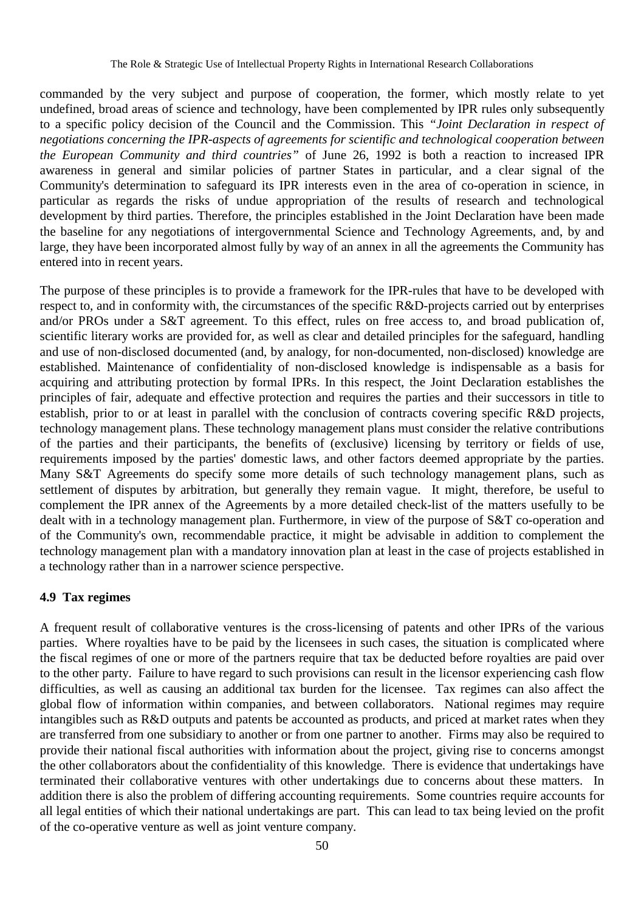commanded by the very subject and purpose of cooperation, the former, which mostly relate to yet undefined, broad areas of science and technology, have been complemented by IPR rules only subsequently to a specific policy decision of the Council and the Commission. This *"Joint Declaration in respect of negotiations concerning the IPR-aspects of agreements for scientific and technological cooperation between the European Community and third countries"* of June 26, 1992 is both a reaction to increased IPR awareness in general and similar policies of partner States in particular, and a clear signal of the Community's determination to safeguard its IPR interests even in the area of co-operation in science, in particular as regards the risks of undue appropriation of the results of research and technological development by third parties. Therefore, the principles established in the Joint Declaration have been made the baseline for any negotiations of intergovernmental Science and Technology Agreements, and, by and large, they have been incorporated almost fully by way of an annex in all the agreements the Community has entered into in recent years.

The purpose of these principles is to provide a framework for the IPR-rules that have to be developed with respect to, and in conformity with, the circumstances of the specific R&D-projects carried out by enterprises and/or PROs under a S&T agreement. To this effect, rules on free access to, and broad publication of, scientific literary works are provided for, as well as clear and detailed principles for the safeguard, handling and use of non-disclosed documented (and, by analogy, for non-documented, non-disclosed) knowledge are established. Maintenance of confidentiality of non-disclosed knowledge is indispensable as a basis for acquiring and attributing protection by formal IPRs. In this respect, the Joint Declaration establishes the principles of fair, adequate and effective protection and requires the parties and their successors in title to establish, prior to or at least in parallel with the conclusion of contracts covering specific R&D projects, technology management plans. These technology management plans must consider the relative contributions of the parties and their participants, the benefits of (exclusive) licensing by territory or fields of use, requirements imposed by the parties' domestic laws, and other factors deemed appropriate by the parties. Many S&T Agreements do specify some more details of such technology management plans, such as settlement of disputes by arbitration, but generally they remain vague. It might, therefore, be useful to complement the IPR annex of the Agreements by a more detailed check-list of the matters usefully to be dealt with in a technology management plan. Furthermore, in view of the purpose of S&T co-operation and of the Community's own, recommendable practice, it might be advisable in addition to complement the technology management plan with a mandatory innovation plan at least in the case of projects established in a technology rather than in a narrower science perspective.

#### **4.9 Tax regimes**

A frequent result of collaborative ventures is the cross-licensing of patents and other IPRs of the various parties. Where royalties have to be paid by the licensees in such cases, the situation is complicated where the fiscal regimes of one or more of the partners require that tax be deducted before royalties are paid over to the other party. Failure to have regard to such provisions can result in the licensor experiencing cash flow difficulties, as well as causing an additional tax burden for the licensee. Tax regimes can also affect the global flow of information within companies, and between collaborators. National regimes may require intangibles such as R&D outputs and patents be accounted as products, and priced at market rates when they are transferred from one subsidiary to another or from one partner to another. Firms may also be required to provide their national fiscal authorities with information about the project, giving rise to concerns amongst the other collaborators about the confidentiality of this knowledge. There is evidence that undertakings have terminated their collaborative ventures with other undertakings due to concerns about these matters. In addition there is also the problem of differing accounting requirements. Some countries require accounts for all legal entities of which their national undertakings are part. This can lead to tax being levied on the profit of the co-operative venture as well as joint venture company.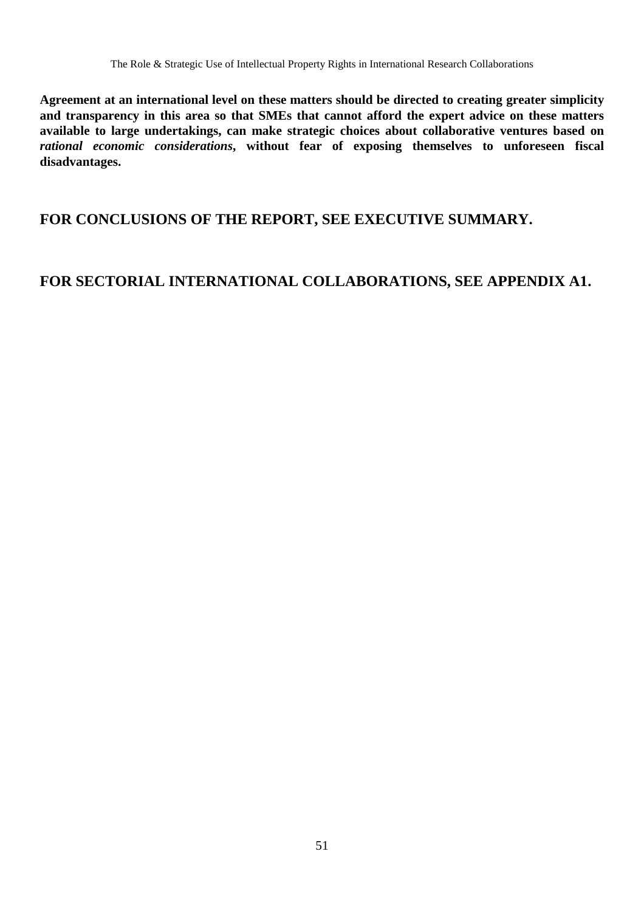**Agreement at an international level on these matters should be directed to creating greater simplicity and transparency in this area so that SMEs that cannot afford the expert advice on these matters available to large undertakings, can make strategic choices about collaborative ventures based on** *rational economic considerations***, without fear of exposing themselves to unforeseen fiscal disadvantages.**

# **FOR CONCLUSIONS OF THE REPORT, SEE EXECUTIVE SUMMARY.**

# **FOR SECTORIAL INTERNATIONAL COLLABORATIONS, SEE APPENDIX A1.**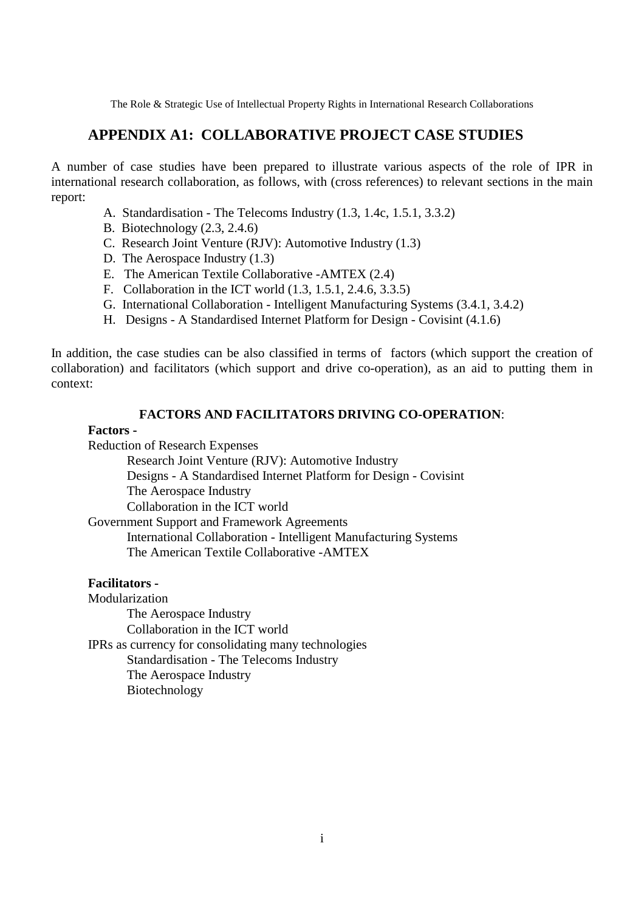## **APPENDIX A1: COLLABORATIVE PROJECT CASE STUDIES**

A number of case studies have been prepared to illustrate various aspects of the role of IPR in international research collaboration, as follows, with (cross references) to relevant sections in the main report:

- A. Standardisation The Telecoms Industry (1.3, 1.4c, 1.5.1, 3.3.2)
- B. Biotechnology (2.3, 2.4.6)
- C. Research Joint Venture (RJV): Automotive Industry (1.3)
- D. The Aerospace Industry (1.3)
- E. The American Textile Collaborative -AMTEX (2.4)
- F. Collaboration in the ICT world (1.3, 1.5.1, 2.4.6, 3.3.5)
- G. International Collaboration Intelligent Manufacturing Systems (3.4.1, 3.4.2)
- H. Designs A Standardised Internet Platform for Design Covisint (4.1.6)

In addition, the case studies can be also classified in terms of factors (which support the creation of collaboration) and facilitators (which support and drive co-operation), as an aid to putting them in context:

#### **FACTORS AND FACILITATORS DRIVING CO-OPERATION**:

#### **Factors -**

Reduction of Research Expenses

Research Joint Venture (RJV): Automotive Industry

Designs - A Standardised Internet Platform for Design - Covisint

The Aerospace Industry

Collaboration in the ICT world

Government Support and Framework Agreements

International Collaboration - Intelligent Manufacturing Systems The American Textile Collaborative -AMTEX

#### **Facilitators -**

Modularization The Aerospace Industry Collaboration in the ICT world IPRs as currency for consolidating many technologies Standardisation - The Telecoms Industry The Aerospace Industry Biotechnology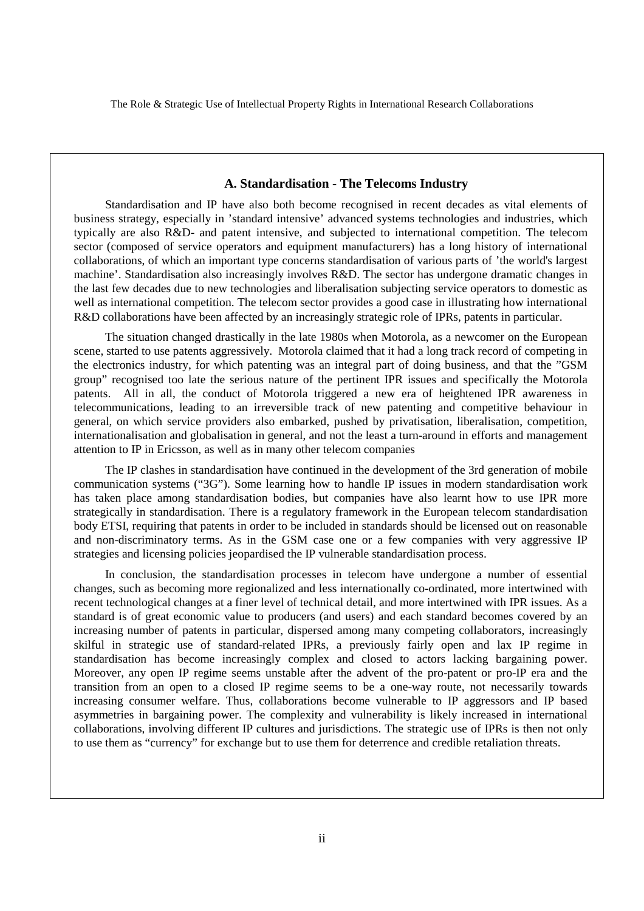#### **A. Standardisation - The Telecoms Industry**

Standardisation and IP have also both become recognised in recent decades as vital elements of business strategy, especially in 'standard intensive' advanced systems technologies and industries, which typically are also R&D- and patent intensive, and subjected to international competition. The telecom sector (composed of service operators and equipment manufacturers) has a long history of international collaborations, of which an important type concerns standardisation of various parts of 'the world's largest machine'. Standardisation also increasingly involves R&D. The sector has undergone dramatic changes in the last few decades due to new technologies and liberalisation subjecting service operators to domestic as well as international competition. The telecom sector provides a good case in illustrating how international R&D collaborations have been affected by an increasingly strategic role of IPRs, patents in particular.

The situation changed drastically in the late 1980s when Motorola, as a newcomer on the European scene, started to use patents aggressively. Motorola claimed that it had a long track record of competing in the electronics industry, for which patenting was an integral part of doing business, and that the "GSM group" recognised too late the serious nature of the pertinent IPR issues and specifically the Motorola patents. All in all, the conduct of Motorola triggered a new era of heightened IPR awareness in telecommunications, leading to an irreversible track of new patenting and competitive behaviour in general, on which service providers also embarked, pushed by privatisation, liberalisation, competition, internationalisation and globalisation in general, and not the least a turn-around in efforts and management attention to IP in Ericsson, as well as in many other telecom companies

The IP clashes in standardisation have continued in the development of the 3rd generation of mobile communication systems ("3G"). Some learning how to handle IP issues in modern standardisation work has taken place among standardisation bodies, but companies have also learnt how to use IPR more strategically in standardisation. There is a regulatory framework in the European telecom standardisation body ETSI, requiring that patents in order to be included in standards should be licensed out on reasonable and non-discriminatory terms. As in the GSM case one or a few companies with very aggressive IP strategies and licensing policies jeopardised the IP vulnerable standardisation process.

In conclusion, the standardisation processes in telecom have undergone a number of essential changes, such as becoming more regionalized and less internationally co-ordinated, more intertwined with recent technological changes at a finer level of technical detail, and more intertwined with IPR issues. As a standard is of great economic value to producers (and users) and each standard becomes covered by an increasing number of patents in particular, dispersed among many competing collaborators, increasingly skilful in strategic use of standard-related IPRs, a previously fairly open and lax IP regime in standardisation has become increasingly complex and closed to actors lacking bargaining power. Moreover, any open IP regime seems unstable after the advent of the pro-patent or pro-IP era and the transition from an open to a closed IP regime seems to be a one-way route, not necessarily towards increasing consumer welfare. Thus, collaborations become vulnerable to IP aggressors and IP based asymmetries in bargaining power. The complexity and vulnerability is likely increased in international collaborations, involving different IP cultures and jurisdictions. The strategic use of IPRs is then not only to use them as "currency" for exchange but to use them for deterrence and credible retaliation threats.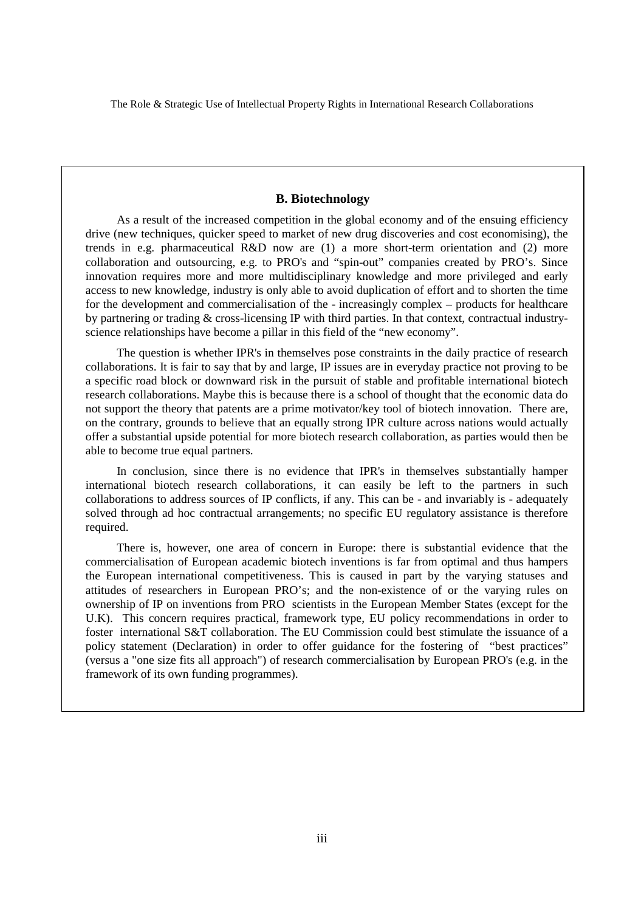#### **B. Biotechnology**

As a result of the increased competition in the global economy and of the ensuing efficiency drive (new techniques, quicker speed to market of new drug discoveries and cost economising), the trends in e.g. pharmaceutical R&D now are (1) a more short-term orientation and (2) more collaboration and outsourcing, e.g. to PRO's and "spin-out" companies created by PRO's. Since innovation requires more and more multidisciplinary knowledge and more privileged and early access to new knowledge, industry is only able to avoid duplication of effort and to shorten the time for the development and commercialisation of the - increasingly complex – products for healthcare by partnering or trading & cross-licensing IP with third parties. In that context, contractual industryscience relationships have become a pillar in this field of the "new economy".

The question is whether IPR's in themselves pose constraints in the daily practice of research collaborations. It is fair to say that by and large, IP issues are in everyday practice not proving to be a specific road block or downward risk in the pursuit of stable and profitable international biotech research collaborations. Maybe this is because there is a school of thought that the economic data do not support the theory that patents are a prime motivator/key tool of biotech innovation. There are, on the contrary, grounds to believe that an equally strong IPR culture across nations would actually offer a substantial upside potential for more biotech research collaboration, as parties would then be able to become true equal partners.

In conclusion, since there is no evidence that IPR's in themselves substantially hamper international biotech research collaborations, it can easily be left to the partners in such collaborations to address sources of IP conflicts, if any. This can be - and invariably is - adequately solved through ad hoc contractual arrangements; no specific EU regulatory assistance is therefore required.

There is, however, one area of concern in Europe: there is substantial evidence that the commercialisation of European academic biotech inventions is far from optimal and thus hampers the European international competitiveness. This is caused in part by the varying statuses and attitudes of researchers in European PRO's; and the non-existence of or the varying rules on ownership of IP on inventions from PRO scientists in the European Member States (except for the U.K). This concern requires practical, framework type, EU policy recommendations in order to foster international S&T collaboration. The EU Commission could best stimulate the issuance of a policy statement (Declaration) in order to offer guidance for the fostering of "best practices" (versus a "one size fits all approach") of research commercialisation by European PRO's (e.g. in the framework of its own funding programmes).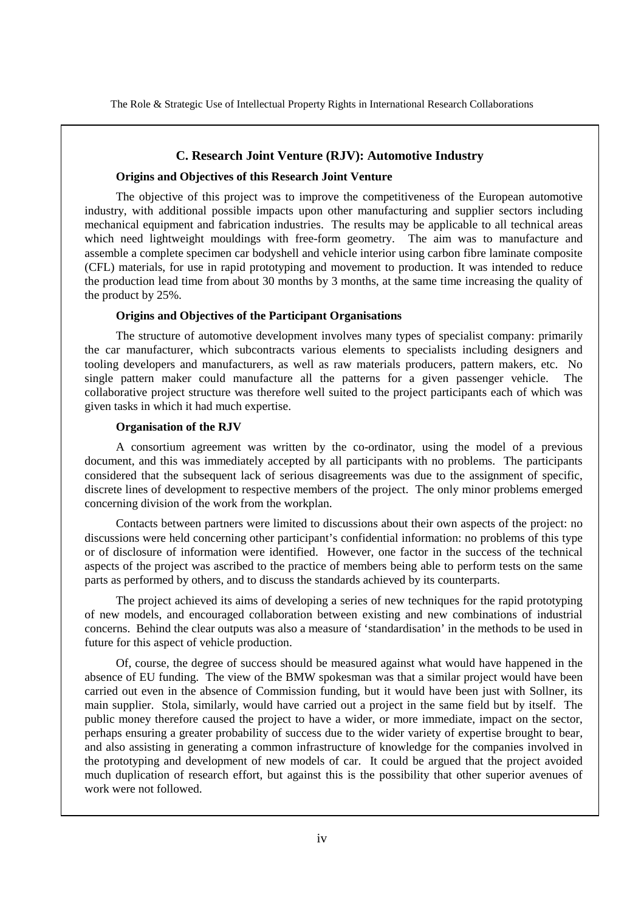#### **C. Research Joint Venture (RJV): Automotive Industry**

#### **Origins and Objectives of this Research Joint Venture**

The objective of this project was to improve the competitiveness of the European automotive industry, with additional possible impacts upon other manufacturing and supplier sectors including mechanical equipment and fabrication industries. The results may be applicable to all technical areas which need lightweight mouldings with free-form geometry. The aim was to manufacture and assemble a complete specimen car bodyshell and vehicle interior using carbon fibre laminate composite (CFL) materials, for use in rapid prototyping and movement to production. It was intended to reduce the production lead time from about 30 months by 3 months, at the same time increasing the quality of the product by 25%.

#### **Origins and Objectives of the Participant Organisations**

The structure of automotive development involves many types of specialist company: primarily the car manufacturer, which subcontracts various elements to specialists including designers and tooling developers and manufacturers, as well as raw materials producers, pattern makers, etc. No single pattern maker could manufacture all the patterns for a given passenger vehicle. The collaborative project structure was therefore well suited to the project participants each of which was given tasks in which it had much expertise.

#### **Organisation of the RJV**

A consortium agreement was written by the co-ordinator, using the model of a previous document, and this was immediately accepted by all participants with no problems. The participants considered that the subsequent lack of serious disagreements was due to the assignment of specific, discrete lines of development to respective members of the project. The only minor problems emerged concerning division of the work from the workplan.

Contacts between partners were limited to discussions about their own aspects of the project: no discussions were held concerning other participant's confidential information: no problems of this type or of disclosure of information were identified. However, one factor in the success of the technical aspects of the project was ascribed to the practice of members being able to perform tests on the same parts as performed by others, and to discuss the standards achieved by its counterparts.

The project achieved its aims of developing a series of new techniques for the rapid prototyping of new models, and encouraged collaboration between existing and new combinations of industrial concerns. Behind the clear outputs was also a measure of 'standardisation' in the methods to be used in future for this aspect of vehicle production.

Of, course, the degree of success should be measured against what would have happened in the absence of EU funding. The view of the BMW spokesman was that a similar project would have been carried out even in the absence of Commission funding, but it would have been just with Sollner, its main supplier. Stola, similarly, would have carried out a project in the same field but by itself. The public money therefore caused the project to have a wider, or more immediate, impact on the sector, perhaps ensuring a greater probability of success due to the wider variety of expertise brought to bear, and also assisting in generating a common infrastructure of knowledge for the companies involved in the prototyping and development of new models of car. It could be argued that the project avoided much duplication of research effort, but against this is the possibility that other superior avenues of work were not followed.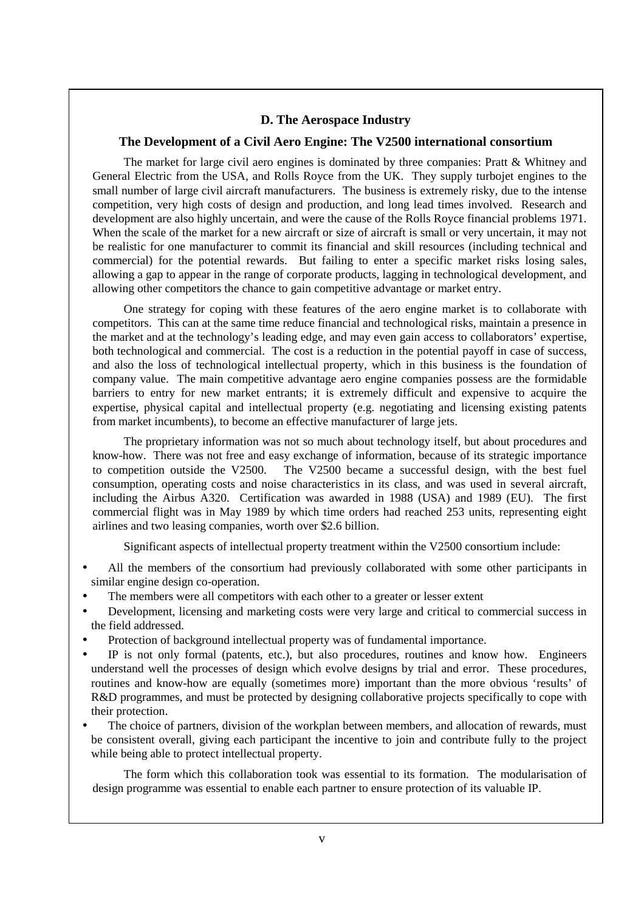#### **D. The Aerospace Industry**

#### **The Development of a Civil Aero Engine: The V2500 international consortium**

The market for large civil aero engines is dominated by three companies: Pratt & Whitney and General Electric from the USA, and Rolls Royce from the UK. They supply turbojet engines to the small number of large civil aircraft manufacturers. The business is extremely risky, due to the intense competition, very high costs of design and production, and long lead times involved. Research and development are also highly uncertain, and were the cause of the Rolls Royce financial problems 1971. When the scale of the market for a new aircraft or size of aircraft is small or very uncertain, it may not be realistic for one manufacturer to commit its financial and skill resources (including technical and commercial) for the potential rewards. But failing to enter a specific market risks losing sales, allowing a gap to appear in the range of corporate products, lagging in technological development, and allowing other competitors the chance to gain competitive advantage or market entry.

One strategy for coping with these features of the aero engine market is to collaborate with competitors. This can at the same time reduce financial and technological risks, maintain a presence in the market and at the technology's leading edge, and may even gain access to collaborators' expertise, both technological and commercial. The cost is a reduction in the potential payoff in case of success, and also the loss of technological intellectual property, which in this business is the foundation of company value. The main competitive advantage aero engine companies possess are the formidable barriers to entry for new market entrants; it is extremely difficult and expensive to acquire the expertise, physical capital and intellectual property (e.g. negotiating and licensing existing patents from market incumbents), to become an effective manufacturer of large jets.

The proprietary information was not so much about technology itself, but about procedures and know-how. There was not free and easy exchange of information, because of its strategic importance to competition outside the V2500. The V2500 became a successful design, with the best fuel consumption, operating costs and noise characteristics in its class, and was used in several aircraft, including the Airbus A320. Certification was awarded in 1988 (USA) and 1989 (EU). The first commercial flight was in May 1989 by which time orders had reached 253 units, representing eight airlines and two leasing companies, worth over \$2.6 billion.

Significant aspects of intellectual property treatment within the V2500 consortium include:

- All the members of the consortium had previously collaborated with some other participants in similar engine design co-operation.
- The members were all competitors with each other to a greater or lesser extent
- Development, licensing and marketing costs were very large and critical to commercial success in the field addressed.
- Protection of background intellectual property was of fundamental importance.
- IP is not only formal (patents, etc.), but also procedures, routines and know how. Engineers understand well the processes of design which evolve designs by trial and error. These procedures, routines and know-how are equally (sometimes more) important than the more obvious 'results' of R&D programmes, and must be protected by designing collaborative projects specifically to cope with their protection.
- The choice of partners, division of the workplan between members, and allocation of rewards, must be consistent overall, giving each participant the incentive to join and contribute fully to the project while being able to protect intellectual property.

The form which this collaboration took was essential to its formation. The modularisation of design programme was essential to enable each partner to ensure protection of its valuable IP.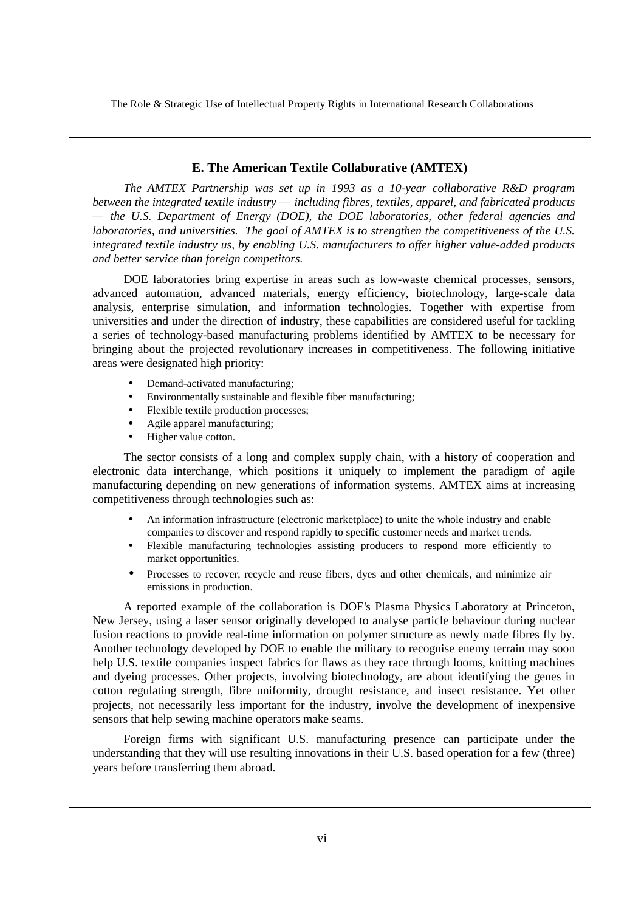#### **E. The American Textile Collaborative (AMTEX)**

*The AMTEX Partnership was set up in 1993 as a 10-year collaborative R&D program between the integrated textile industry — including fibres, textiles, apparel, and fabricated products — the U.S. Department of Energy (DOE), the DOE laboratories, other federal agencies and laboratories, and universities. The goal of AMTEX is to strengthen the competitiveness of the U.S. integrated textile industry us, by enabling U.S. manufacturers to offer higher value-added products and better service than foreign competitors.*

DOE laboratories bring expertise in areas such as low-waste chemical processes, sensors, advanced automation, advanced materials, energy efficiency, biotechnology, large-scale data analysis, enterprise simulation, and information technologies. Together with expertise from universities and under the direction of industry, these capabilities are considered useful for tackling a series of technology-based manufacturing problems identified by AMTEX to be necessary for bringing about the projected revolutionary increases in competitiveness. The following initiative areas were designated high priority:

- Demand-activated manufacturing;
- Environmentally sustainable and flexible fiber manufacturing;
- Flexible textile production processes;
- Agile apparel manufacturing;
- Higher value cotton.

The sector consists of a long and complex supply chain, with a history of cooperation and electronic data interchange, which positions it uniquely to implement the paradigm of agile manufacturing depending on new generations of information systems. AMTEX aims at increasing competitiveness through technologies such as:

- An information infrastructure (electronic marketplace) to unite the whole industry and enable companies to discover and respond rapidly to specific customer needs and market trends.
- Flexible manufacturing technologies assisting producers to respond more efficiently to market opportunities.
- Processes to recover, recycle and reuse fibers, dyes and other chemicals, and minimize air emissions in production.

A reported example of the collaboration is DOE's Plasma Physics Laboratory at Princeton, New Jersey, using a laser sensor originally developed to analyse particle behaviour during nuclear fusion reactions to provide real-time information on polymer structure as newly made fibres fly by. Another technology developed by DOE to enable the military to recognise enemy terrain may soon help U.S. textile companies inspect fabrics for flaws as they race through looms, knitting machines and dyeing processes. Other projects, involving biotechnology, are about identifying the genes in cotton regulating strength, fibre uniformity, drought resistance, and insect resistance. Yet other projects, not necessarily less important for the industry, involve the development of inexpensive sensors that help sewing machine operators make seams.

Foreign firms with significant U.S. manufacturing presence can participate under the understanding that they will use resulting innovations in their U.S. based operation for a few (three) years before transferring them abroad.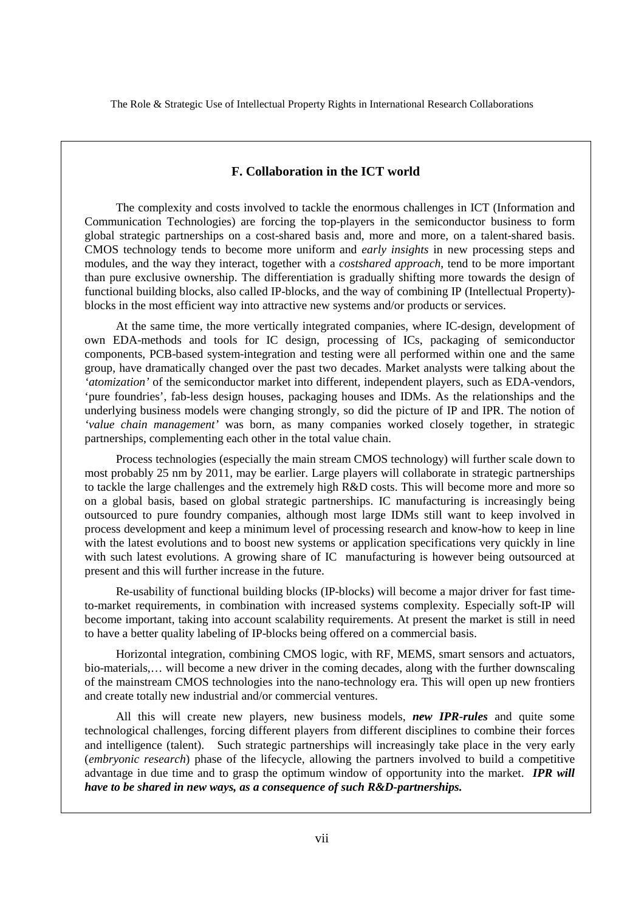#### **F. Collaboration in the ICT world**

The complexity and costs involved to tackle the enormous challenges in ICT (Information and Communication Technologies) are forcing the top-players in the semiconductor business to form global strategic partnerships on a cost-shared basis and, more and more, on a talent-shared basis. CMOS technology tends to become more uniform and *early insights* in new processing steps and modules, and the way they interact, together with a *costshared approach*, tend to be more important than pure exclusive ownership. The differentiation is gradually shifting more towards the design of functional building blocks, also called IP-blocks, and the way of combining IP (Intellectual Property) blocks in the most efficient way into attractive new systems and/or products or services.

At the same time, the more vertically integrated companies, where IC-design, development of own EDA-methods and tools for IC design, processing of ICs, packaging of semiconductor components, PCB-based system-integration and testing were all performed within one and the same group, have dramatically changed over the past two decades. Market analysts were talking about the *'atomization'* of the semiconductor market into different, independent players, such as EDA-vendors, 'pure foundries', fab-less design houses, packaging houses and IDMs. As the relationships and the underlying business models were changing strongly, so did the picture of IP and IPR. The notion of *'value chain management'* was born, as many companies worked closely together, in strategic partnerships, complementing each other in the total value chain.

Process technologies (especially the main stream CMOS technology) will further scale down to most probably 25 nm by 2011, may be earlier. Large players will collaborate in strategic partnerships to tackle the large challenges and the extremely high R&D costs. This will become more and more so on a global basis, based on global strategic partnerships. IC manufacturing is increasingly being outsourced to pure foundry companies, although most large IDMs still want to keep involved in process development and keep a minimum level of processing research and know-how to keep in line with the latest evolutions and to boost new systems or application specifications very quickly in line with such latest evolutions. A growing share of IC manufacturing is however being outsourced at present and this will further increase in the future.

Re-usability of functional building blocks (IP-blocks) will become a major driver for fast timeto-market requirements, in combination with increased systems complexity. Especially soft-IP will become important, taking into account scalability requirements. At present the market is still in need to have a better quality labeling of IP-blocks being offered on a commercial basis.

Horizontal integration, combining CMOS logic, with RF, MEMS, smart sensors and actuators, bio-materials,… will become a new driver in the coming decades, along with the further downscaling of the mainstream CMOS technologies into the nano-technology era. This will open up new frontiers and create totally new industrial and/or commercial ventures.

All this will create new players, new business models, *new IPR-rules* and quite some technological challenges, forcing different players from different disciplines to combine their forces and intelligence (talent). Such strategic partnerships will increasingly take place in the very early (*embryonic research*) phase of the lifecycle, allowing the partners involved to build a competitive advantage in due time and to grasp the optimum window of opportunity into the market. *IPR will have to be shared in new ways, as a consequence of such R&D-partnerships.*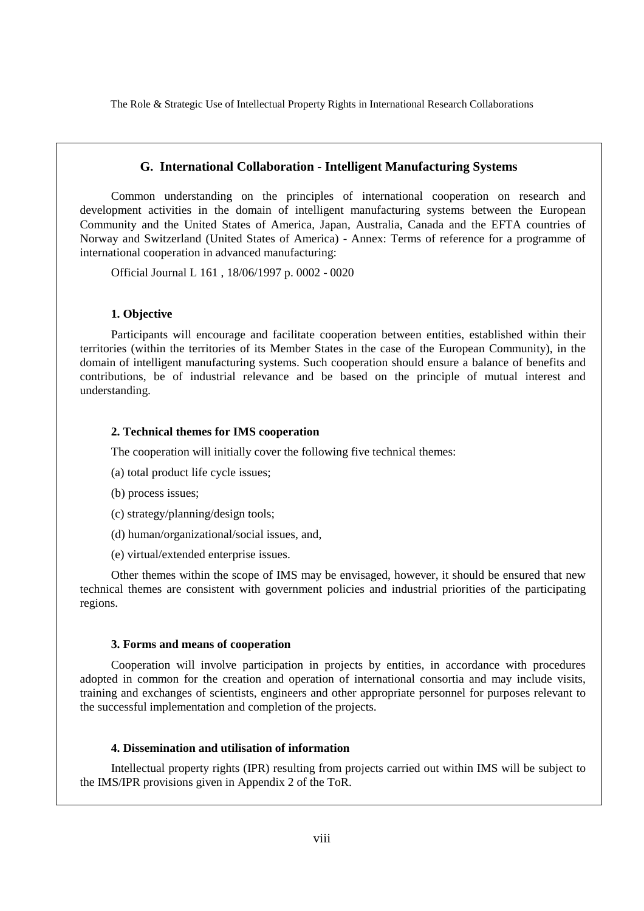#### **G. International Collaboration - Intelligent Manufacturing Systems**

Common understanding on the principles of international cooperation on research and development activities in the domain of intelligent manufacturing systems between the European Community and the United States of America, Japan, Australia, Canada and the EFTA countries of Norway and Switzerland (United States of America) - Annex: Terms of reference for a programme of international cooperation in advanced manufacturing:

Official Journal L 161 , 18/06/1997 p. 0002 - 0020

#### **1. Objective**

Participants will encourage and facilitate cooperation between entities, established within their territories (within the territories of its Member States in the case of the European Community), in the domain of intelligent manufacturing systems. Such cooperation should ensure a balance of benefits and contributions, be of industrial relevance and be based on the principle of mutual interest and understanding.

#### **2. Technical themes for IMS cooperation**

The cooperation will initially cover the following five technical themes:

- (a) total product life cycle issues;
- (b) process issues;
- (c) strategy/planning/design tools;
- (d) human/organizational/social issues, and,
- (e) virtual/extended enterprise issues.

Other themes within the scope of IMS may be envisaged, however, it should be ensured that new technical themes are consistent with government policies and industrial priorities of the participating regions.

#### **3. Forms and means of cooperation**

Cooperation will involve participation in projects by entities, in accordance with procedures adopted in common for the creation and operation of international consortia and may include visits, training and exchanges of scientists, engineers and other appropriate personnel for purposes relevant to the successful implementation and completion of the projects.

#### **4. Dissemination and utilisation of information**

Intellectual property rights (IPR) resulting from projects carried out within IMS will be subject to the IMS/IPR provisions given in Appendix 2 of the ToR.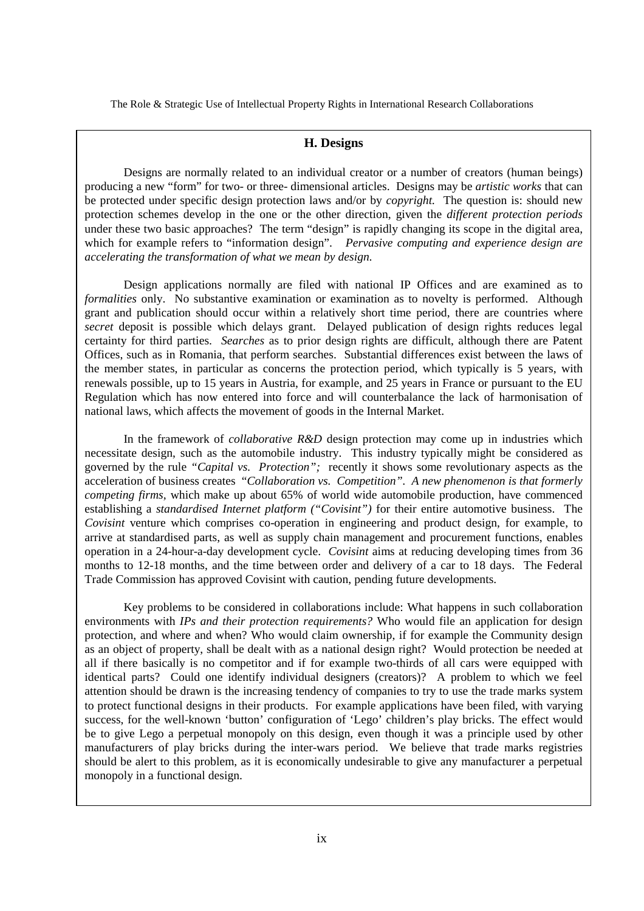#### **H. Designs**

Designs are normally related to an individual creator or a number of creators (human beings) producing a new "form" for two- or three- dimensional articles. Designs may be *artistic works* that can be protected under specific design protection laws and/or by *copyright.* The question is: should new protection schemes develop in the one or the other direction, given the *different protection periods* under these two basic approaches? The term "design" is rapidly changing its scope in the digital area, which for example refers to "information design". *Pervasive computing and experience design are accelerating the transformation of what we mean by design.*

Design applications normally are filed with national IP Offices and are examined as to *formalities* only. No substantive examination or examination as to novelty is performed. Although grant and publication should occur within a relatively short time period, there are countries where *secret* deposit is possible which delays grant. Delayed publication of design rights reduces legal certainty for third parties. *Searches* as to prior design rights are difficult, although there are Patent Offices, such as in Romania, that perform searches. Substantial differences exist between the laws of the member states, in particular as concerns the protection period, which typically is 5 years, with renewals possible, up to 15 years in Austria, for example, and 25 years in France or pursuant to the EU Regulation which has now entered into force and will counterbalance the lack of harmonisation of national laws, which affects the movement of goods in the Internal Market.

In the framework of *collaborative R&D* design protection may come up in industries which necessitate design, such as the automobile industry. This industry typically might be considered as governed by the rule *"Capital vs. Protection";* recently it shows some revolutionary aspects as the acceleration of business creates "*Collaboration vs. Competition". A new phenomenon is that formerly competing firms,* which make up about 65% of world wide automobile production, have commenced establishing a *standardised Internet platform ("Covisint")* for their entire automotive business. The *Covisint* venture which comprises co-operation in engineering and product design, for example, to arrive at standardised parts, as well as supply chain management and procurement functions, enables operation in a 24-hour-a-day development cycle. *Covisint* aims at reducing developing times from 36 months to 12-18 months, and the time between order and delivery of a car to 18 days. The Federal Trade Commission has approved Covisint with caution, pending future developments.

Key problems to be considered in collaborations include: What happens in such collaboration environments with *IPs and their protection requirements?* Who would file an application for design protection, and where and when? Who would claim ownership, if for example the Community design as an object of property, shall be dealt with as a national design right? Would protection be needed at all if there basically is no competitor and if for example two-thirds of all cars were equipped with identical parts? Could one identify individual designers (creators)? A problem to which we feel attention should be drawn is the increasing tendency of companies to try to use the trade marks system to protect functional designs in their products. For example applications have been filed, with varying success, for the well-known 'button' configuration of 'Lego' children's play bricks. The effect would be to give Lego a perpetual monopoly on this design, even though it was a principle used by other manufacturers of play bricks during the inter-wars period. We believe that trade marks registries should be alert to this problem, as it is economically undesirable to give any manufacturer a perpetual monopoly in a functional design.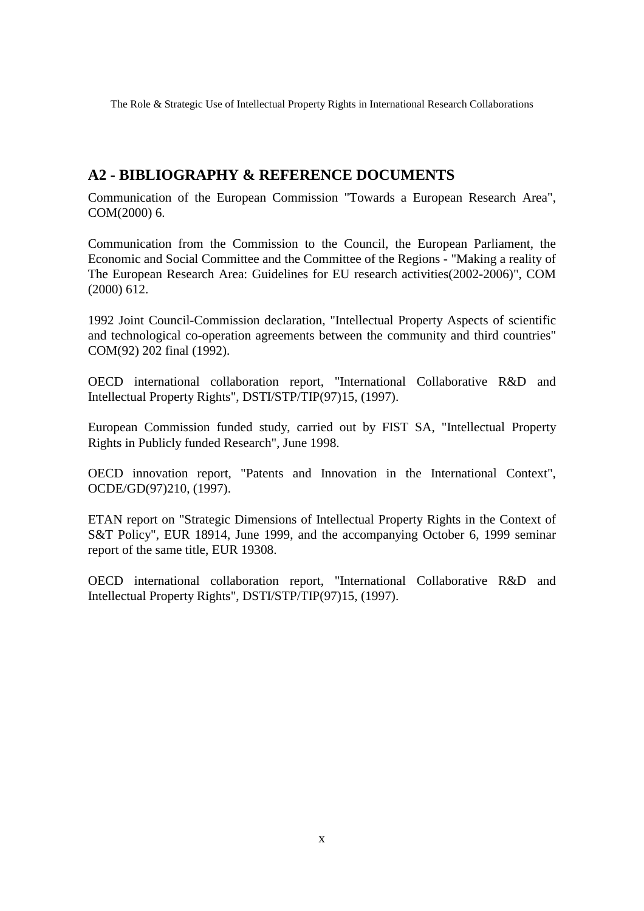# **A2 - BIBLIOGRAPHY & REFERENCE DOCUMENTS**

Communication of the European Commission "Towards a European Research Area", COM(2000) 6.

Communication from the Commission to the Council, the European Parliament, the Economic and Social Committee and the Committee of the Regions - "Making a reality of The European Research Area: Guidelines for EU research activities(2002-2006)", COM (2000) 612.

1992 Joint Council-Commission declaration, "Intellectual Property Aspects of scientific and technological co-operation agreements between the community and third countries" COM(92) 202 final (1992).

OECD international collaboration report, "International Collaborative R&D and Intellectual Property Rights", DSTI/STP/TIP(97)15, (1997).

European Commission funded study, carried out by FIST SA, "Intellectual Property Rights in Publicly funded Research", June 1998.

OECD innovation report, "Patents and Innovation in the International Context", OCDE/GD(97)210, (1997).

ETAN report on "Strategic Dimensions of Intellectual Property Rights in the Context of S&T Policy", EUR 18914, June 1999, and the accompanying October 6, 1999 seminar report of the same title, EUR 19308.

OECD international collaboration report, "International Collaborative R&D and Intellectual Property Rights", DSTI/STP/TIP(97)15, (1997).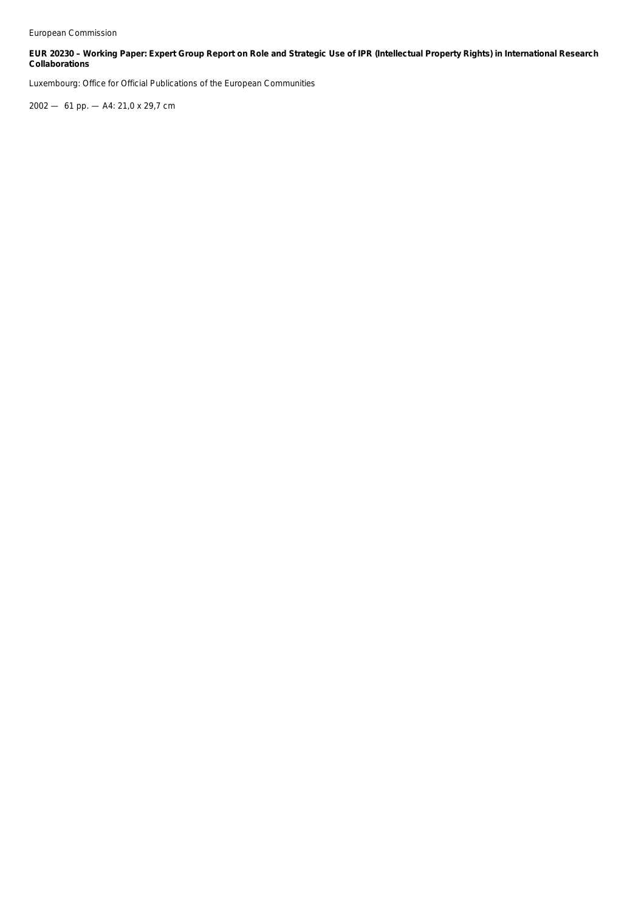#### **EUR 20230 – Working Paper: Expert Group Report on Role and Strategic Use of IPR (Intellectual Property Rights) in International Research Collaborations**

Luxembourg: Office for Official Publications of the European Communities

2002 — 61 pp. — A4: 21,0 x 29,7 cm